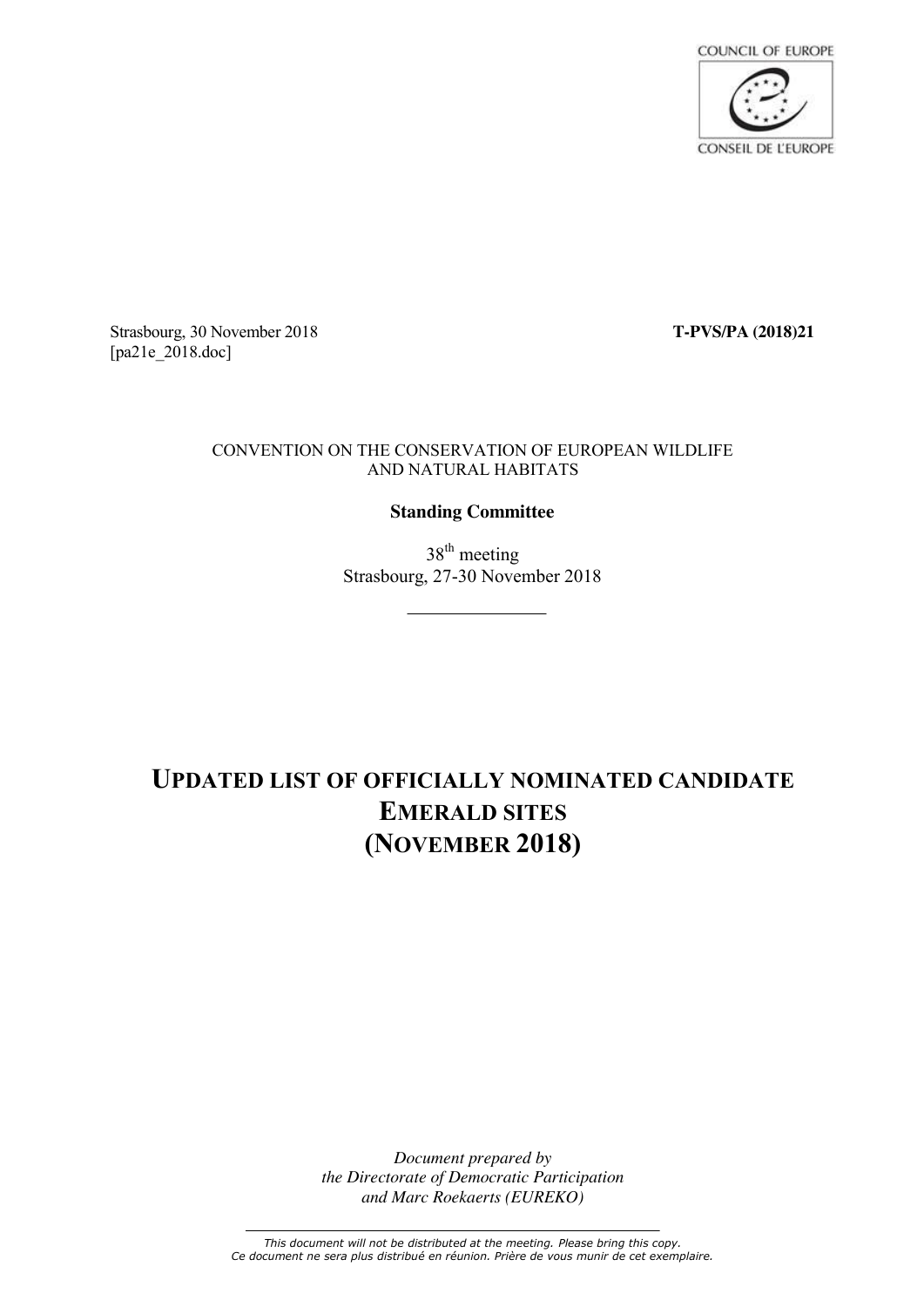

Strasbourg, 30 November 2018 **T-PVS/PA (2018)21** [pa21e 2018.doc]

#### CONVENTION ON THE CONSERVATION OF EUROPEAN WILDLIFE AND NATURAL HABITATS

### **Standing Committee**

38<sup>th</sup> meeting Strasbourg, 27-30 November 2018

## **UPDATED LIST OF OFFICIALLY NOMINATED CANDIDATE EMERALD SITES (NOVEMBER 2018)**

*Document prepared by the Directorate of Democratic Participation and Marc Roekaerts (EUREKO)*

*This document will not be distributed at the meeting. Please bring this copy. Ce document ne sera plus distribué en réunion. Prière de vous munir de cet exemplaire.*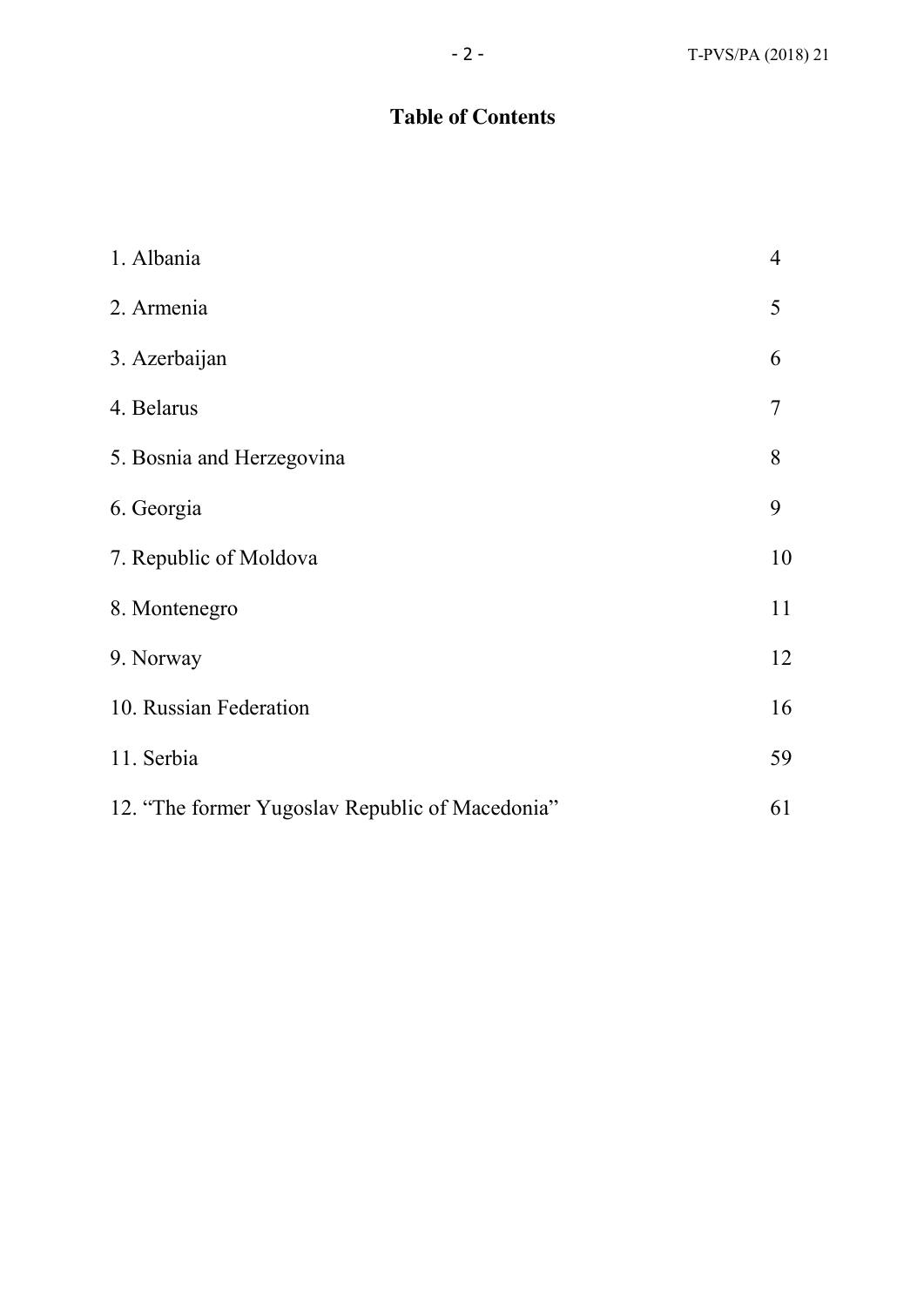### **Table of Contents**

| 1. Albania                                      | $\overline{4}$ |
|-------------------------------------------------|----------------|
| 2. Armenia                                      | 5              |
| 3. Azerbaijan                                   | 6              |
| 4. Belarus                                      | $\overline{7}$ |
| 5. Bosnia and Herzegovina                       | 8              |
| 6. Georgia                                      | 9              |
| 7. Republic of Moldova                          | 10             |
| 8. Montenegro                                   | 11             |
| 9. Norway                                       | 12             |
| 10. Russian Federation                          | 16             |
| 11. Serbia                                      | 59             |
| 12. "The former Yugoslav Republic of Macedonia" | 61             |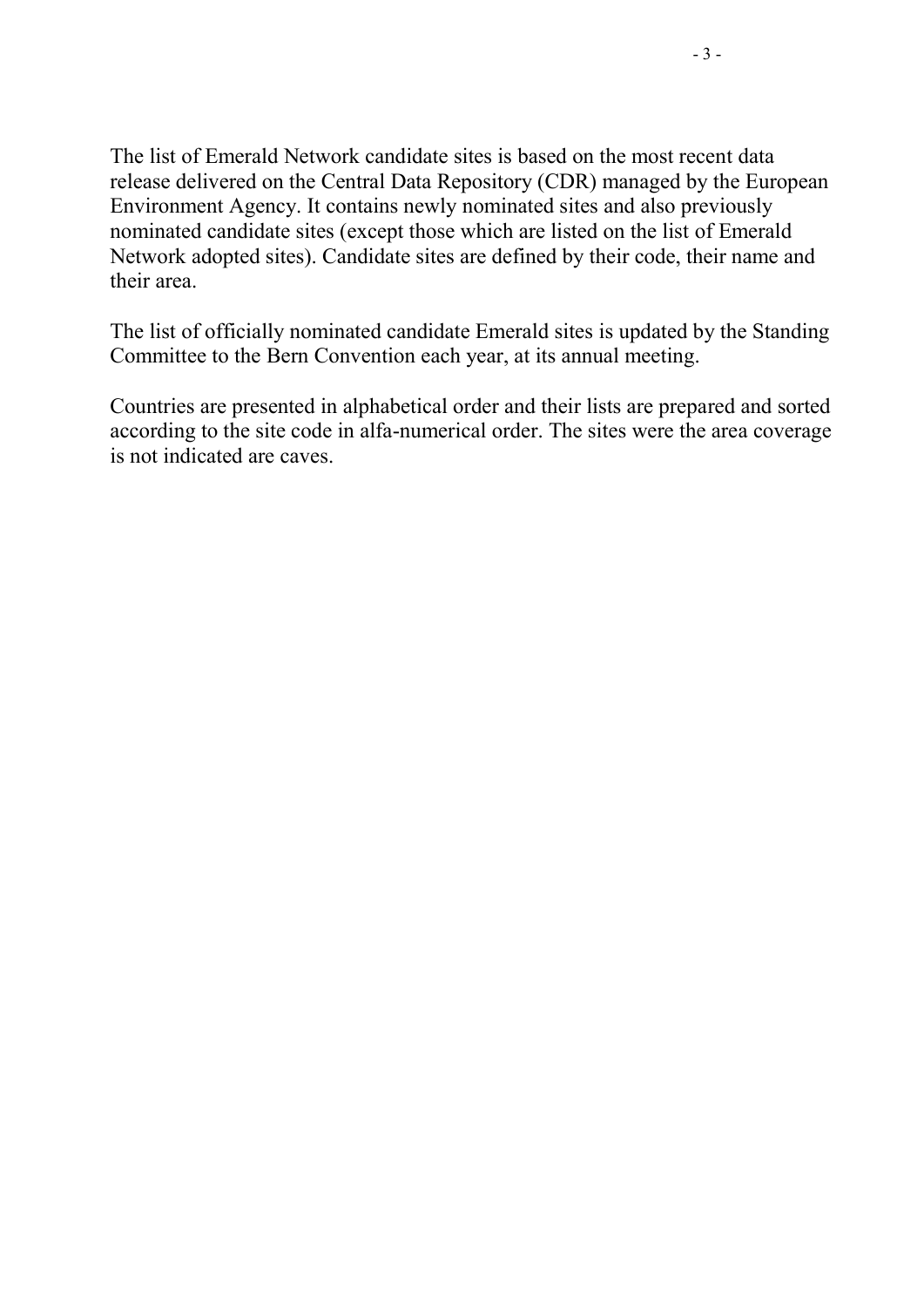The list of Emerald Network candidate sites is based on the most recent data release delivered on the Central Data Repository (CDR) managed by the European Environment Agency. It contains newly nominated sites and also previously nominated candidate sites (except those which are listed on the list of Emerald Network adopted sites). Candidate sites are defined by their code, their name and their area.

The list of officially nominated candidate Emerald sites is updated by the Standing Committee to the Bern Convention each year, at its annual meeting.

Countries are presented in alphabetical order and their lists are prepared and sorted according to the site code in alfa-numerical order. The sites were the area coverage is not indicated are caves.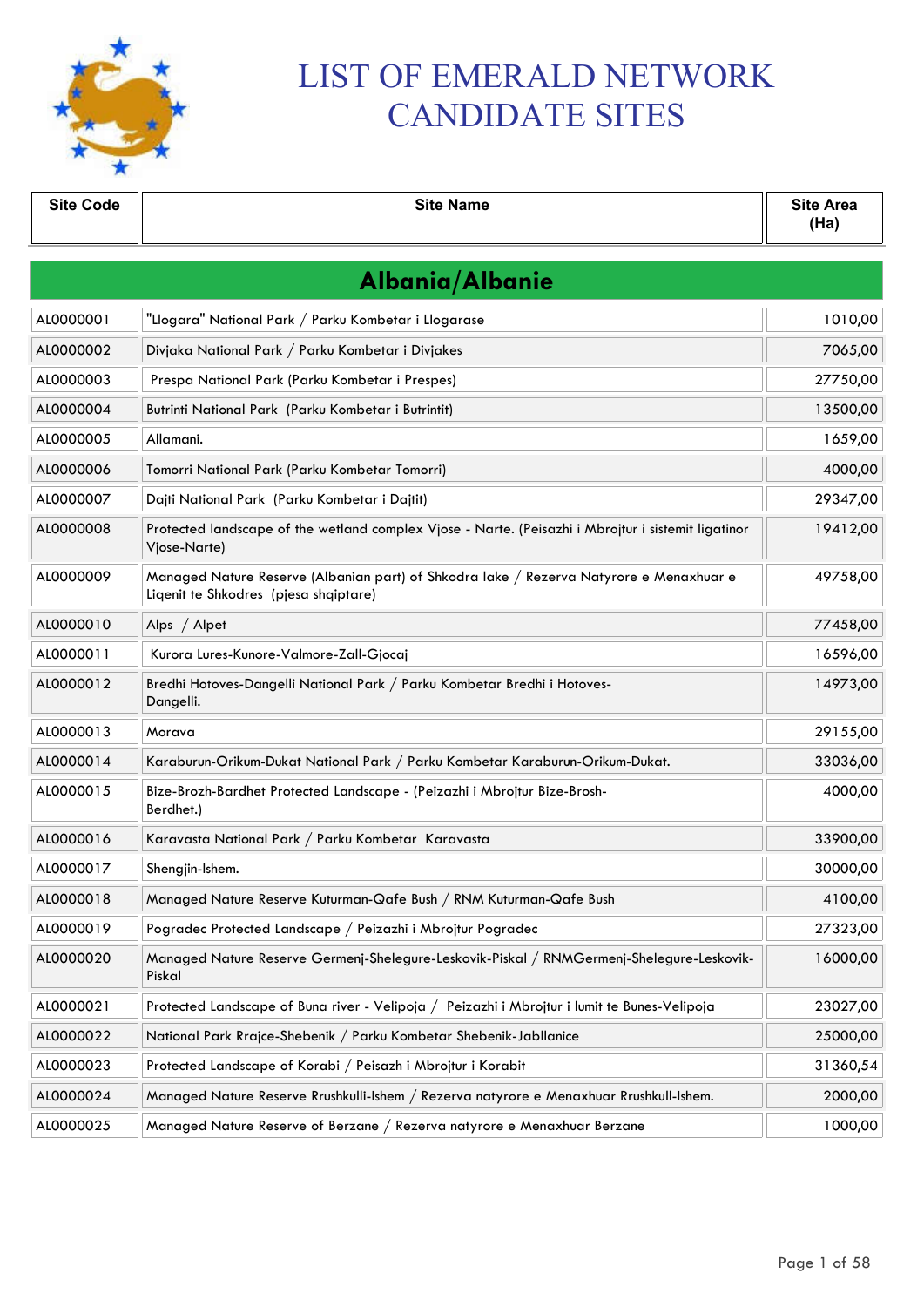

# LIST OF EMERALD NETWORK CANDIDATE SITES

| <b>Site Code</b> | <b>Site Name</b>                                                                                                                 | <b>Site Area</b><br>(Ha) |  |  |
|------------------|----------------------------------------------------------------------------------------------------------------------------------|--------------------------|--|--|
|                  | Albania/Albanie                                                                                                                  |                          |  |  |
| AL0000001        | "Llogara" National Park / Parku Kombetar i Llogarase                                                                             | 1010,00                  |  |  |
| AL0000002        | Divjaka National Park / Parku Kombetar i Divjakes                                                                                | 7065,00                  |  |  |
| AL0000003        | Prespa National Park (Parku Kombetar i Prespes)                                                                                  | 27750,00                 |  |  |
| AL0000004        | Butrinti National Park (Parku Kombetar i Butrintit)                                                                              | 13500,00                 |  |  |
| AL0000005        | Allamani.                                                                                                                        | 1659,00                  |  |  |
| AL0000006        | Tomorri National Park (Parku Kombetar Tomorri)                                                                                   | 4000,00                  |  |  |
| AL0000007        | Dajti National Park (Parku Kombetar i Dajtit)                                                                                    | 29347,00                 |  |  |
| AL0000008        | Protected landscape of the wetland complex Vjose - Narte. (Peisazhi i Mbrojtur i sistemit ligatinor<br>Vjose-Narte)              | 19412,00                 |  |  |
| AL0000009        | Managed Nature Reserve (Albanian part) of Shkodra lake / Rezerva Natyrore e Menaxhuar e<br>Ligenit te Shkodres (pjesa shqiptare) | 49758,00                 |  |  |
| AL0000010        | Alps / Alpet                                                                                                                     | 77458,00                 |  |  |
| AL0000011        | Kurora Lures-Kunore-Valmore-Zall-Gjocaj                                                                                          | 16596,00                 |  |  |
| AL0000012        | Bredhi Hotoves-Dangelli National Park / Parku Kombetar Bredhi i Hotoves-<br>Dangelli.                                            | 14973,00                 |  |  |
| AL0000013        | Morava                                                                                                                           | 29155,00                 |  |  |
| AL0000014        | Karaburun-Orikum-Dukat National Park / Parku Kombetar Karaburun-Orikum-Dukat.                                                    | 33036,00                 |  |  |
| AL0000015        | Bize-Brozh-Bardhet Protected Landscape - (Peizazhi i Mbrojtur Bize-Brosh-<br>Berdhet.)                                           | 4000,00                  |  |  |
| AL0000016        | Karavasta National Park / Parku Kombetar Karavasta                                                                               | 33900,00                 |  |  |
| AL0000017        | Shengjin-Ishem.                                                                                                                  | 30000,00                 |  |  |
| AL0000018        | Managed Nature Reserve Kuturman-Qafe Bush / RNM Kuturman-Qafe Bush                                                               | 4100,00                  |  |  |
| AL0000019        | Pogradec Protected Landscape / Peizazhi i Mbrojtur Pogradec                                                                      | 27323,00                 |  |  |
| AL0000020        | Managed Nature Reserve Germenj-Shelegure-Leskovik-Piskal / RNMGermenj-Shelegure-Leskovik-<br>Piskal                              | 16000,00                 |  |  |
| AL0000021        | Protected Landscape of Buna river - Velipoja / Peizazhi i Mbrojtur i lumit te Bunes-Velipoja                                     | 23027,00                 |  |  |
| AL0000022        | National Park Rrajce-Shebenik / Parku Kombetar Shebenik-Jabllanice                                                               | 25000,00                 |  |  |
| AL0000023        | Protected Landscape of Korabi / Peisazh i Mbrojtur i Korabit                                                                     | 31360,54                 |  |  |
| AL0000024        | Managed Nature Reserve Rrushkulli-Ishem / Rezerva natyrore e Menaxhuar Rrushkull-Ishem.                                          | 2000,00                  |  |  |
| AL0000025        | Managed Nature Reserve of Berzane / Rezerva natyrore e Menaxhuar Berzane                                                         | 1000,00                  |  |  |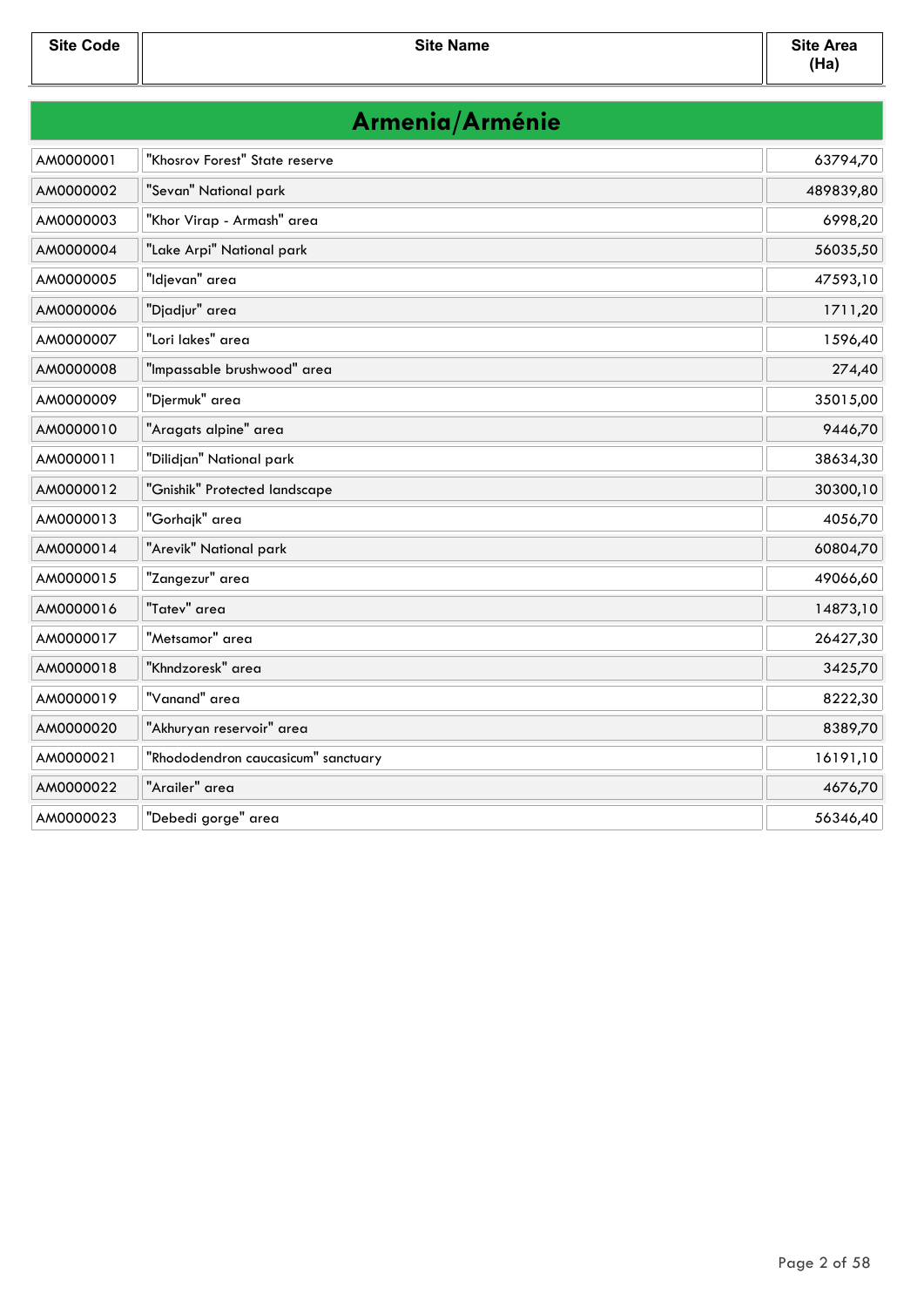| Armenia/Arménie |                                     |           |
|-----------------|-------------------------------------|-----------|
| AM0000001       | "Khosrov Forest" State reserve      | 63794,70  |
| AM0000002       | "Sevan" National park               | 489839,80 |
| AM0000003       | "Khor Virap - Armash" area          | 6998,20   |
| AM0000004       | "Lake Arpi" National park           | 56035,50  |
| AM0000005       | "Idjevan" area                      | 47593,10  |
| AM0000006       | "Djadjur" area                      | 1711,20   |
| AM0000007       | "Lori lakes" area                   | 1596,40   |
| AM0000008       | "Impassable brushwood" area         | 274,40    |
| AM0000009       | "Djermuk" area                      | 35015,00  |
| AM0000010       | "Aragats alpine" area               | 9446,70   |
| AM0000011       | "Dilidjan" National park            | 38634,30  |
| AM0000012       | "Gnishik" Protected landscape       | 30300,10  |
| AM0000013       | "Gorhajk" area                      | 4056,70   |
| AM0000014       | "Arevik" National park              | 60804,70  |
| AM0000015       | "Zangezur" area                     | 49066,60  |
| AM0000016       | "Tatev" area                        | 14873,10  |
| AM0000017       | "Metsamor" area                     | 26427,30  |
| AM0000018       | "Khndzoresk" area                   | 3425,70   |
| AM0000019       | "Vanand" area                       | 8222,30   |
| AM0000020       | "Akhuryan reservoir" area           | 8389,70   |
| AM0000021       | "Rhododendron caucasicum" sanctuary | 16191,10  |
| AM0000022       | "Arailer" area                      | 4676,70   |
| AM0000023       | "Debedi gorge" area                 | 56346,40  |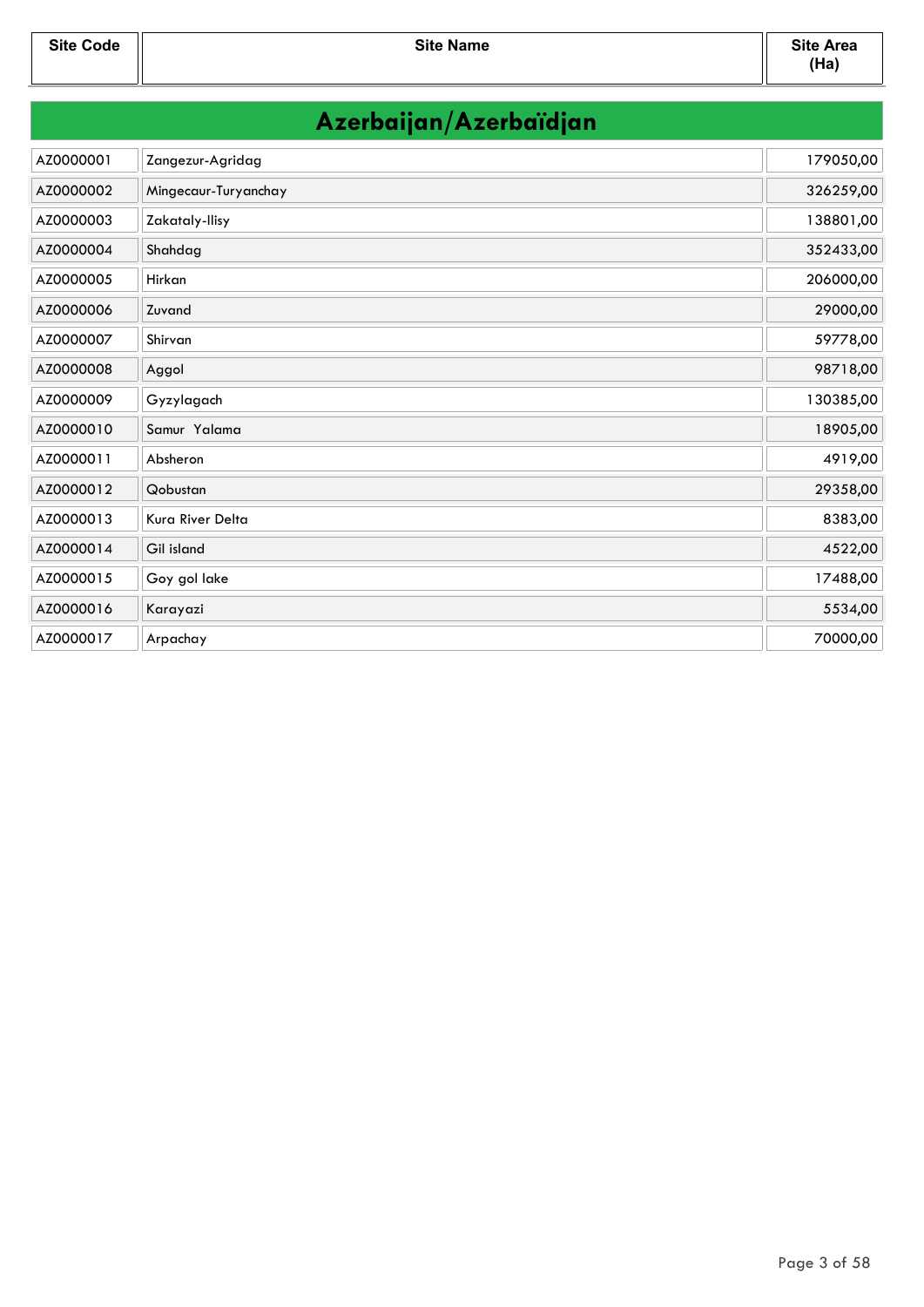|  | Azerbaijan/Azerbaïdjan |  |
|--|------------------------|--|
|  |                        |  |

| AZ0000001 | Zangezur-Agridag     | 179050,00 |
|-----------|----------------------|-----------|
| AZ0000002 | Mingecaur-Turyanchay | 326259,00 |
| AZ0000003 | Zakataly-Ilisy       | 138801,00 |
| AZ0000004 | Shahdag              | 352433,00 |
| AZ0000005 | Hirkan               | 206000,00 |
| AZ0000006 | Zuvand               | 29000,00  |
| AZ0000007 | Shirvan              | 59778,00  |
| AZ0000008 | Aggol                | 98718,00  |
| AZ0000009 | Gyzylagach           | 130385,00 |
| AZ0000010 | Samur Yalama         | 18905,00  |
| AZ0000011 | Absheron             | 4919,00   |
| AZ0000012 | Qobustan             | 29358,00  |
| AZ0000013 | Kura River Delta     | 8383,00   |
| AZ0000014 | Gil island           | 4522,00   |
| AZ0000015 | Goy gol lake         | 17488,00  |
| AZ0000016 | Karayazi             | 5534,00   |
| AZ0000017 | Arpachay             | 70000,00  |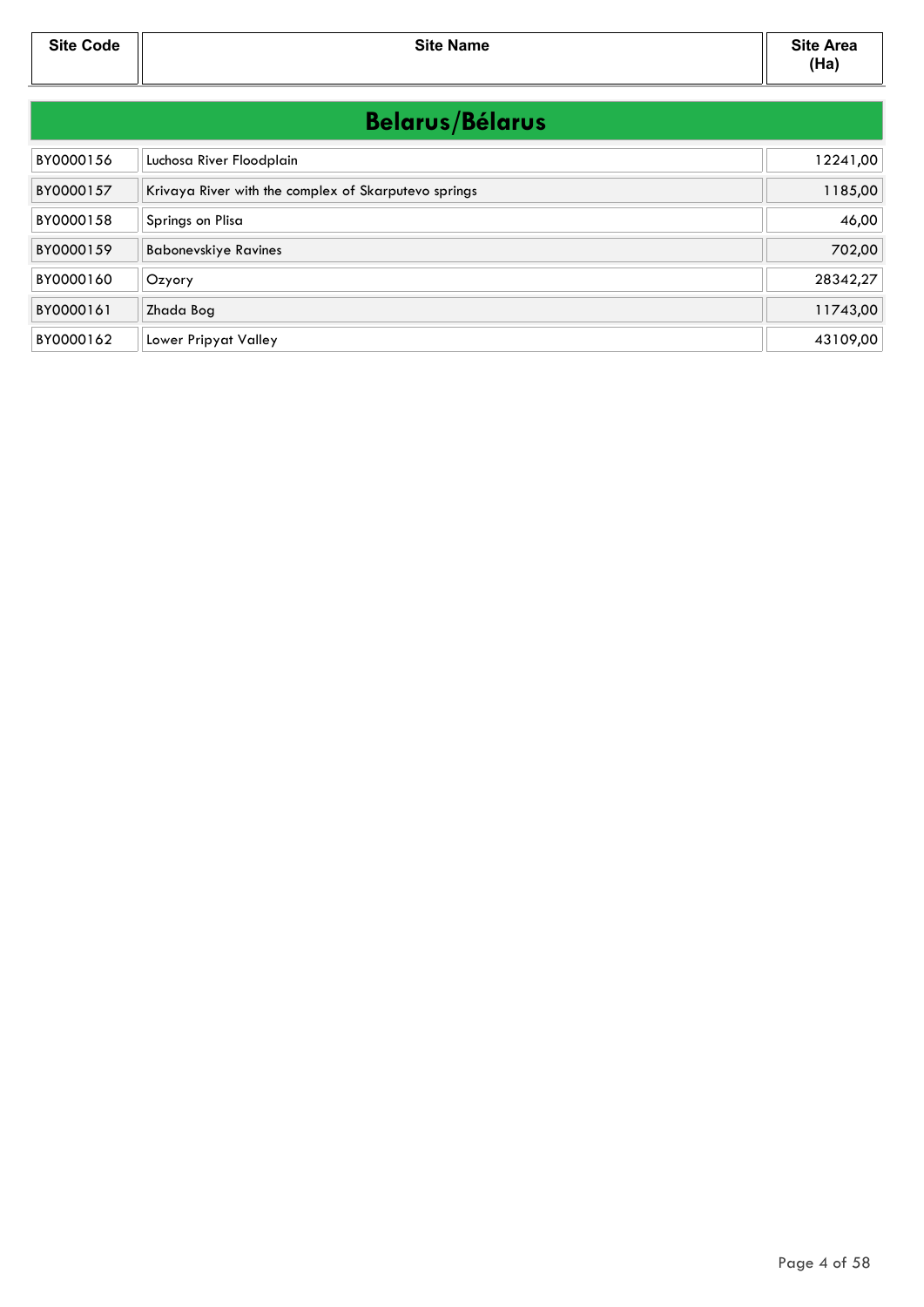**Site Code Site Name Site Area**

| <b>Belarus/Bélarus</b> |                                                      |          |
|------------------------|------------------------------------------------------|----------|
| BY0000156              | Luchosa River Floodplain                             | 12241,00 |
| BY0000157              | Krivaya River with the complex of Skarputevo springs | 1185,00  |
| BY0000158              | Springs on Plisa                                     | 46,00    |
| BY0000159              | <b>Babonevskiye Ravines</b>                          | 702,00   |
| BY0000160              | Ozyory                                               | 28342,27 |
| BY0000161              | Zhada Bog                                            | 11743,00 |
| BY0000162              | Lower Pripyat Valley                                 | 43109,00 |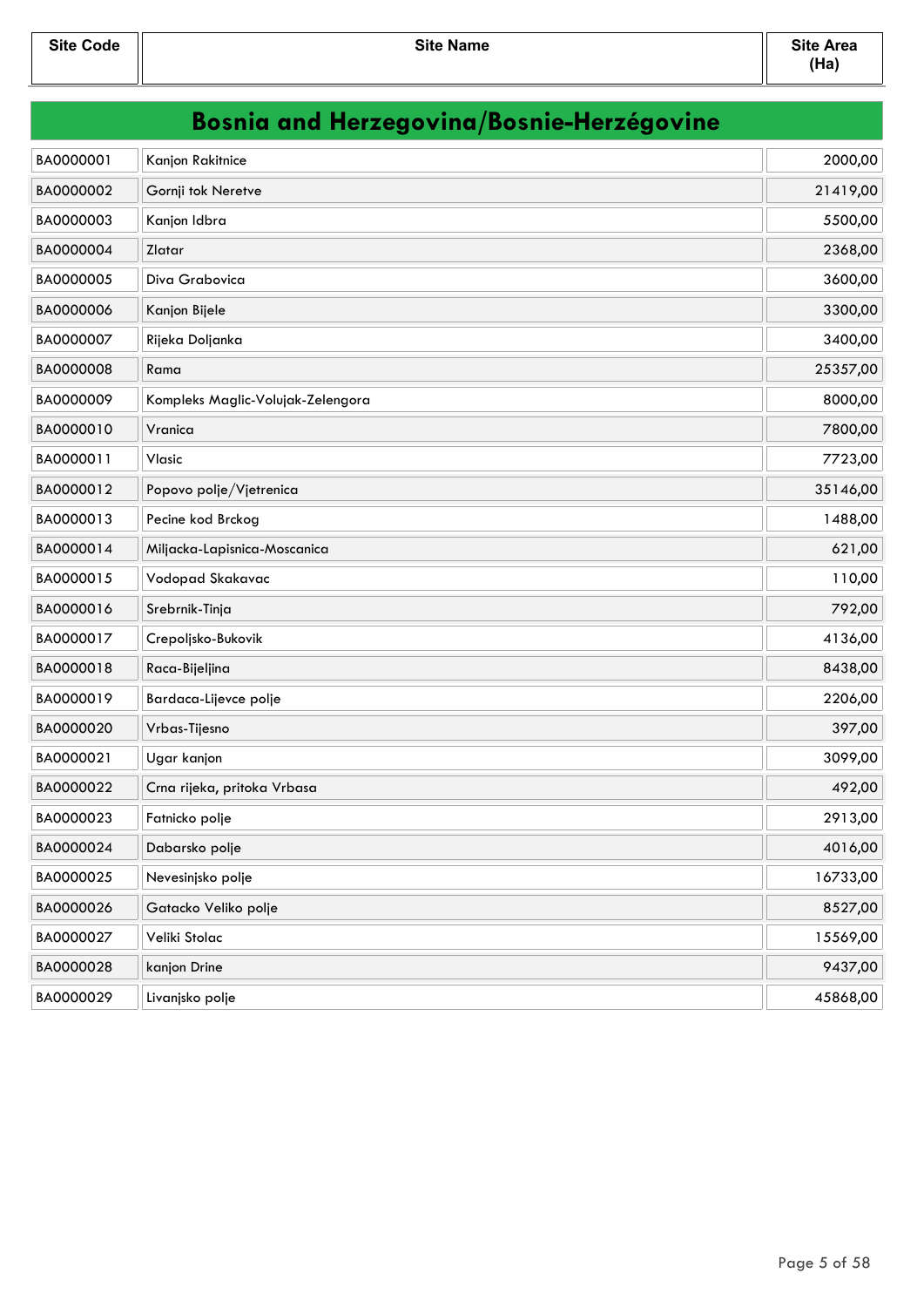| <b>Bosnia and Herzegovina/Bosnie-Herzégovine</b> |                                   |          |
|--------------------------------------------------|-----------------------------------|----------|
| BA0000001                                        | Kanjon Rakitnice                  | 2000,00  |
| BA0000002                                        | Gornji tok Neretve                | 21419,00 |
| BA0000003                                        | Kanjon Idbra                      | 5500,00  |
| BA0000004                                        | Zlatar                            | 2368,00  |
| BA0000005                                        | Diva Grabovica                    | 3600,00  |
| BA0000006                                        | Kanjon Bijele                     | 3300,00  |
| BA0000007                                        | Rijeka Doljanka                   | 3400,00  |
| BA0000008                                        | Rama                              | 25357,00 |
| BA0000009                                        | Kompleks Maglic-Volujak-Zelengora | 8000,00  |
| BA0000010                                        | Vranica                           | 7800,00  |
| BA0000011                                        | Vlasic                            | 7723,00  |
| BA0000012                                        | Popovo polje/Vjetrenica           | 35146,00 |
| BA0000013                                        | Pecine kod Brckog                 | 1488,00  |
| BA0000014                                        | Miljacka-Lapisnica-Moscanica      | 621,00   |
| BA0000015                                        | Vodopad Skakavac                  | 110,00   |
| BA0000016                                        | Srebrnik-Tinja                    | 792,00   |
| BA0000017                                        | Crepoljsko-Bukovik                | 4136,00  |
| BA0000018                                        | Raca-Bijeljina                    | 8438,00  |
| BA0000019                                        | Bardaca-Lijevce polje             | 2206,00  |
| BA0000020                                        | Vrbas-Tijesno                     | 397,00   |
| BA0000021                                        | Ugar kanjon                       | 3099,00  |
| BA0000022                                        | Crna rijeka, pritoka Vrbasa       | 492,00   |
| BA0000023                                        | Fatnicko polje                    | 2913,00  |
| BA0000024                                        | Dabarsko polje                    | 4016,00  |
| BA0000025                                        | Nevesinjsko polje                 | 16733,00 |
| BA0000026                                        | Gatacko Veliko polje              | 8527,00  |
| BA0000027                                        | Veliki Stolac                     | 15569,00 |
| BA0000028                                        | kanjon Drine                      | 9437,00  |
| BA0000029                                        | Livanjsko polje                   | 45868,00 |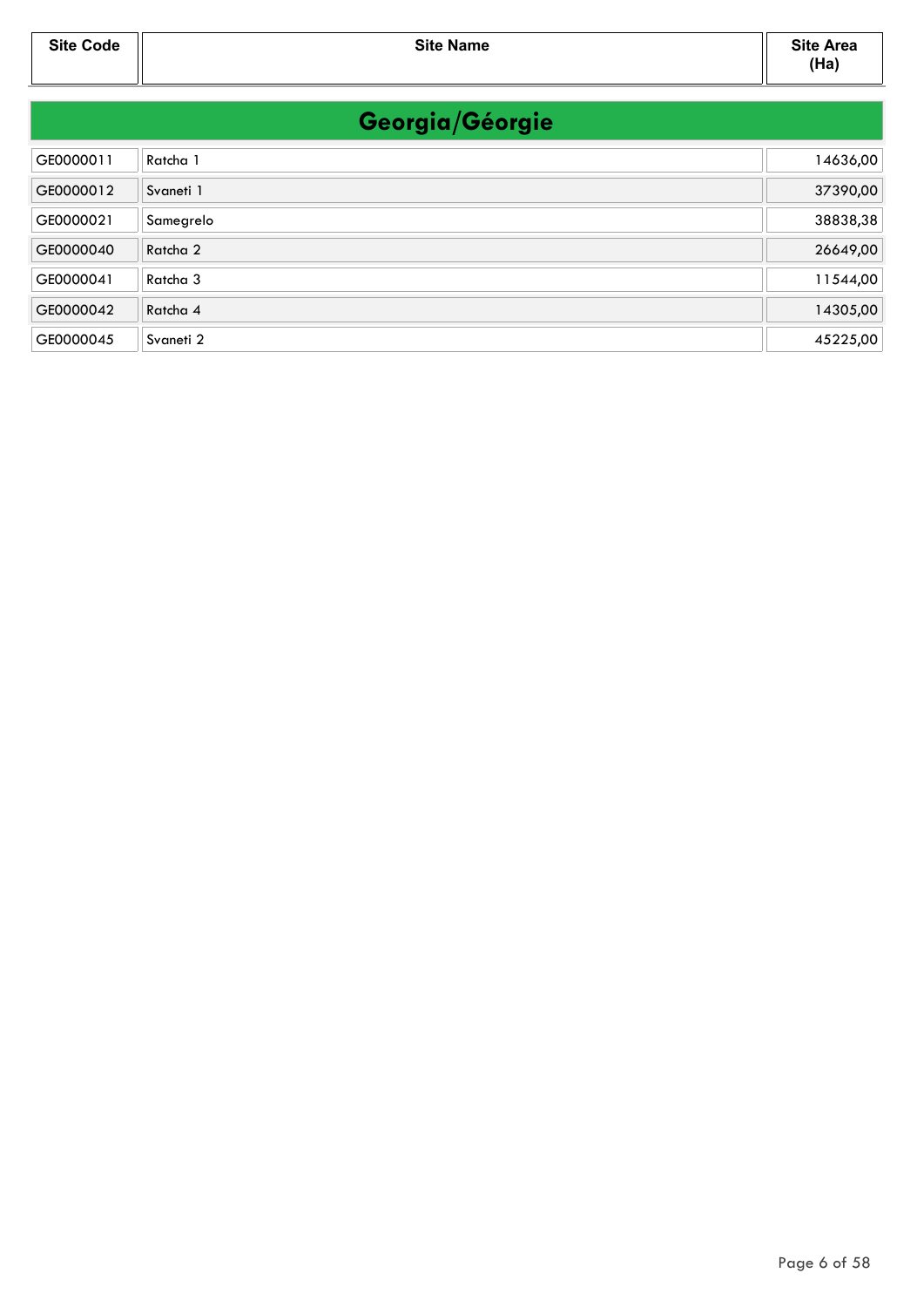| Georgia/Géorgie |                     |          |
|-----------------|---------------------|----------|
| GE0000011       | Ratcha 1            | 14636,00 |
| GE0000012       | Svaneti 1           | 37390,00 |
| GE0000021       | Samegrelo           | 38838,38 |
| GE0000040       | Ratcha 2            | 26649,00 |
| GE0000041       | Ratcha <sub>3</sub> | 11544,00 |
| GE0000042       | Ratcha 4            | 14305,00 |
| GE0000045       | Svaneti 2           | 45225,00 |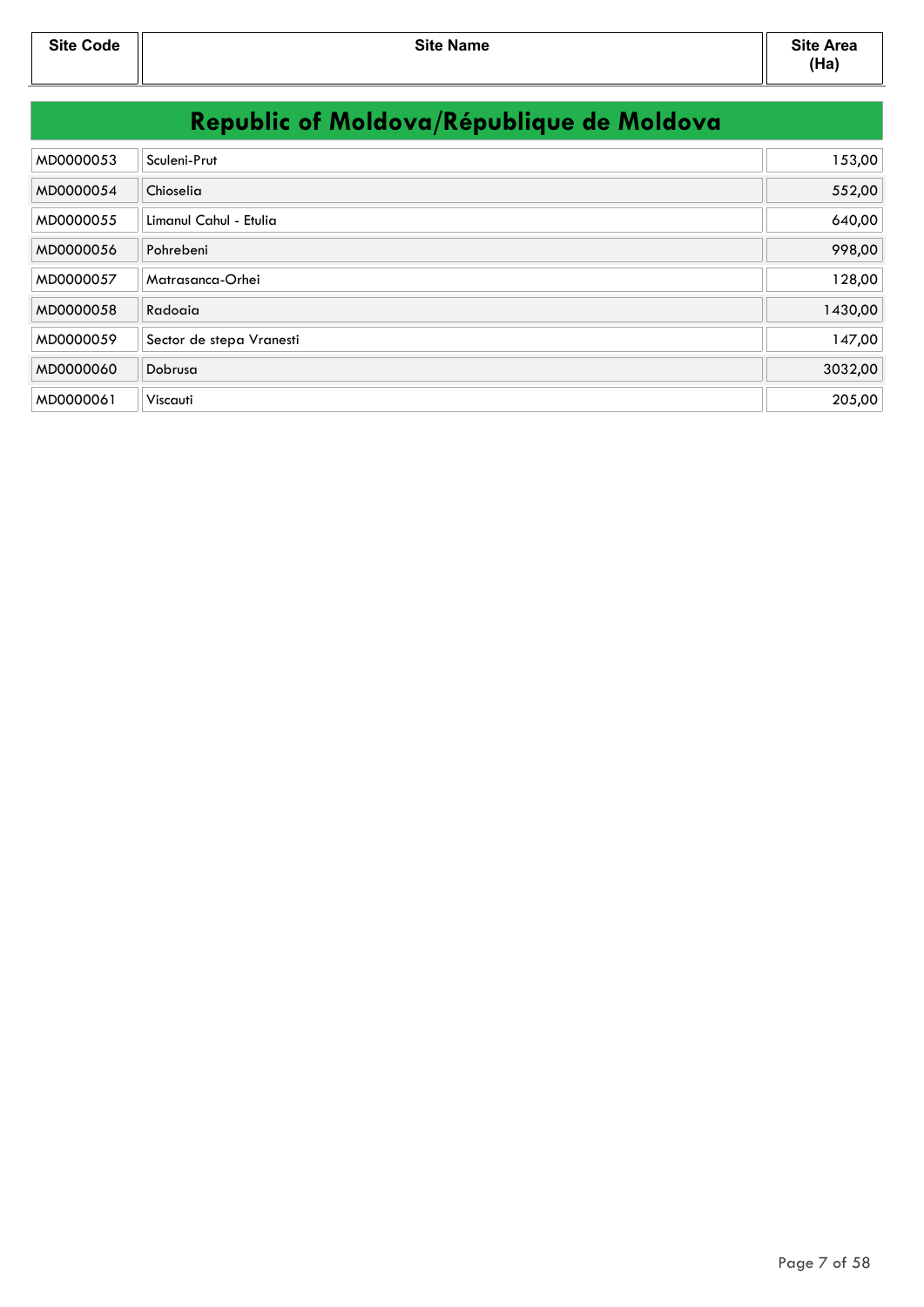| MD0000053 | Sculeni-Prut             | 153,00  |
|-----------|--------------------------|---------|
| MD0000054 | Chioselia                | 552,00  |
| MD0000055 | Limanul Cahul - Etulia   | 640,00  |
| MD0000056 | Pohrebeni                | 998,00  |
| MD0000057 | Matrasanca-Orhei         | 128,00  |
| MD0000058 | Radoaia                  | 1430,00 |
| MD0000059 | Sector de stepa Vranesti | 147,00  |
| MD0000060 | Dobrusa                  | 3032,00 |
| MD0000061 | Viscauti                 | 205,00  |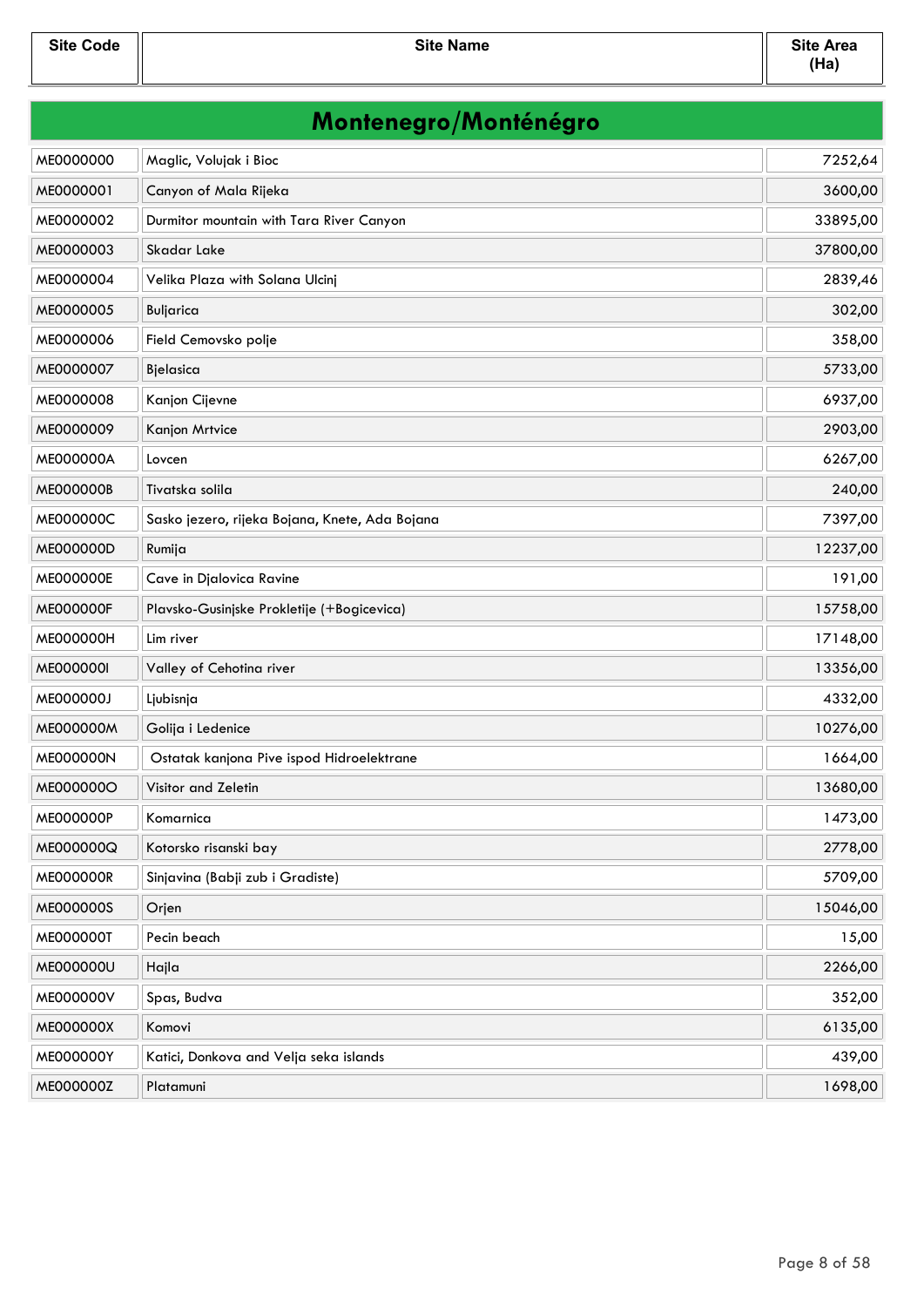**Site Code Site Name Site Area**

| Montenegro/Monténégro |                                                |          |
|-----------------------|------------------------------------------------|----------|
| ME0000000             | Maglic, Volujak i Bioc                         | 7252,64  |
| ME0000001             | Canyon of Mala Rijeka                          | 3600,00  |
| ME0000002             | Durmitor mountain with Tara River Canyon       | 33895,00 |
| ME0000003             | Skadar Lake                                    | 37800,00 |
| ME0000004             | Velika Plaza with Solana Ulcinj                | 2839,46  |
| ME0000005             | Buljarica                                      | 302,00   |
| ME0000006             | Field Cemovsko polje                           | 358,00   |
| ME0000007             | Bjelasica                                      | 5733,00  |
| ME0000008             | Kanjon Cijevne                                 | 6937,00  |
| ME0000009             | Kanjon Mrtvice                                 | 2903,00  |
| ME000000A             | Lovcen                                         | 6267,00  |
| ME000000B             | Tivatska solila                                | 240,00   |
| ME000000C             | Sasko jezero, rijeka Bojana, Knete, Ada Bojana | 7397,00  |
| ME000000D             | Rumija                                         | 12237,00 |
| ME000000E             | Cave in Djalovica Ravine                       | 191,00   |
| <b>ME000000F</b>      | Plavsko-Gusinjske Prokletije (+Bogicevica)     | 15758,00 |
| ME000000H             | Lim river                                      | 17148,00 |
| ME000000I             | Valley of Cehotina river                       | 13356,00 |
| ME000000J             | Ljubisnja                                      | 4332,00  |
| ME000000M             | Golija i Ledenice                              | 10276,00 |
| <b>ME000000N</b>      | Ostatak kanjona Pive ispod Hidroelektrane      | 1664,00  |
| ME000000O             | Visitor and Zeletin                            | 13680,00 |
| ME000000P             | Komarnica                                      | 1473,00  |
| ME000000Q             | Kotorsko risanski bay                          | 2778,00  |
| <b>ME000000R</b>      | Sinjavina (Babji zub i Gradiste)               | 5709,00  |
| ME000000S             | Orjen                                          | 15046,00 |
| ME000000T             | Pecin beach                                    | 15,00    |
| ME000000U             | Hajla                                          | 2266,00  |
| ME000000V             | Spas, Budva                                    | 352,00   |
| ME000000X             | Komovi                                         | 6135,00  |
| ME000000Y             | Katici, Donkova and Velja seka islands         | 439,00   |
| ME000000Z             | Platamuni                                      | 1698,00  |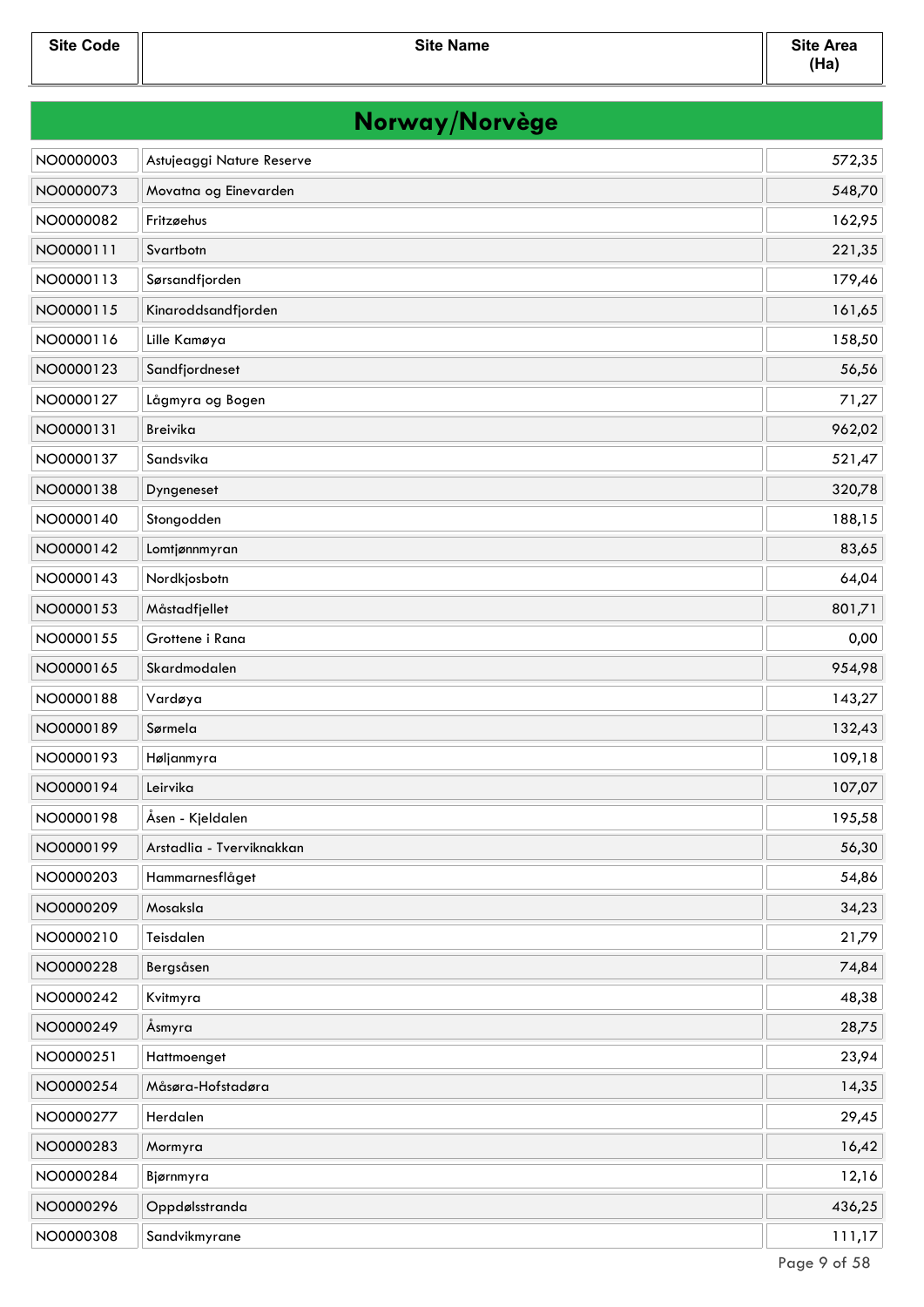| Norway/Norvège |                           |        |
|----------------|---------------------------|--------|
| NO0000003      | Astujeaggi Nature Reserve | 572,35 |
| NO0000073      | Movatna og Einevarden     | 548,70 |
| NO0000082      | Fritzøehus                | 162,95 |
| NO0000111      | Svartbotn                 | 221,35 |
| NO0000113      | Sørsandfjorden            | 179,46 |
| NO0000115      | Kinaroddsandfjorden       | 161,65 |
| NO0000116      | Lille Kamøya              | 158,50 |
| NO0000123      | Sandfjordneset            | 56,56  |
| NO0000127      | Lågmyra og Bogen          | 71,27  |
| NO0000131      | Breivika                  | 962,02 |
| NO0000137      | Sandsvika                 | 521,47 |
| NO0000138      | Dyngeneset                | 320,78 |
| NO0000140      | Stongodden                | 188,15 |
| NO0000142      | Lomtjønnmyran             | 83,65  |
| NO0000143      | Nordkjosbotn              | 64,04  |
| NO0000153      | Måstadfjellet             | 801,71 |
| NO0000155      | Grottene i Rana           | 0,00   |
| NO0000165      | Skardmodalen              | 954,98 |
| NO0000188      | Vardøya                   | 143,27 |
| NO0000189      | Sørmela                   | 132,43 |
| NO0000193      | Høljanmyra                | 109,18 |
| NO0000194      | Leirvika                  | 107,07 |
| NO0000198      | Åsen - Kjeldalen          | 195,58 |
| NO0000199      | Arstadlia - Tverviknakkan | 56,30  |
| NO0000203      | Hammarnesflåget           | 54,86  |
| NO0000209      | Mosaksla                  | 34,23  |
| NO0000210      | Teisdalen                 | 21,79  |
| NO0000228      | Bergsåsen                 | 74,84  |
| NO0000242      | Kvitmyra                  | 48,38  |
| NO0000249      | Åsmyra                    | 28,75  |
| NO0000251      | Hattmoenget               | 23,94  |
| NO0000254      | Måsøra-Hofstadøra         | 14,35  |
| NO0000277      | Herdalen                  | 29,45  |
| NO0000283      | Mormyra                   | 16,42  |
| NO0000284      | Bjørnmyra                 | 12,16  |
| NO0000296      | Oppdølsstranda            | 436,25 |
| NO0000308      | Sandvikmyrane             | 111,17 |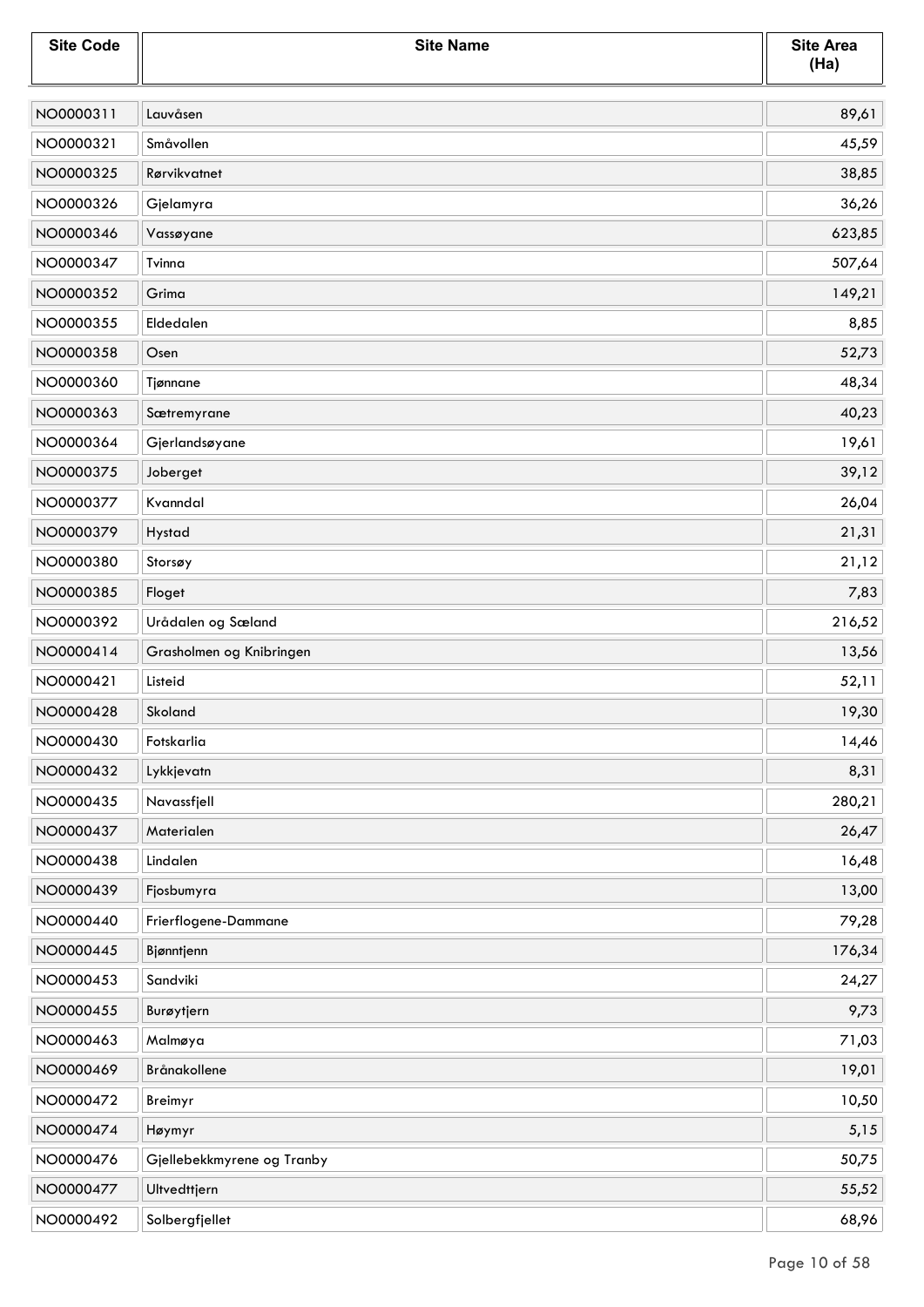| <b>Site Code</b> | <b>Site Name</b>           | <b>Site Area</b><br>(Ha) |
|------------------|----------------------------|--------------------------|
| NO0000311        | Lauvåsen                   | 89,61                    |
| NO0000321        | Småvollen                  | 45,59                    |
| NO0000325        | Rørvikvatnet               | 38,85                    |
| NO0000326        | Gjelamyra                  | 36,26                    |
| NO0000346        | Vassøyane                  | 623,85                   |
| NO0000347        | Tvinna                     | 507,64                   |
| NO0000352        | Grima                      | 149,21                   |
| NO0000355        | Eldedalen                  | 8,85                     |
| NO0000358        | Osen                       | 52,73                    |
| NO0000360        | Tjønnane                   | 48,34                    |
| NO0000363        | Sætremyrane                | 40,23                    |
| NO0000364        | Gjerlandsøyane             | 19,61                    |
| NO0000375        | Joberget                   | 39,12                    |
| NO0000377        | Kvanndal                   | 26,04                    |
| NO0000379        | Hystad                     | 21,31                    |
| NO0000380        | Storsøy                    | 21,12                    |
| NO0000385        | Floget                     | 7,83                     |
| NO0000392        | Urådalen og Sæland         | 216,52                   |
| NO0000414        | Grasholmen og Knibringen   | 13,56                    |
| NO0000421        | Listeid                    | 52,11                    |
| NO0000428        | Skoland                    | 19,30                    |
| NO0000430        | Fotskarlia                 | 14,46                    |
| NO0000432        | Lykkjevatn                 | 8,31                     |
| NO0000435        | Navassfjell                | 280,21                   |
| NO0000437        | Materialen                 | 26,47                    |
| NO0000438        | Lindalen                   | 16,48                    |
| NO0000439        | Fjosbumyra                 | 13,00                    |
| NO0000440        | Frierflogene-Dammane       | 79,28                    |
| NO0000445        | Bjønntjenn                 | 176,34                   |
| NO0000453        | Sandviki                   | 24,27                    |
| NO0000455        | Burøytjern                 | 9,73                     |
| NO0000463        | Malmøya                    | 71,03                    |
| NO0000469        | Brånakollene               | 19,01                    |
| NO0000472        | Breimyr                    | 10,50                    |
| NO0000474        | Høymyr                     | 5,15                     |
| NO0000476        | Gjellebekkmyrene og Tranby | 50,75                    |
| NO0000477        | Ultvedttjern               | 55,52                    |
| NO0000492        | Solbergfjellet             | 68,96                    |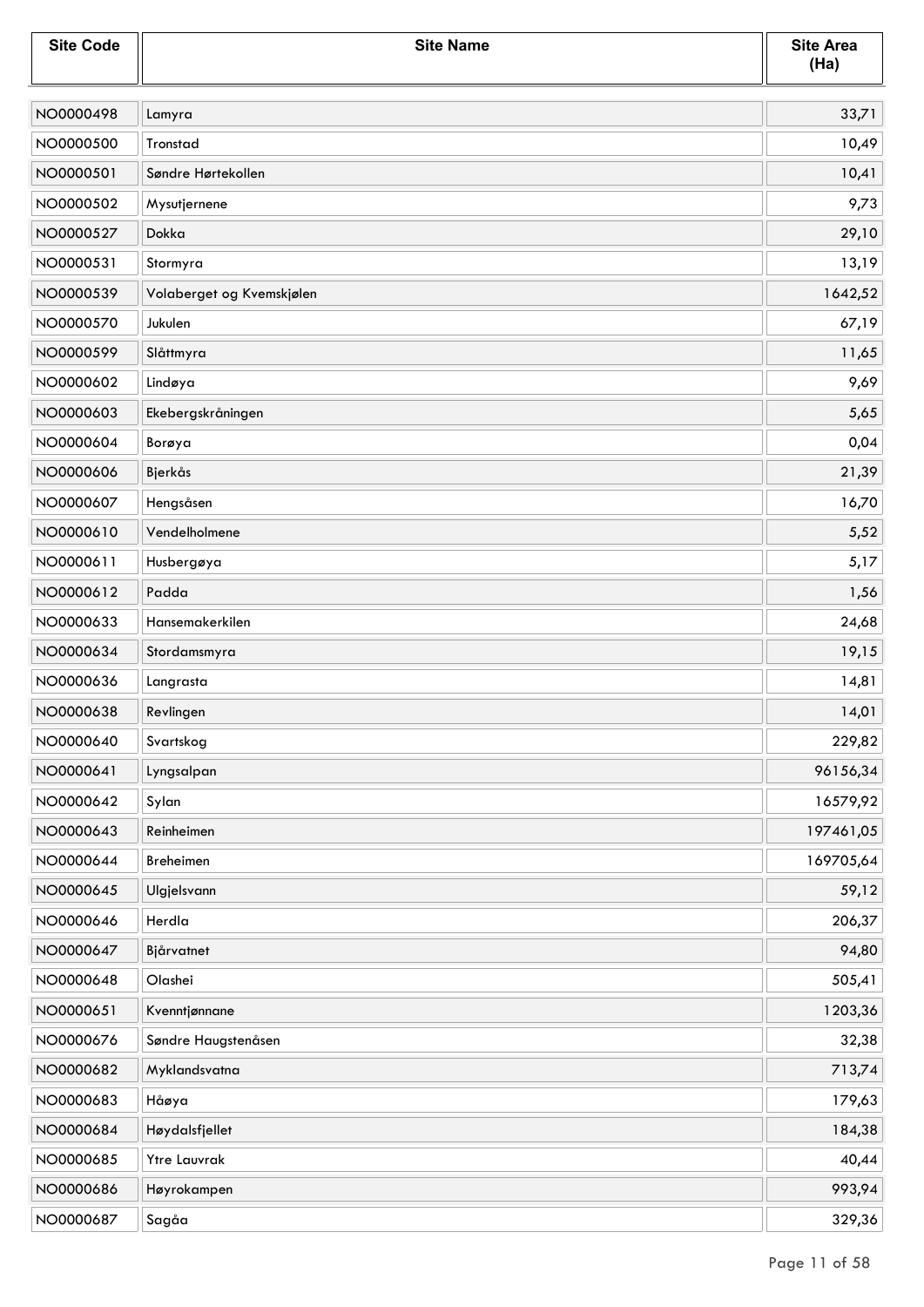| <b>Site Code</b> | <b>Site Name</b>          | <b>Site Area</b><br>(Ha) |
|------------------|---------------------------|--------------------------|
| NO0000498        | Lamyra                    | 33,71                    |
| NO0000500        | Tronstad                  | 10,49                    |
| NO0000501        | Søndre Hørtekollen        | 10,41                    |
| NO0000502        | Mysutjernene              | 9,73                     |
| NO0000527        | Dokka                     | 29,10                    |
| NO0000531        | Stormyra                  | 13,19                    |
| NO0000539        | Volaberget og Kvemskjølen | 1642,52                  |
| NO0000570        | Jukulen                   | 67,19                    |
| NO0000599        | Slåttmyra                 | 11,65                    |
| NO0000602        | Lindøya                   | 9,69                     |
| NO0000603        | Ekebergskråningen         | 5,65                     |
| NO0000604        | Borøya                    | 0,04                     |
| NO0000606        | Bjerkås                   | 21,39                    |
| NO0000607        | Hengsåsen                 | 16,70                    |
| NO0000610        | Vendelholmene             | 5,52                     |
| NO0000611        | Husbergøya                | 5,17                     |
| NO0000612        | Padda                     | 1,56                     |
| NO0000633        | Hansemakerkilen           | 24,68                    |
| NO0000634        | Stordamsmyra              | 19,15                    |
| NO0000636        | Langrasta                 | 14,81                    |
| NO0000638        | Revlingen                 | 14,01                    |
| NO0000640        | Svartskog                 | 229,82                   |
| NO0000641        | Lyngsalpan                | 96156,34                 |
| NO0000642        | Sylan                     | 16579,92                 |
| NO0000643        | Reinheimen                | 197461,05                |
| NO0000644        | Breheimen                 | 169705,64                |
| NO0000645        | Ulgjelsvann               | 59,12                    |
| NO0000646        | Herdla                    | 206,37                   |
| NO0000647        | Bjårvatnet                | 94,80                    |
| NO0000648        | Olashei                   | 505,41                   |
| NO0000651        | Kvenntjønnane             | 1203,36                  |
| NO0000676        | Søndre Haugstenåsen       | 32,38                    |
| NO0000682        | Myklandsvatna             | 713,74                   |
| NO0000683        | Håøya                     | 179,63                   |
| NO0000684        | Høydalsfjellet            | 184,38                   |
| NO0000685        | <b>Ytre Lauvrak</b>       | 40,44                    |
| NO0000686        | Høyrokampen               | 993,94                   |
| NO0000687        | Sagåa                     | 329,36                   |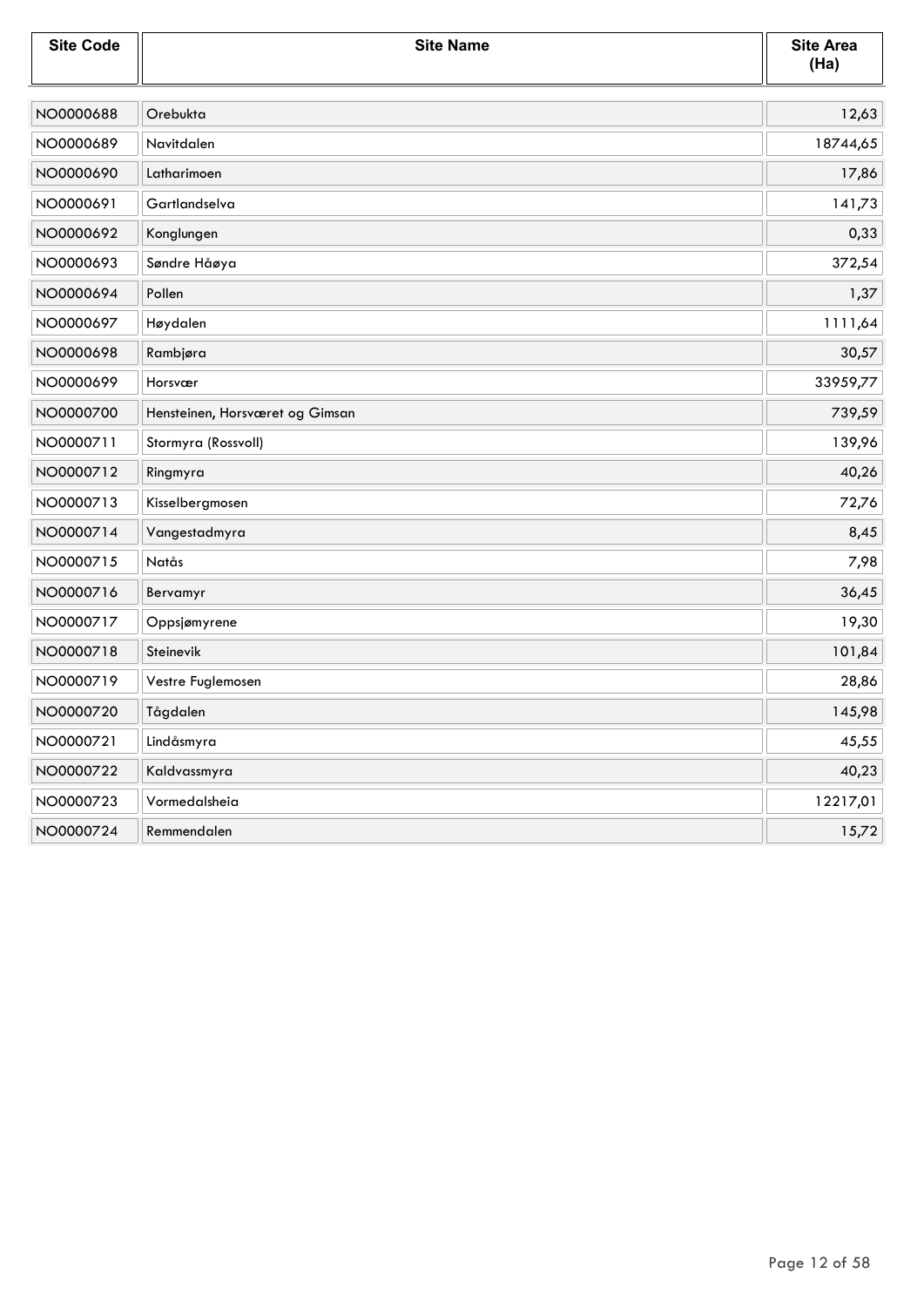| <b>Site Code</b> | <b>Site Name</b>                | <b>Site Area</b><br>(Ha) |
|------------------|---------------------------------|--------------------------|
| NO0000688        | Orebukta                        | 12,63                    |
| NO0000689        | Navitdalen                      | 18744,65                 |
| NO0000690        | Latharimoen                     | 17,86                    |
| NO0000691        | Gartlandselva                   | 141,73                   |
| NO0000692        | Konglungen                      | 0,33                     |
| NO0000693        | Søndre Håøya                    | 372,54                   |
| NO0000694        | Pollen                          | 1,37                     |
| NO0000697        | Høydalen                        | 1111,64                  |
| NO0000698        | Rambjøra                        | 30,57                    |
| NO0000699        | Horsvær                         | 33959,77                 |
| NO0000700        | Hensteinen, Horsværet og Gimsan | 739,59                   |
| NO0000711        | Stormyra (Rossvoll)             | 139,96                   |
| NO0000712        | Ringmyra                        | 40,26                    |
| NO0000713        | Kisselbergmosen                 | 72,76                    |
| NO0000714        | Vangestadmyra                   | 8,45                     |
| NO0000715        | Natås                           | 7,98                     |
| NO0000716        | Bervamyr                        | 36,45                    |
| NO0000717        | Oppsjømyrene                    | 19,30                    |
| NO0000718        | Steinevik                       | 101,84                   |
| NO0000719        | Vestre Fuglemosen               | 28,86                    |
| NO0000720        | Tågdalen                        | 145,98                   |
| NO0000721        | Lindåsmyra                      | 45,55                    |
| NO0000722        | Kaldvassmyra                    | 40,23                    |
| NO0000723        | Vormedalsheia                   | 12217,01                 |
| NO0000724        | Remmendalen                     | 15,72                    |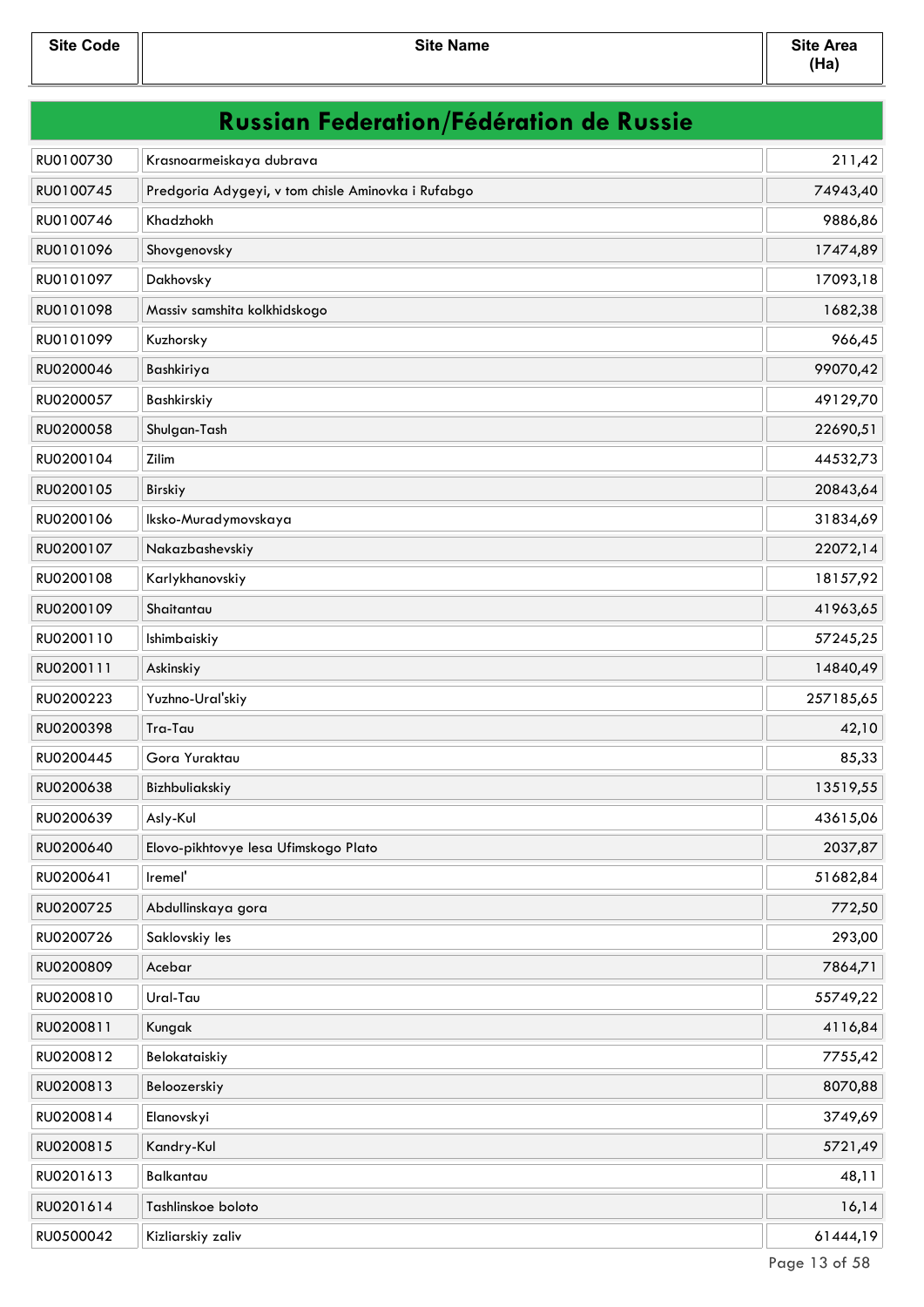| <b>Russian Federation/Fédération de Russie</b> |                                                    |           |
|------------------------------------------------|----------------------------------------------------|-----------|
| RU0100730                                      | Krasnoarmeiskaya dubrava                           | 211,42    |
| RU0100745                                      | Predgoria Adygeyi, v tom chisle Aminovka i Rufabgo | 74943,40  |
| RU0100746                                      | Khadzhokh                                          | 9886,86   |
| RU0101096                                      | Shovgenovsky                                       | 17474,89  |
| RU0101097                                      | Dakhovsky                                          | 17093,18  |
| RU0101098                                      | Massiv samshita kolkhidskogo                       | 1682,38   |
| RU0101099                                      | Kuzhorsky                                          | 966,45    |
| RU0200046                                      | Bashkiriya                                         | 99070,42  |
| RU0200057                                      | Bashkirskiy                                        | 49129,70  |
| RU0200058                                      | Shulgan-Tash                                       | 22690,51  |
| RU0200104                                      | Zilim                                              | 44532,73  |
| RU0200105                                      | Birskiy                                            | 20843,64  |
| RU0200106                                      | Iksko-Muradymovskaya                               | 31834,69  |
| RU0200107                                      | Nakazbashevskiy                                    | 22072,14  |
| RU0200108                                      | Karlykhanovskiy                                    | 18157,92  |
| RU0200109                                      | Shaitantau                                         | 41963,65  |
| RU0200110                                      | Ishimbaiskiy                                       | 57245,25  |
| RU0200111                                      | Askinskiy                                          | 14840,49  |
| RU0200223                                      | Yuzhno-Ural'skiy                                   | 257185,65 |
| RU0200398                                      | Tra-Tau                                            | 42,10     |
| RU0200445                                      | Gora Yuraktau                                      | 85,33     |
| RU0200638                                      | Bizhbuliakskiy                                     | 13519,55  |
| RU0200639                                      | Asly-Kul                                           | 43615,06  |
| RU0200640                                      | Elovo-pikhtovye lesa Ufimskogo Plato               | 2037,87   |
| RU0200641                                      | Iremel'                                            | 51682,84  |
| RU0200725                                      | Abdullinskaya gora                                 | 772,50    |
| RU0200726                                      | Saklovskiy les                                     | 293,00    |
| RU0200809                                      | Acebar                                             | 7864,71   |
| RU0200810                                      | Ural-Tau                                           | 55749,22  |
| RU0200811                                      | Kungak                                             | 4116,84   |
| RU0200812                                      | Belokataiskiy                                      | 7755,42   |
| RU0200813                                      | Beloozerskiy                                       | 8070,88   |
| RU0200814                                      | Elanovskyi                                         | 3749,69   |
| RU0200815                                      | Kandry-Kul                                         | 5721,49   |
| RU0201613                                      | Balkantau                                          | 48,11     |
| RU0201614                                      | Tashlinskoe boloto                                 | 16,14     |
| RU0500042                                      | Kizliarskiy zaliv                                  | 61444,19  |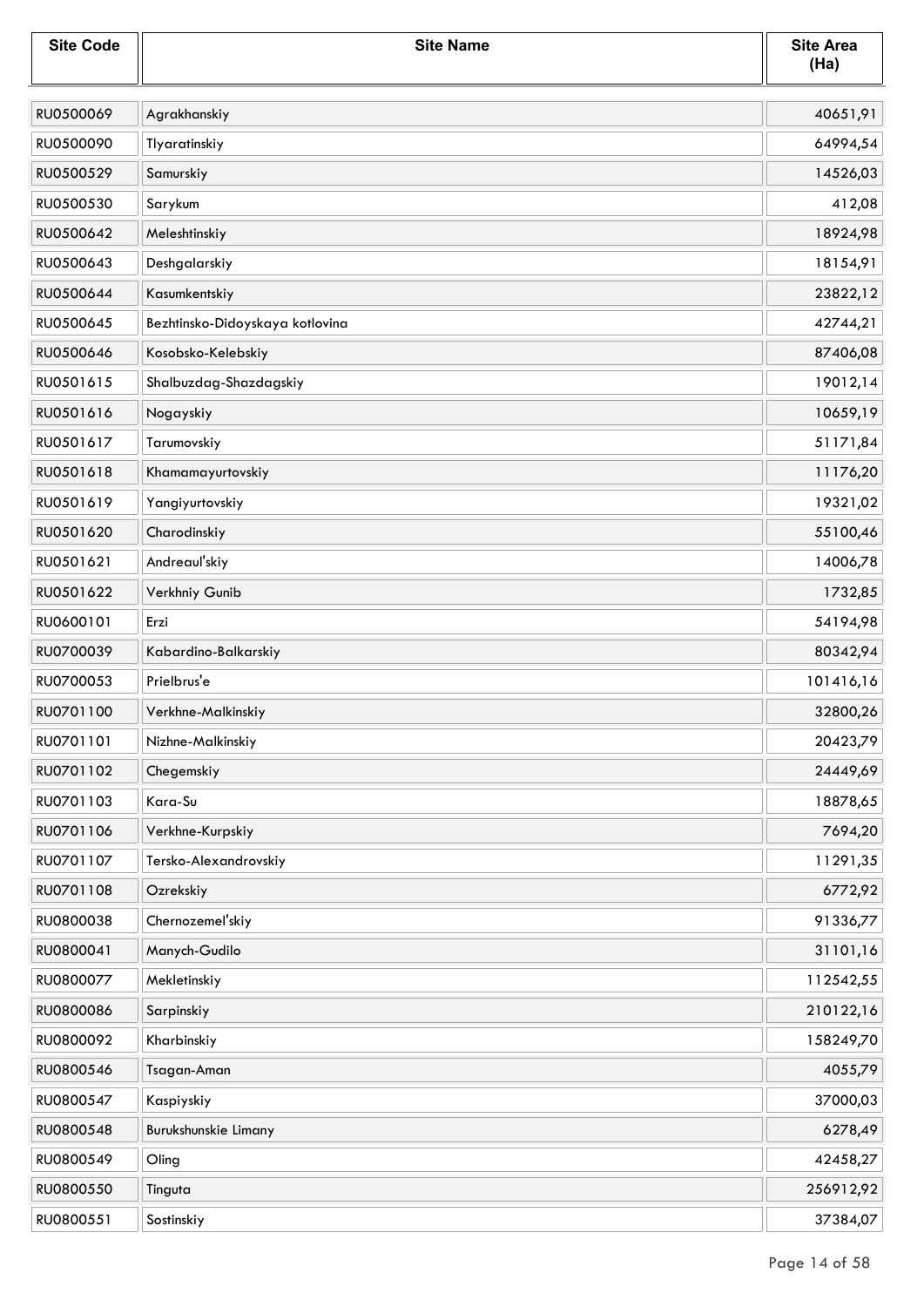| <b>Site Code</b> | <b>Site Name</b>                | <b>Site Area</b><br>(Ha) |
|------------------|---------------------------------|--------------------------|
| RU0500069        | Agrakhanskiy                    | 40651,91                 |
| RU0500090        | Tlyaratinskiy                   | 64994,54                 |
| RU0500529        | Samurskiy                       | 14526,03                 |
| RU0500530        | Sarykum                         | 412,08                   |
| RU0500642        | Meleshtinskiy                   | 18924,98                 |
| RU0500643        | Deshgalarskiy                   | 18154,91                 |
| RU0500644        | Kasumkentskiy                   | 23822,12                 |
| RU0500645        | Bezhtinsko-Didoyskaya kotlovina | 42744,21                 |
| RU0500646        | Kosobsko-Kelebskiy              | 87406,08                 |
| RU0501615        | Shalbuzdag-Shazdagskiy          | 19012,14                 |
| RU0501616        | Nogayskiy                       | 10659,19                 |
| RU0501617        | Tarumovskiy                     | 51171,84                 |
| RU0501618        | Khamamayurtovskiy               | 11176,20                 |
| RU0501619        | Yangiyurtovskiy                 | 19321,02                 |
| RU0501620        | Charodinskiy                    | 55100,46                 |
| RU0501621        | Andreaul'skiy                   | 14006,78                 |
| RU0501622        | Verkhniy Gunib                  | 1732,85                  |
| RU0600101        | Erzi                            | 54194,98                 |
| RU0700039        | Kabardino-Balkarskiy            | 80342,94                 |
| RU0700053        | Prielbrus'e                     | 101416,16                |
| RU0701100        | Verkhne-Malkinskiy              | 32800,26                 |
| RU0701101        | Nizhne-Malkinskiy               | 20423,79                 |
| RU0701102        | Chegemskiy                      | 24449,69                 |
| RU0701103        | Kara-Su                         | 18878,65                 |
| RU0701106        | Verkhne-Kurpskiy                | 7694,20                  |
| RU0701107        | Tersko-Alexandrovskiy           | 11291,35                 |
| RU0701108        | Ozrekskiy                       | 6772,92                  |
| RU0800038        | Chernozemel'skiy                | 91336,77                 |
| RU0800041        | Manych-Gudilo                   | 31101,16                 |
| RU0800077        | Mekletinskiy                    | 112542,55                |
| RU0800086        | Sarpinskiy                      | 210122,16                |
| RU0800092        | Kharbinskiy                     | 158249,70                |
| RU0800546        | Tsagan-Aman                     | 4055,79                  |
| RU0800547        | Kaspiyskiy                      | 37000,03                 |
| RU0800548        | Burukshunskie Limany            | 6278,49                  |
| RU0800549        | Oling                           | 42458,27                 |
| RU0800550        | Tinguta                         | 256912,92                |
| RU0800551        | Sostinskiy                      | 37384,07                 |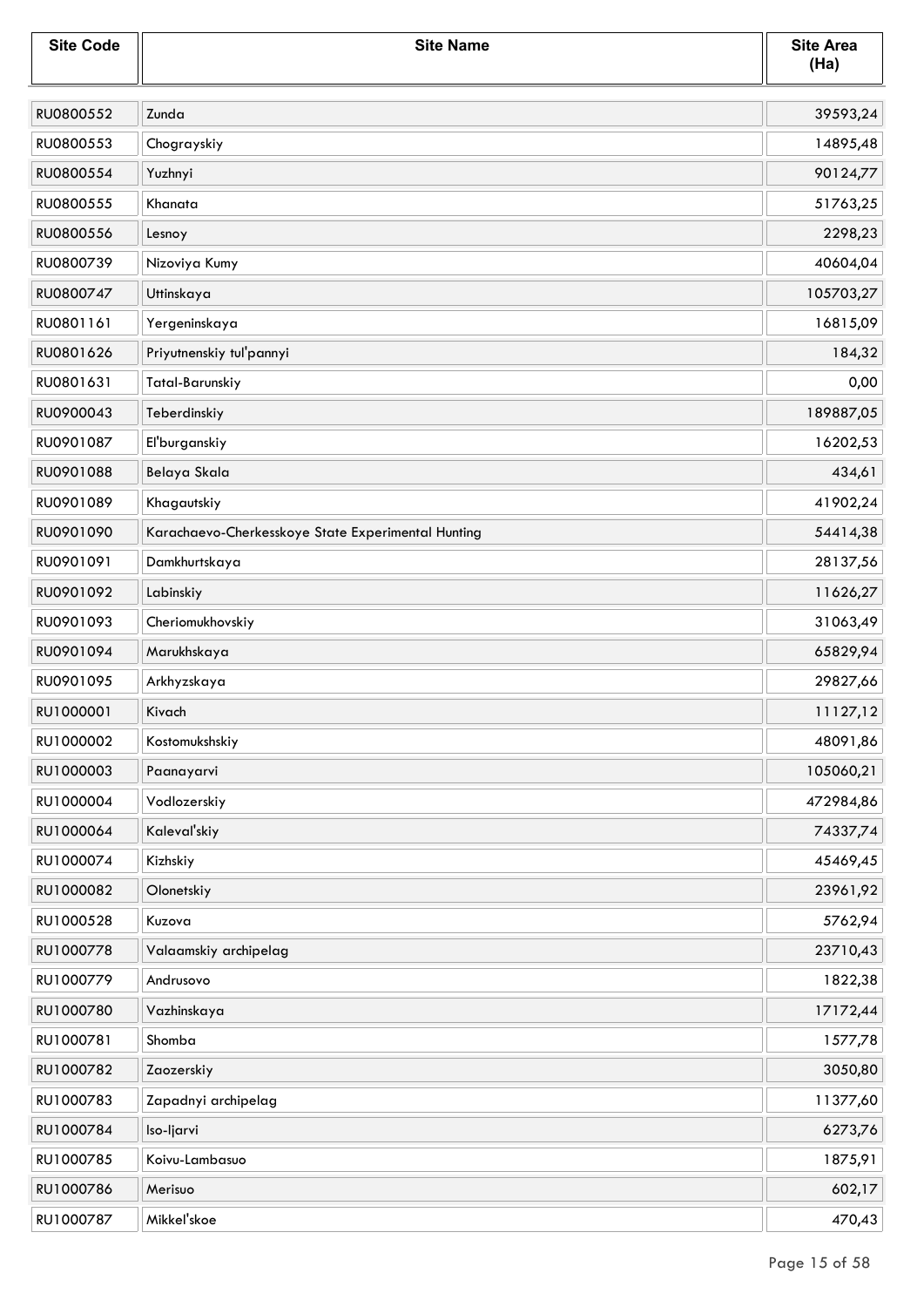| <b>Site Code</b> | <b>Site Name</b>                                   | <b>Site Area</b><br>(Ha) |
|------------------|----------------------------------------------------|--------------------------|
| RU0800552        | Zunda                                              | 39593,24                 |
| RU0800553        | Chograyskiy                                        | 14895,48                 |
| RU0800554        | Yuzhnyi                                            | 90124,77                 |
| RU0800555        | Khanata                                            | 51763,25                 |
| RU0800556        | Lesnoy                                             | 2298,23                  |
| RU0800739        | Nizoviya Kumy                                      | 40604,04                 |
| RU0800747        | Uttinskaya                                         | 105703,27                |
| RU0801161        | Yergeninskaya                                      | 16815,09                 |
| RU0801626        | Priyutnenskiy tul'pannyi                           | 184,32                   |
| RU0801631        | Tatal-Barunskiy                                    | 0,00                     |
| RU0900043        | Teberdinskiy                                       | 189887,05                |
| RU0901087        | El'burganskiy                                      | 16202,53                 |
| RU0901088        | Belaya Skala                                       | 434,61                   |
| RU0901089        | Khagautskiy                                        | 41902,24                 |
| RU0901090        | Karachaevo-Cherkesskoye State Experimental Hunting | 54414,38                 |
| RU0901091        | Damkhurtskaya                                      | 28137,56                 |
| RU0901092        | Labinskiy                                          | 11626,27                 |
| RU0901093        | Cheriomukhovskiy                                   | 31063,49                 |
| RU0901094        | Marukhskaya                                        | 65829,94                 |
| RU0901095        | Arkhyzskaya                                        | 29827,66                 |
| RU1000001        | Kivach                                             | 11127,12                 |
| RU1000002        | Kostomukshskiy                                     | 48091,86                 |
| RU1000003        | Paanayarvi                                         | 105060,21                |
| RU1000004        | Vodlozerskiy                                       | 472984,86                |
| RU1000064        | Kaleval'skiy                                       | 74337,74                 |
| RU1000074        | Kizhskiy                                           | 45469,45                 |
| RU1000082        | Olonetskiy                                         | 23961,92                 |
| RU1000528        | Kuzova                                             | 5762,94                  |
| RU1000778        | Valaamskiy archipelag                              | 23710,43                 |
| RU1000779        | Andrusovo                                          | 1822,38                  |
| RU1000780        | Vazhinskaya                                        | 17172,44                 |
| RU1000781        | Shomba                                             | 1577,78                  |
| RU1000782        | Zaozerskiy                                         | 3050,80                  |
| RU1000783        | Zapadnyi archipelag                                | 11377,60                 |
| RU1000784        | Iso-ljarvi                                         | 6273,76                  |
| RU1000785        | Koivu-Lambasuo                                     | 1875,91                  |
| RU1000786        | Merisuo                                            | 602,17                   |
| RU1000787        | Mikkel'skoe                                        | 470,43                   |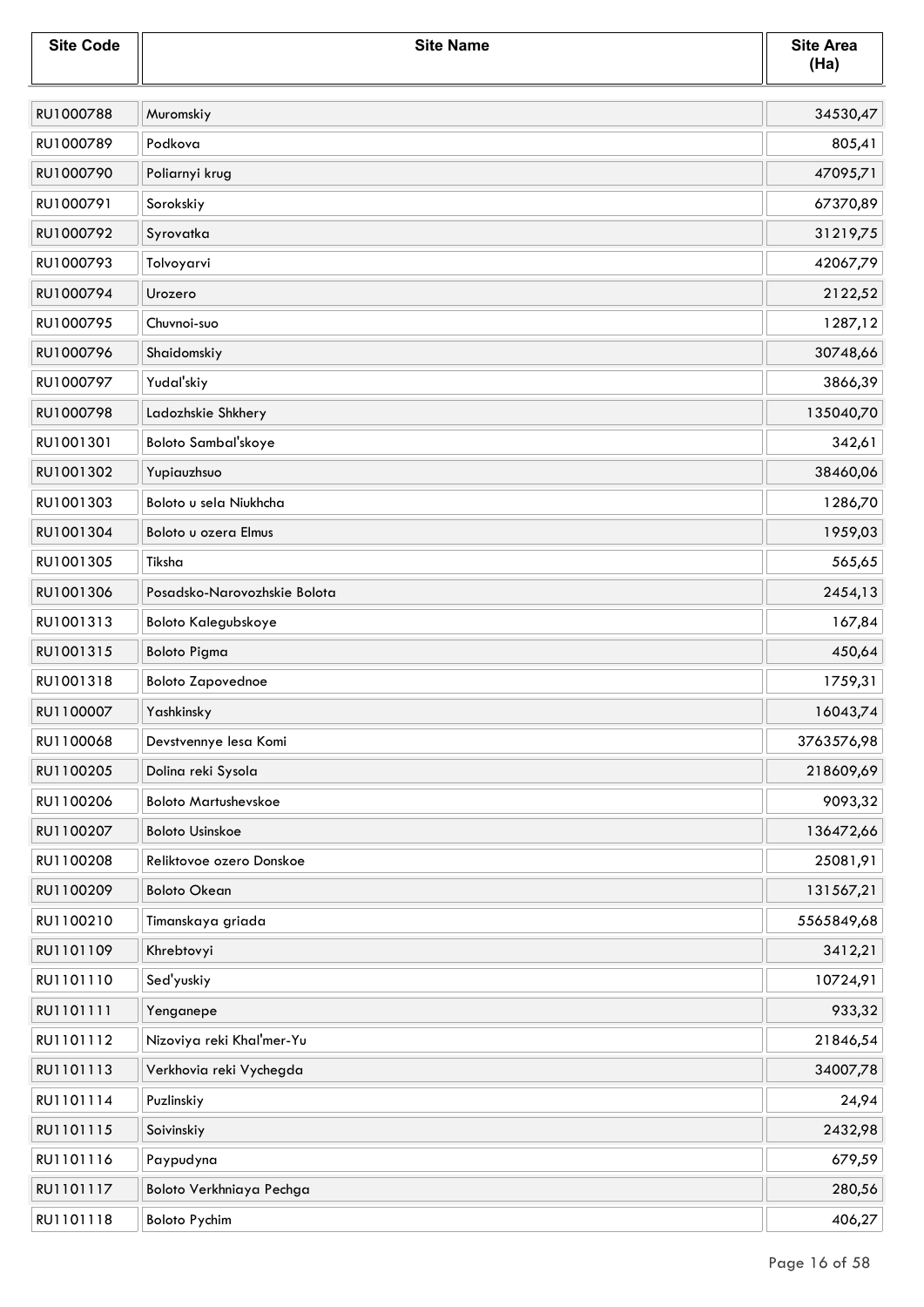| <b>Site Code</b> | <b>Site Name</b>             | <b>Site Area</b><br>(Ha) |
|------------------|------------------------------|--------------------------|
| RU1000788        | Muromskiy                    | 34530,47                 |
| RU1000789        | Podkova                      | 805,41                   |
| RU1000790        | Poliarnyi krug               | 47095,71                 |
| RU1000791        | Sorokskiy                    | 67370,89                 |
| RU1000792        | Syrovatka                    | 31219,75                 |
| RU1000793        | Tolvoyarvi                   | 42067,79                 |
| RU1000794        | Urozero                      | 2122,52                  |
| RU1000795        | Chuvnoi-suo                  | 1287,12                  |
| RU1000796        | Shaidomskiy                  | 30748,66                 |
| RU1000797        | Yudal'skiy                   | 3866,39                  |
| RU1000798        | Ladozhskie Shkhery           | 135040,70                |
| RU1001301        | Boloto Sambal'skoye          | 342,61                   |
| RU1001302        | Yupiauzhsuo                  | 38460,06                 |
| RU1001303        | Boloto u sela Niukhcha       | 1286,70                  |
| RU1001304        | Boloto u ozera Elmus         | 1959,03                  |
| RU1001305        | Tiksha                       | 565,65                   |
| RU1001306        | Posadsko-Narovozhskie Bolota | 2454,13                  |
| RU1001313        | <b>Boloto Kalegubskoye</b>   | 167,84                   |
| RU1001315        | <b>Boloto Pigma</b>          | 450,64                   |
| RU1001318        | <b>Boloto Zapovednoe</b>     | 1759,31                  |
| RU1100007        | Yashkinsky                   | 16043,74                 |
| RU1100068        | Devstvennye lesa Komi        | 3763576,98               |
| RU1100205        | Dolina reki Sysola           | 218609,69                |
| RU1100206        | <b>Boloto Martushevskoe</b>  | 9093,32                  |
| RU1100207        | <b>Boloto Usinskoe</b>       | 136472,66                |
| RU1100208        | Reliktovoe ozero Donskoe     | 25081,91                 |
| RU1100209        | <b>Boloto Okean</b>          | 131567,21                |
| RU1100210        | Timanskaya griada            | 5565849,68               |
| RU1101109        | Khrebtovyi                   | 3412,21                  |
| RU1101110        | Sed'yuskiy                   | 10724,91                 |
| RU1101111        | Yenganepe                    | 933,32                   |
| RU1101112        | Nizoviya reki Khal'mer-Yu    | 21846,54                 |
| RU1101113        | Verkhovia reki Vychegda      | 34007,78                 |
| RU1101114        | Puzlinskiy                   | 24,94                    |
| RU1101115        | Soivinskiy                   | 2432,98                  |
| RU1101116        | Paypudyna                    | 679,59                   |
| RU1101117        | Boloto Verkhniaya Pechga     | 280,56                   |
| RU1101118        | <b>Boloto Pychim</b>         | 406,27                   |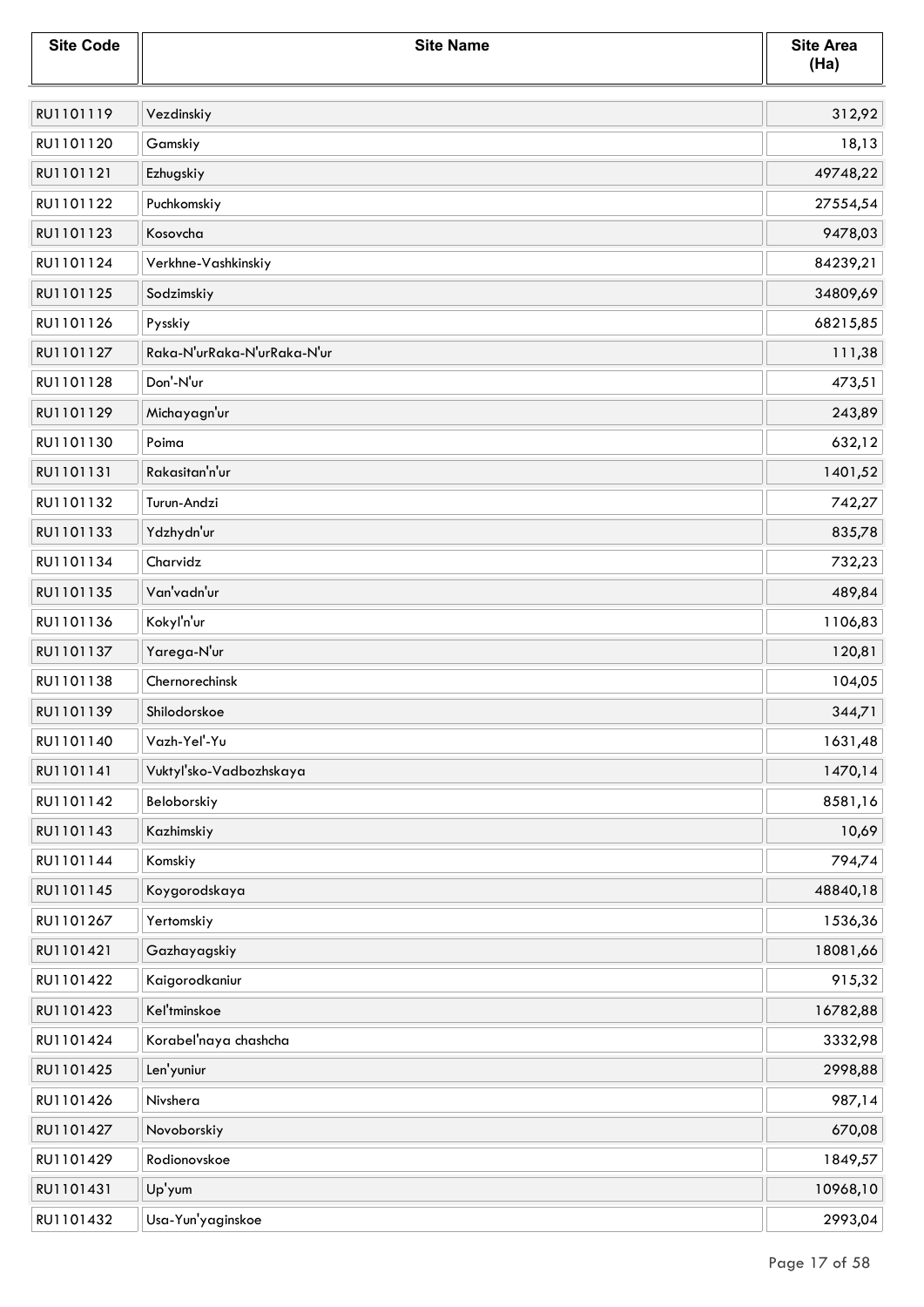| <b>Site Code</b> | <b>Site Name</b>            | <b>Site Area</b><br>(Ha) |
|------------------|-----------------------------|--------------------------|
| RU1101119        | Vezdinskiy                  | 312,92                   |
| RU1101120        | Gamskiy                     | 18,13                    |
| RU1101121        | Ezhugskiy                   | 49748,22                 |
| RU1101122        | Puchkomskiy                 | 27554,54                 |
| RU1101123        | Kosovcha                    | 9478,03                  |
| RU1101124        | Verkhne-Vashkinskiy         | 84239,21                 |
| RU1101125        | Sodzimskiy                  | 34809,69                 |
| RU1101126        | Pysskiy                     | 68215,85                 |
| RU1101127        | Raka-N'urRaka-N'urRaka-N'ur | 111,38                   |
| RU1101128        | Don'-N'ur                   | 473,51                   |
| RU1101129        | Michayagn'ur                | 243,89                   |
| RU1101130        | Poima                       | 632,12                   |
| RU1101131        | Rakasitan'n'ur              | 1401,52                  |
| RU1101132        | Turun-Andzi                 | 742,27                   |
| RU1101133        | Ydzhydn'ur                  | 835,78                   |
| RU1101134        | Charvidz                    | 732,23                   |
| RU1101135        | Van'vadn'ur                 | 489,84                   |
| RU1101136        | Kokyl'n'ur                  | 1106,83                  |
| RU1101137        | Yarega-N'ur                 | 120,81                   |
| RU1101138        | Chernorechinsk              | 104,05                   |
| RU1101139        | Shilodorskoe                | 344,71                   |
| RU1101140        | Vazh-Yel'-Yu                | 1631,48                  |
| RU1101141        | Vuktyl'sko-Vadbozhskaya     | 1470,14                  |
| RU1101142        | Beloborskiy                 | 8581,16                  |
| RU1101143        | Kazhimskiy                  | 10,69                    |
| RU1101144        | Komskiy                     | 794,74                   |
| RU1101145        | Koygorodskaya               | 48840,18                 |
| RU1101267        | Yertomskiy                  | 1536,36                  |
| RU1101421        | Gazhayagskiy                | 18081,66                 |
| RU1101422        | Kaigorodkaniur              | 915,32                   |
| RU1101423        | Kel'tminskoe                | 16782,88                 |
| RU1101424        | Korabel'naya chashcha       | 3332,98                  |
| RU1101425        | Len'yuniur                  | 2998,88                  |
| RU1101426        | Nivshera                    | 987,14                   |
| RU1101427        | Novoborskiy                 | 670,08                   |
| RU1101429        | Rodionovskoe                | 1849,57                  |
| RU1101431        | Up'yum                      | 10968,10                 |
| RU1101432        | Usa-Yun'yaginskoe           | 2993,04                  |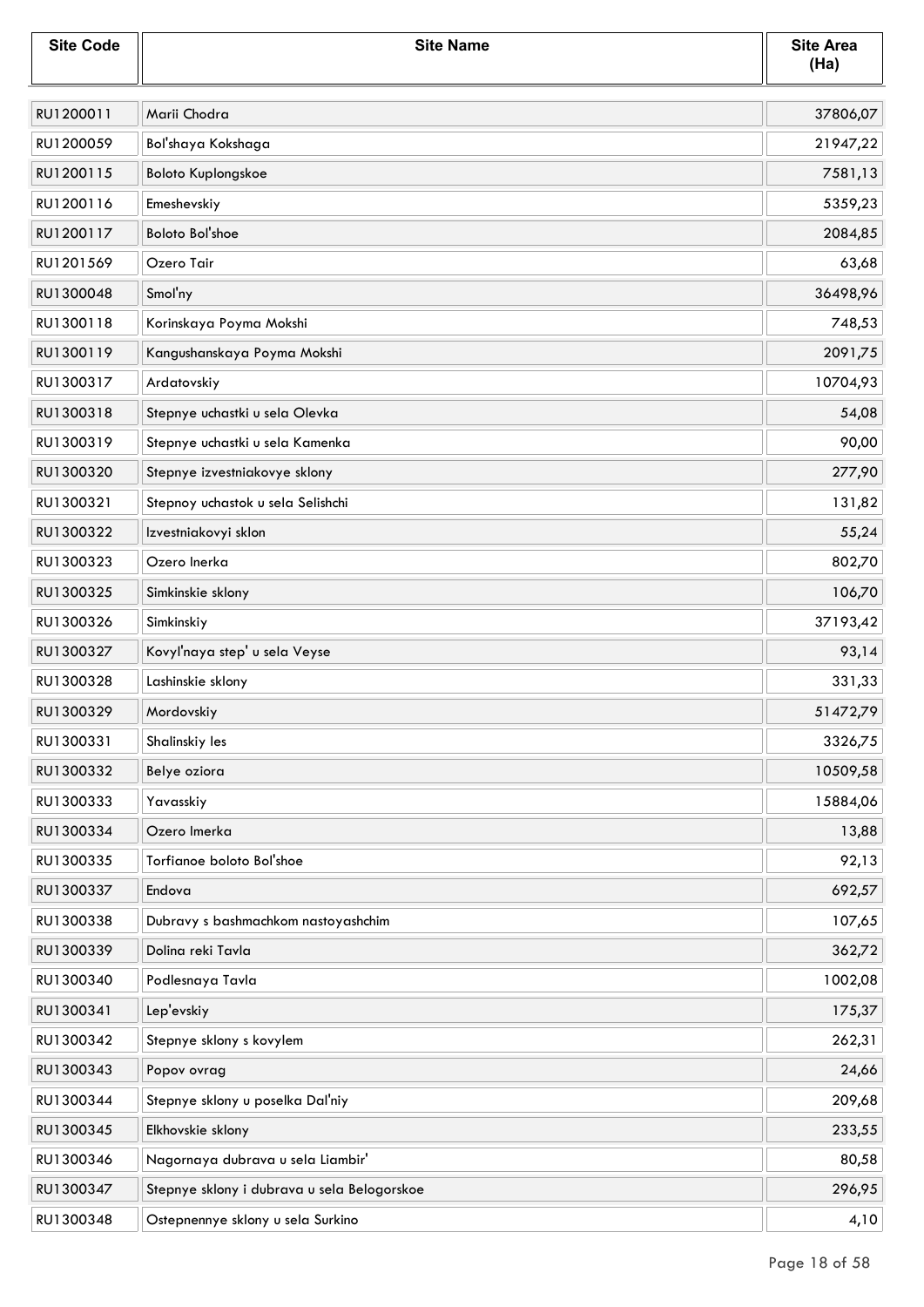| <b>Site Code</b> | <b>Site Name</b>                            | <b>Site Area</b><br>(Ha) |
|------------------|---------------------------------------------|--------------------------|
| RU1200011        | Marii Chodra                                | 37806,07                 |
| RU1200059        | Bol'shaya Kokshaga                          | 21947,22                 |
| RU1200115        | <b>Boloto Kuplongskoe</b>                   | 7581,13                  |
| RU1200116        | Emeshevskiy                                 | 5359,23                  |
| RU1200117        | <b>Boloto Bol'shoe</b>                      | 2084,85                  |
| RU1201569        | Ozero Tair                                  | 63,68                    |
| RU1300048        | Smol'ny                                     | 36498,96                 |
| RU1300118        | Korinskaya Poyma Mokshi                     | 748,53                   |
| RU1300119        | Kangushanskaya Poyma Mokshi                 | 2091,75                  |
| RU1300317        | Ardatovskiy                                 | 10704,93                 |
| RU1300318        | Stepnye uchastki u sela Olevka              | 54,08                    |
| RU1300319        | Stepnye uchastki u sela Kamenka             | 90,00                    |
| RU1300320        | Stepnye izvestniakovye sklony               | 277,90                   |
| RU1300321        | Stepnoy uchastok u sela Selishchi           | 131,82                   |
| RU1300322        | Izvestniakovyi sklon                        | 55,24                    |
| RU1300323        | Ozero Inerka                                | 802,70                   |
| RU1300325        | Simkinskie sklony                           | 106,70                   |
| RU1300326        | Simkinskiy                                  | 37193,42                 |
| RU1300327        | Kovyľnaya step' u sela Veyse                | 93,14                    |
| RU1300328        | Lashinskie sklony                           | 331,33                   |
| RU1300329        | Mordovskiy                                  | 51472,79                 |
| RU1300331        | Shalinskiy les                              | 3326,75                  |
| RU1300332        | Belye oziora                                | 10509,58                 |
| RU1300333        | Yavasskiy                                   | 15884,06                 |
| RU1300334        | Ozero Imerka                                | 13,88                    |
| RU1300335        | Torfianoe boloto Bol'shoe                   | 92,13                    |
| RU1300337        | Endova                                      | 692,57                   |
| RU1300338        | Dubravy s bashmachkom nastoyashchim         | 107,65                   |
| RU1300339        | Dolina reki Tavla                           | 362,72                   |
| RU1300340        | Podlesnaya Tavla                            | 1002,08                  |
| RU1300341        | Lep'evskiy                                  | 175,37                   |
| RU1300342        | Stepnye sklony s kovylem                    | 262,31                   |
| RU1300343        | Popov ovrag                                 | 24,66                    |
| RU1300344        | Stepnye sklony u poselka Dal'niy            | 209,68                   |
| RU1300345        | Elkhovskie sklony                           | 233,55                   |
| RU1300346        | Nagornaya dubrava u sela Liambir'           | 80,58                    |
| RU1300347        | Stepnye sklony i dubrava u sela Belogorskoe | 296,95                   |
| RU1300348        | Ostepnennye sklony u sela Surkino           | 4,10                     |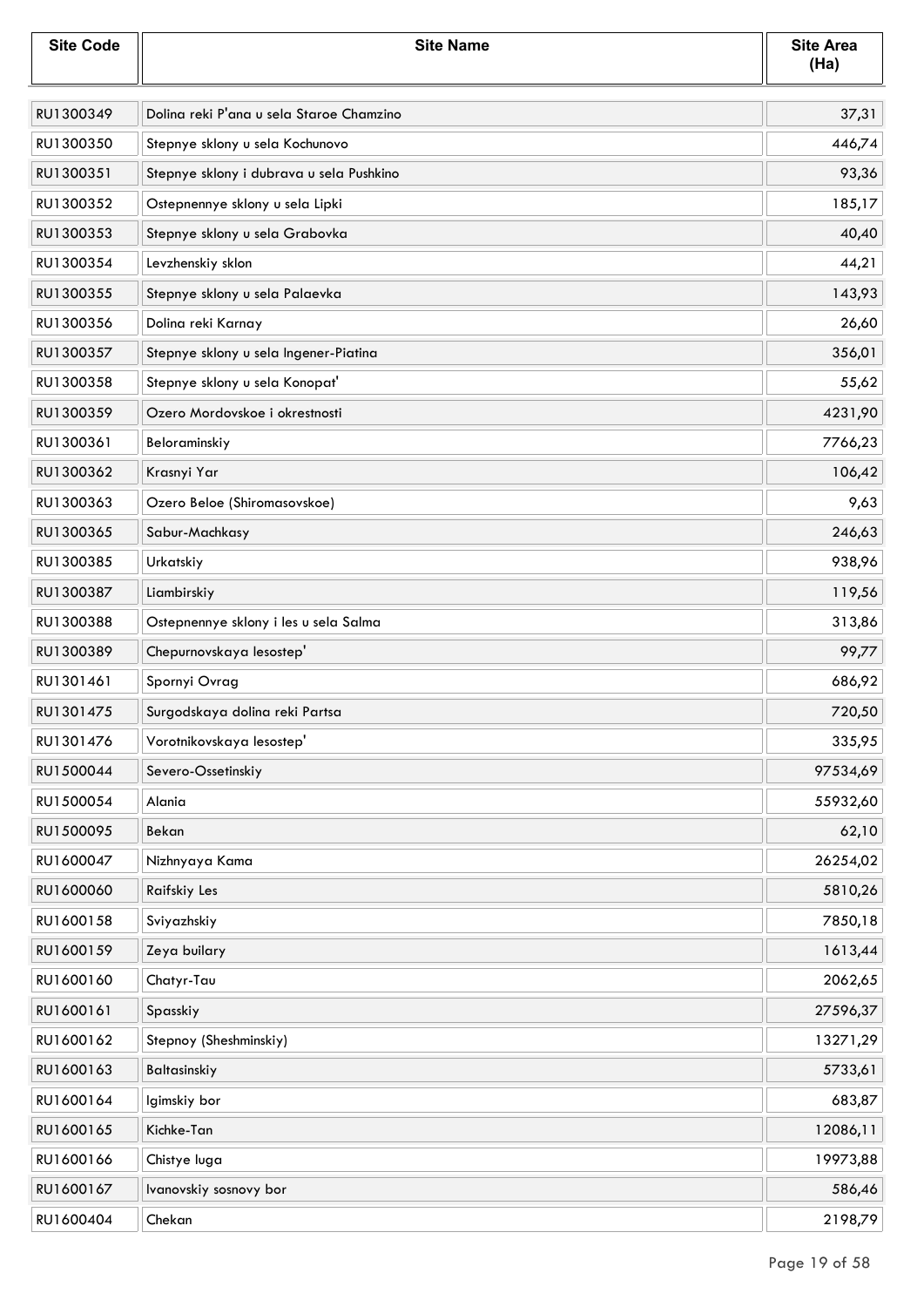| <b>Site Code</b> | <b>Site Name</b>                         | <b>Site Area</b><br>(Ha) |
|------------------|------------------------------------------|--------------------------|
| RU1300349        | Dolina reki P'ana u sela Staroe Chamzino | 37,31                    |
| RU1300350        | Stepnye sklony u sela Kochunovo          | 446,74                   |
| RU1300351        | Stepnye sklony i dubrava u sela Pushkino | 93,36                    |
| RU1300352        | Ostepnennye sklony u sela Lipki          | 185,17                   |
| RU1300353        | Stepnye sklony u sela Grabovka           | 40,40                    |
| RU1300354        | Levzhenskiy sklon                        | 44,21                    |
| RU1300355        | Stepnye sklony u sela Palaevka           | 143,93                   |
| RU1300356        | Dolina reki Karnay                       | 26,60                    |
| RU1300357        | Stepnye sklony u sela Ingener-Piatina    | 356,01                   |
| RU1300358        | Stepnye sklony u sela Konopat'           | 55,62                    |
| RU1300359        | Ozero Mordovskoe i okrestnosti           | 4231,90                  |
| RU1300361        | Beloraminskiy                            | 7766,23                  |
| RU1300362        | Krasnyi Yar                              | 106,42                   |
| RU1300363        | Ozero Beloe (Shiromasovskoe)             | 9,63                     |
| RU1300365        | Sabur-Machkasy                           | 246,63                   |
| RU1300385        | Urkatskiy                                | 938,96                   |
| RU1300387        | Liambirskiy                              | 119,56                   |
| RU1300388        | Ostepnennye sklony i les u sela Salma    | 313,86                   |
| RU1300389        | Chepurnovskaya lesostep'                 | 99,77                    |
| RU1301461        | Spornyi Ovrag                            | 686,92                   |
| RU1301475        | Surgodskaya dolina reki Partsa           | 720,50                   |
| RU1301476        | Vorotnikovskaya lesostep'                | 335,95                   |
| RU1500044        | Severo-Ossetinskiy                       | 97534,69                 |
| RU1500054        | Alania                                   | 55932,60                 |
| RU1500095        | Bekan                                    | 62,10                    |
| RU1600047        | Nizhnyaya Kama                           | 26254,02                 |
| RU1600060        | Raifskiy Les                             | 5810,26                  |
| RU1600158        | Sviyazhskiy                              | 7850,18                  |
| RU1600159        | Zeya builary                             | 1613,44                  |
| RU1600160        | Chatyr-Tau                               | 2062,65                  |
| RU1600161        | Spasskiy                                 | 27596,37                 |
| RU1600162        | Stepnoy (Sheshminskiy)                   | 13271,29                 |
| RU1600163        | Baltasinskiy                             | 5733,61                  |
| RU1600164        | Igimskiy bor                             | 683,87                   |
| RU1600165        | Kichke-Tan                               | 12086,11                 |
| RU1600166        | Chistye luga                             | 19973,88                 |
| RU1600167        | Ivanovskiy sosnovy bor                   | 586,46                   |
| RU1600404        | Chekan                                   | 2198,79                  |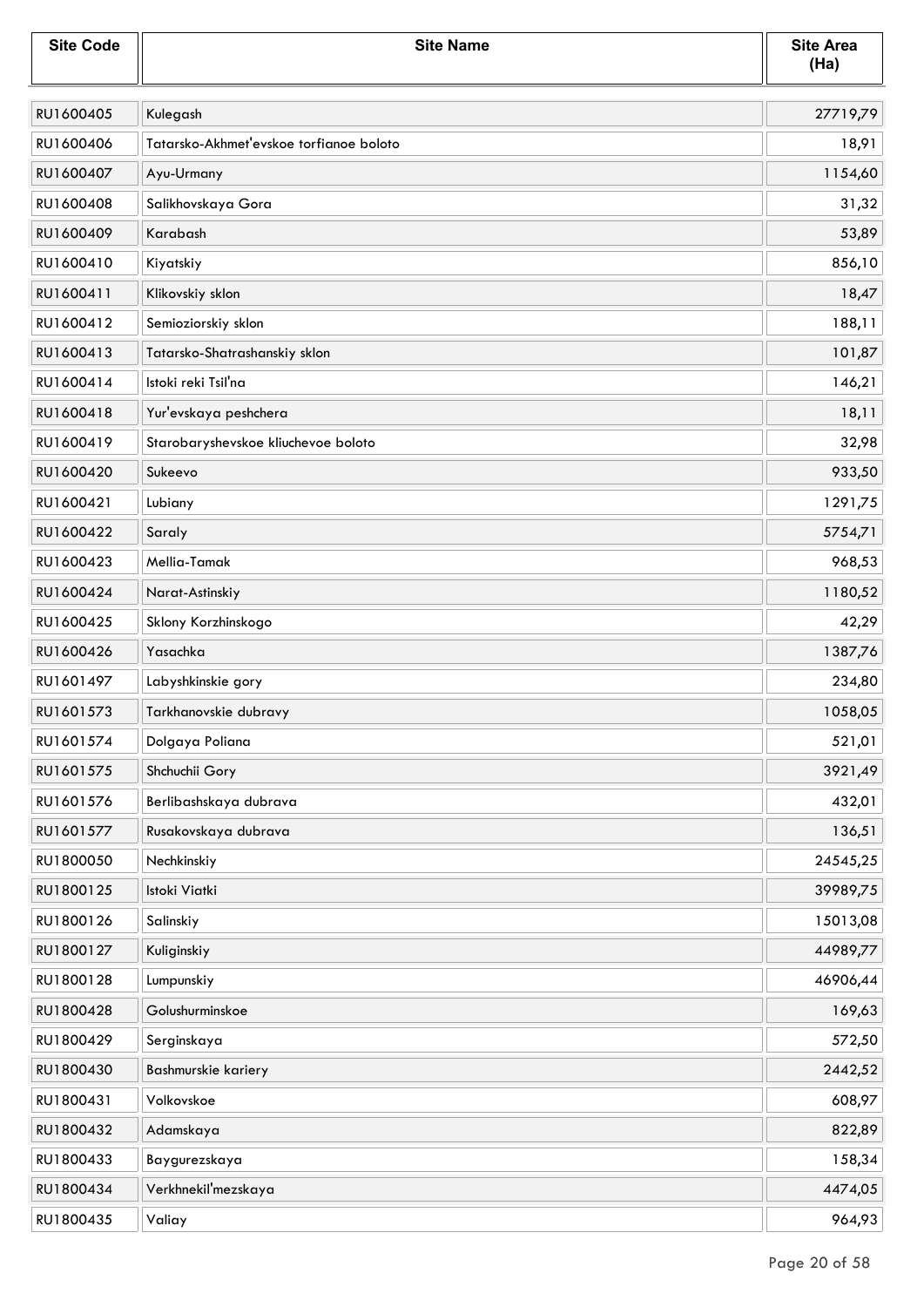| <b>Site Code</b> | <b>Site Name</b>                        | <b>Site Area</b><br>(Ha) |
|------------------|-----------------------------------------|--------------------------|
| RU1600405        | Kulegash                                | 27719,79                 |
| RU1600406        | Tatarsko-Akhmet'evskoe torfianoe boloto | 18,91                    |
| RU1600407        | Ayu-Urmany                              | 1154,60                  |
| RU1600408        | Salikhovskaya Gora                      | 31,32                    |
| RU1600409        | Karabash                                | 53,89                    |
| RU1600410        | Kiyatskiy                               | 856,10                   |
| RU1600411        | Klikovskiy sklon                        | 18,47                    |
| RU1600412        | Semioziorskiy sklon                     | 188,11                   |
| RU1600413        | Tatarsko-Shatrashanskiy sklon           | 101,87                   |
| RU1600414        | Istoki reki Tsil'na                     | 146,21                   |
| RU1600418        | Yur'evskaya peshchera                   | 18,11                    |
| RU1600419        | Starobaryshevskoe kliuchevoe boloto     | 32,98                    |
| RU1600420        | Sukeevo                                 | 933,50                   |
| RU1600421        | Lubiany                                 | 1291,75                  |
| RU1600422        | Saraly                                  | 5754,71                  |
| RU1600423        | Mellia-Tamak                            | 968,53                   |
| RU1600424        | Narat-Astinskiy                         | 1180,52                  |
| RU1600425        | Sklony Korzhinskogo                     | 42,29                    |
| RU1600426        | Yasachka                                | 1387,76                  |
| RU1601497        | Labyshkinskie gory                      | 234,80                   |
| RU1601573        | Tarkhanovskie dubravy                   | 1058,05                  |
| RU1601574        | Dolgaya Poliana                         | 521,01                   |
| RU1601575        | Shchuchii Gory                          | 3921,49                  |
| RU1601576        | Berlibashskaya dubrava                  | 432,01                   |
| RU1601577        | Rusakovskaya dubrava                    | 136,51                   |
| RU1800050        | Nechkinskiy                             | 24545,25                 |
| RU1800125        | Istoki Viatki                           | 39989,75                 |
| RU1800126        | Salinskiy                               | 15013,08                 |
| RU1800127        | Kuliginskiy                             | 44989,77                 |
| RU1800128        | Lumpunskiy                              | 46906,44                 |
| RU1800428        | Golushurminskoe                         | 169,63                   |
| RU1800429        | Serginskaya                             | 572,50                   |
| RU1800430        | Bashmurskie kariery                     | 2442,52                  |
| RU1800431        | Volkovskoe                              | 608,97                   |
| RU1800432        | Adamskaya                               | 822,89                   |
| RU1800433        | Baygurezskaya                           | 158,34                   |
| RU1800434        | Verkhnekil'mezskaya                     | 4474,05                  |
| RU1800435        | Valiay                                  | 964,93                   |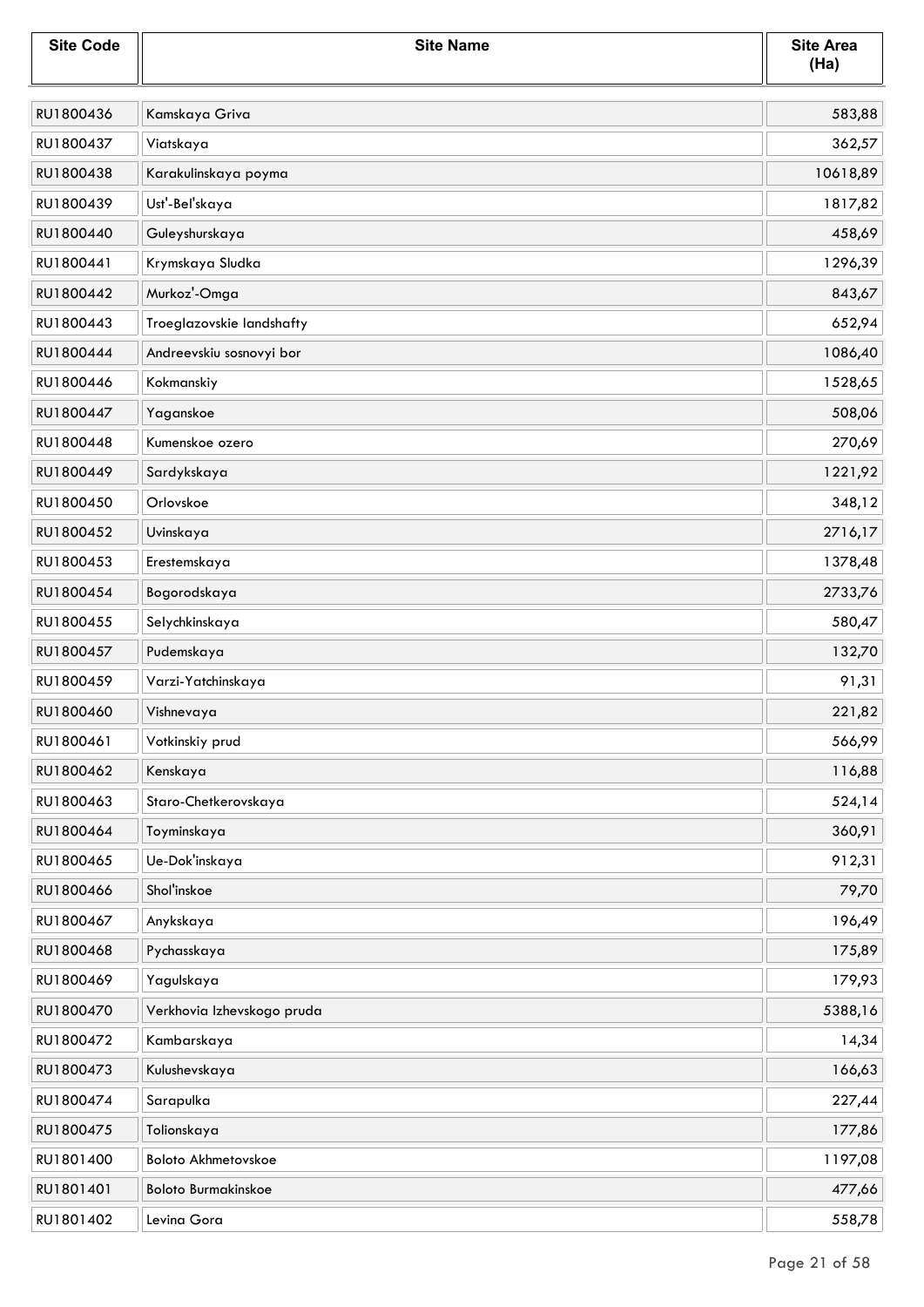| <b>Site Code</b> | <b>Site Name</b>           | <b>Site Area</b><br>(Ha) |
|------------------|----------------------------|--------------------------|
| RU1800436        | Kamskaya Griva             | 583,88                   |
| RU1800437        | Viatskaya                  | 362,57                   |
| RU1800438        | Karakulinskaya poyma       | 10618,89                 |
| RU1800439        | Ust'-Bel'skaya             | 1817,82                  |
| RU1800440        | Guleyshurskaya             | 458,69                   |
| RU1800441        | Krymskaya Sludka           | 1296,39                  |
| RU1800442        | Murkoz'-Omga               | 843,67                   |
| RU1800443        | Troeglazovskie landshafty  | 652,94                   |
| RU1800444        | Andreevskiu sosnovyi bor   | 1086,40                  |
| RU1800446        | Kokmanskiy                 | 1528,65                  |
| RU1800447        | Yaganskoe                  | 508,06                   |
| RU1800448        | Kumenskoe ozero            | 270,69                   |
| RU1800449        | Sardykskaya                | 1221,92                  |
| RU1800450        | Orlovskoe                  | 348,12                   |
| RU1800452        | Uvinskaya                  | 2716,17                  |
| RU1800453        | Erestemskaya               | 1378,48                  |
| RU1800454        | Bogorodskaya               | 2733,76                  |
| RU1800455        | Selychkinskaya             | 580,47                   |
| RU1800457        | Pudemskaya                 | 132,70                   |
| RU1800459        | Varzi-Yatchinskaya         | 91,31                    |
| RU1800460        | Vishnevaya                 | 221,82                   |
| RU1800461        | Votkinskiy prud            | 566,99                   |
| RU1800462        | Kenskaya                   | 116,88                   |
| RU1800463        | Staro-Chetkerovskaya       | 524,14                   |
| RU1800464        | Toyminskaya                | 360,91                   |
| RU1800465        | Ue-Dok'inskaya             | 912,31                   |
| RU1800466        | Shol'inskoe                | 79,70                    |
| RU1800467        | Anykskaya                  | 196,49                   |
| RU1800468        | Pychasskaya                | 175,89                   |
| RU1800469        | Yagulskaya                 | 179,93                   |
| RU1800470        | Verkhovia Izhevskogo pruda | 5388,16                  |
| RU1800472        | Kambarskaya                | 14,34                    |
| RU1800473        | Kulushevskaya              | 166,63                   |
| RU1800474        | Sarapulka                  | 227,44                   |
| RU1800475        | Tolionskaya                | 177,86                   |
| RU1801400        | Boloto Akhmetovskoe        | 1197,08                  |
| RU1801401        | <b>Boloto Burmakinskoe</b> | 477,66                   |
| RU1801402        | Levina Gora                | 558,78                   |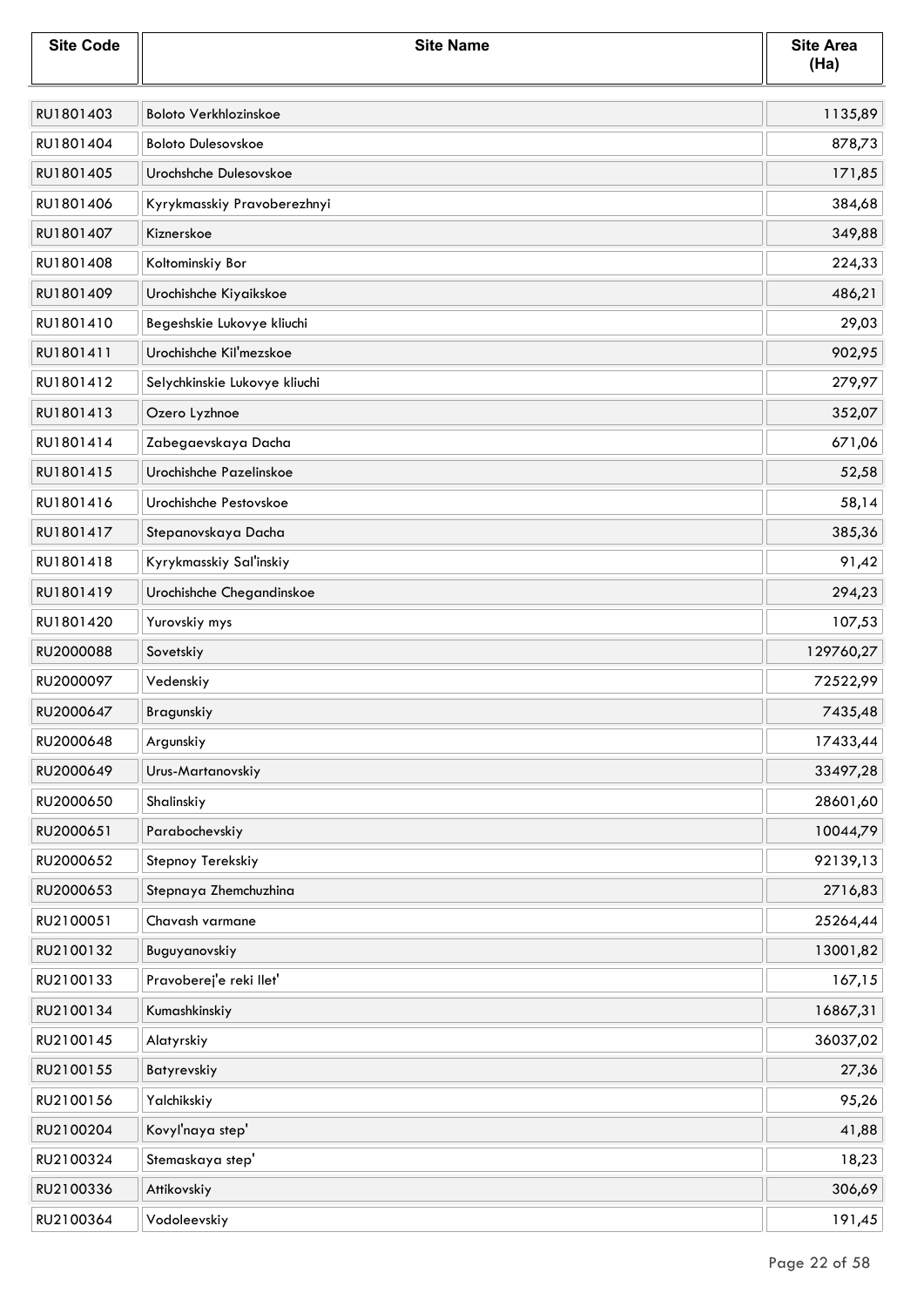| <b>Site Code</b> | <b>Site Name</b>              | <b>Site Area</b><br>(Ha) |
|------------------|-------------------------------|--------------------------|
| RU1801403        | <b>Boloto Verkhlozinskoe</b>  | 1135,89                  |
| RU1801404        | <b>Boloto Dulesovskoe</b>     | 878,73                   |
| RU1801405        | Urochshche Dulesovskoe        | 171,85                   |
| RU1801406        | Kyrykmasskiy Pravoberezhnyi   | 384,68                   |
| RU1801407        | Kiznerskoe                    | 349,88                   |
| RU1801408        | Koltominskiy Bor              | 224,33                   |
| RU1801409        | Urochishche Kiyaikskoe        | 486,21                   |
| RU1801410        | Begeshskie Lukovye kliuchi    | 29,03                    |
| RU1801411        | Urochishche Kil'mezskoe       | 902,95                   |
| RU1801412        | Selychkinskie Lukovye kliuchi | 279,97                   |
| RU1801413        | Ozero Lyzhnoe                 | 352,07                   |
| RU1801414        | Zabegaevskaya Dacha           | 671,06                   |
| RU1801415        | Urochishche Pazelinskoe       | 52,58                    |
| RU1801416        | Urochishche Pestovskoe        | 58,14                    |
| RU1801417        | Stepanovskaya Dacha           | 385,36                   |
| RU1801418        | Kyrykmasskiy Sal'inskiy       | 91,42                    |
| RU1801419        | Urochishche Chegandinskoe     | 294,23                   |
| RU1801420        | Yurovskiy mys                 | 107,53                   |
| RU2000088        | Sovetskiy                     | 129760,27                |
| RU2000097        | Vedenskiy                     | 72522,99                 |
| RU2000647        | Bragunskiy                    | 7435,48                  |
| RU2000648        | Argunskiy                     | 17433,44                 |
| RU2000649        | Urus-Martanovskiy             | 33497,28                 |
| RU2000650        | Shalinskiy                    | 28601,60                 |
| RU2000651        | Parabochevskiy                | 10044,79                 |
| RU2000652        | Stepnoy Terekskiy             | 92139,13                 |
| RU2000653        | Stepnaya Zhemchuzhina         | 2716,83                  |
| RU2100051        | Chavash varmane               | 25264,44                 |
| RU2100132        | Buguyanovskiy                 | 13001,82                 |
| RU2100133        | Pravoberej'e reki llet'       | 167,15                   |
| RU2100134        | Kumashkinskiy                 | 16867,31                 |
| RU2100145        | Alatyrskiy                    | 36037,02                 |
| RU2100155        | Batyrevskiy                   | 27,36                    |
| RU2100156        | Yalchikskiy                   | 95,26                    |
| RU2100204        | Kovyľnaya step'               | 41,88                    |
| RU2100324        | Stemaskaya step'              | 18,23                    |
| RU2100336        | Attikovskiy                   | 306,69                   |
| RU2100364        | Vodoleevskiy                  | 191,45                   |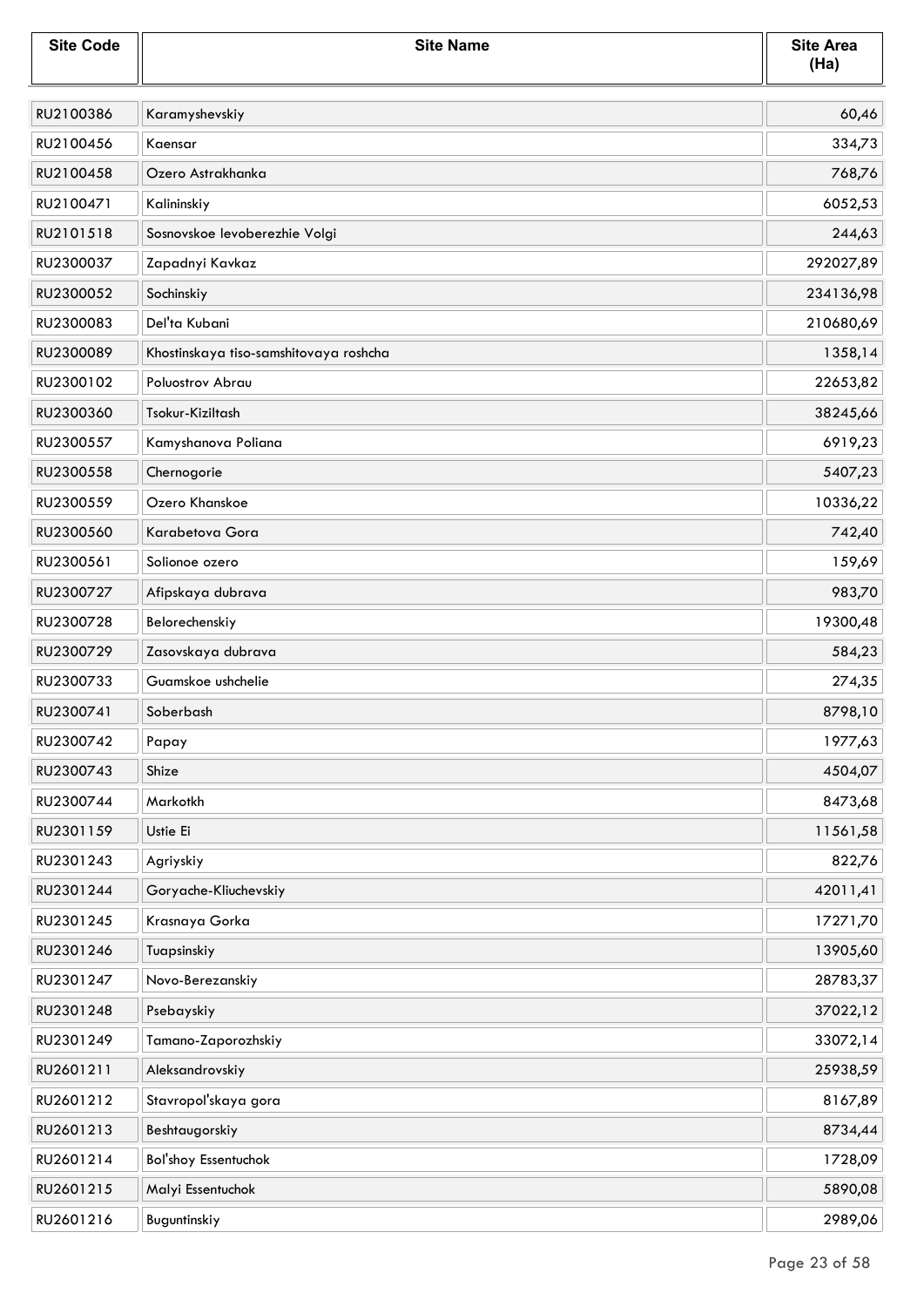| <b>Site Code</b> | <b>Site Name</b>                       | <b>Site Area</b><br>(Ha) |
|------------------|----------------------------------------|--------------------------|
| RU2100386        | Karamyshevskiy                         | 60,46                    |
| RU2100456        | Kaensar                                | 334,73                   |
| RU2100458        | Ozero Astrakhanka                      | 768,76                   |
| RU2100471        | Kalininskiy                            | 6052,53                  |
| RU2101518        | Sosnovskoe levoberezhie Volgi          | 244,63                   |
| RU2300037        | Zapadnyi Kavkaz                        | 292027,89                |
| RU2300052        | Sochinskiy                             | 234136,98                |
| RU2300083        | Del'ta Kubani                          | 210680,69                |
| RU2300089        | Khostinskaya tiso-samshitovaya roshcha | 1358,14                  |
| RU2300102        | Poluostrov Abrau                       | 22653,82                 |
| RU2300360        | Tsokur-Kiziltash                       | 38245,66                 |
| RU2300557        | Kamyshanova Poliana                    | 6919,23                  |
| RU2300558        | Chernogorie                            | 5407,23                  |
| RU2300559        | Ozero Khanskoe                         | 10336,22                 |
| RU2300560        | Karabetova Gora                        | 742,40                   |
| RU2300561        | Solionoe ozero                         | 159,69                   |
| RU2300727        | Afipskaya dubrava                      | 983,70                   |
| RU2300728        | Belorechenskiy                         | 19300,48                 |
| RU2300729        | Zasovskaya dubrava                     | 584,23                   |
| RU2300733        | Guamskoe ushchelie                     | 274,35                   |
| RU2300741        | Soberbash                              | 8798,10                  |
| RU2300742        | Papay                                  | 1977,63                  |
| RU2300743        | Shize                                  | 4504,07                  |
| RU2300744        | Markotkh                               | 8473,68                  |
| RU2301159        | Ustie Ei                               | 11561,58                 |
| RU2301243        | Agriyskiy                              | 822,76                   |
| RU2301244        | Goryache-Kliuchevskiy                  | 42011,41                 |
| RU2301245        | Krasnaya Gorka                         | 17271,70                 |
| RU2301246        | Tuapsinskiy                            | 13905,60                 |
| RU2301247        | Novo-Berezanskiy                       | 28783,37                 |
| RU2301248        | Psebayskiy                             | 37022,12                 |
| RU2301249        | Tamano-Zaporozhskiy                    | 33072,14                 |
| RU2601211        | Aleksandrovskiy                        | 25938,59                 |
| RU2601212        | Stavropoľskaya gora                    | 8167,89                  |
| RU2601213        | Beshtaugorskiy                         | 8734,44                  |
| RU2601214        | <b>Bol'shoy Essentuchok</b>            | 1728,09                  |
| RU2601215        | Malyi Essentuchok                      | 5890,08                  |
| RU2601216        | Buguntinskiy                           | 2989,06                  |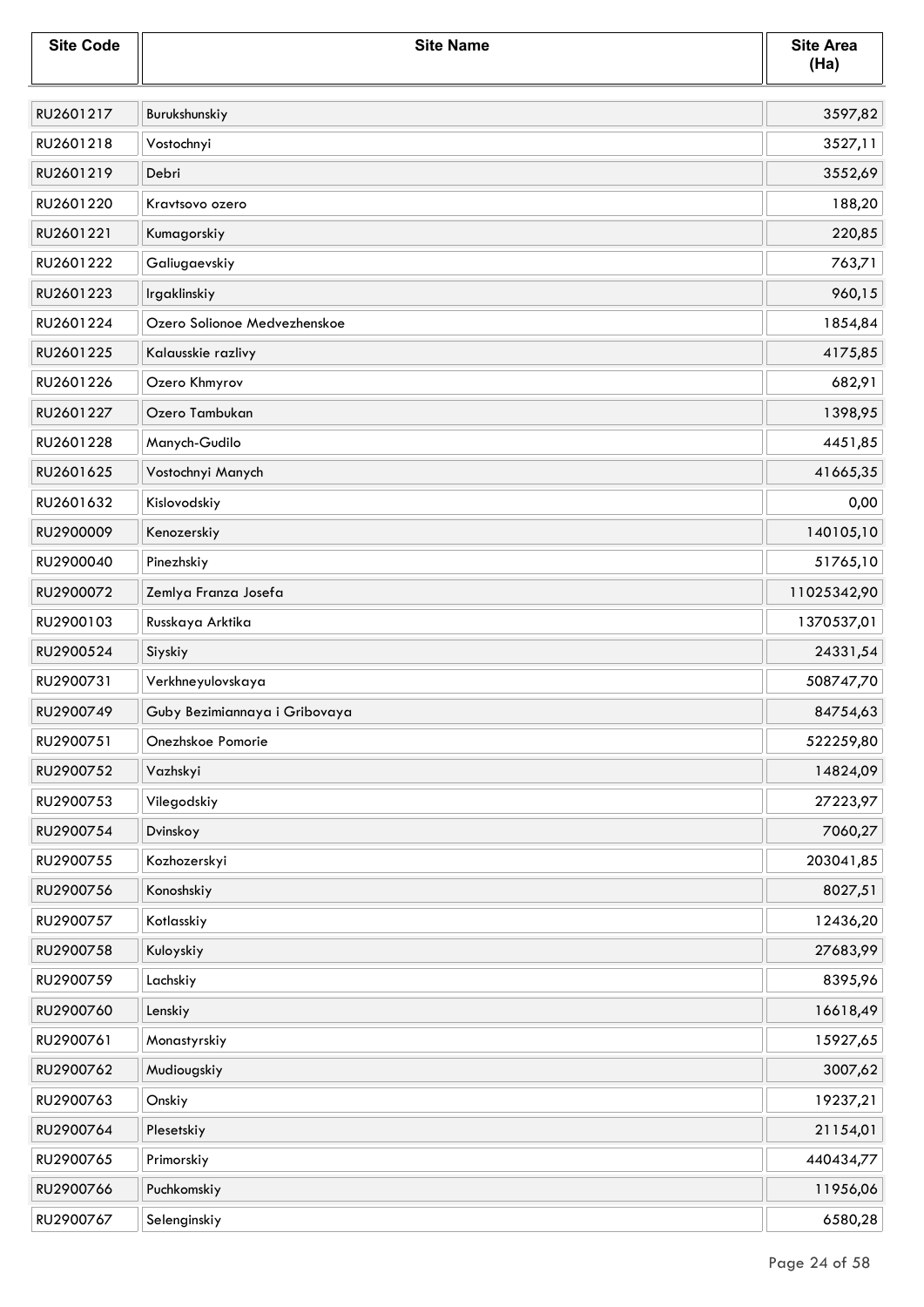| <b>Site Code</b> | <b>Site Name</b>              | <b>Site Area</b><br>(Ha) |
|------------------|-------------------------------|--------------------------|
| RU2601217        | Burukshunskiy                 | 3597,82                  |
| RU2601218        | Vostochnyi                    | 3527,11                  |
| RU2601219        | Debri                         | 3552,69                  |
| RU2601220        | Kravtsovo ozero               | 188,20                   |
| RU2601221        | Kumagorskiy                   | 220,85                   |
| RU2601222        | Galiugaevskiy                 | 763,71                   |
| RU2601223        | Irgaklinskiy                  | 960,15                   |
| RU2601224        | Ozero Solionoe Medvezhenskoe  | 1854,84                  |
| RU2601225        | Kalausskie razlivy            | 4175,85                  |
| RU2601226        | Ozero Khmyrov                 | 682,91                   |
| RU2601227        | Ozero Tambukan                | 1398,95                  |
| RU2601228        | Manych-Gudilo                 | 4451,85                  |
| RU2601625        | Vostochnyi Manych             | 41665,35                 |
| RU2601632        | Kislovodskiy                  | 0,00                     |
| RU2900009        | Kenozerskiy                   | 140105,10                |
| RU2900040        | Pinezhskiy                    | 51765,10                 |
| RU2900072        | Zemlya Franza Josefa          | 11025342,90              |
| RU2900103        | Russkaya Arktika              | 1370537,01               |
| RU2900524        | Siyskiy                       | 24331,54                 |
| RU2900731        | Verkhneyulovskaya             | 508747,70                |
| RU2900749        | Guby Bezimiannaya i Gribovaya | 84754,63                 |
| RU2900751        | Onezhskoe Pomorie             | 522259,80                |
| RU2900752        | Vazhskyi                      | 14824,09                 |
| RU2900753        | Vilegodskiy                   | 27223,97                 |
| RU2900754        | Dvinskoy                      | 7060,27                  |
| RU2900755        | Kozhozerskyi                  | 203041,85                |
| RU2900756        | Konoshskiy                    | 8027,51                  |
| RU2900757        | Kotlasskiy                    | 12436,20                 |
| RU2900758        | Kuloyskiy                     | 27683,99                 |
| RU2900759        | Lachskiy                      | 8395,96                  |
| RU2900760        | Lenskiy                       | 16618,49                 |
| RU2900761        | Monastyrskiy                  | 15927,65                 |
| RU2900762        | Mudiougskiy                   | 3007,62                  |
| RU2900763        | Onskiy                        | 19237,21                 |
| RU2900764        | Plesetskiy                    | 21154,01                 |
| RU2900765        | Primorskiy                    | 440434,77                |
| RU2900766        | Puchkomskiy                   | 11956,06                 |
| RU2900767        | Selenginskiy                  | 6580,28                  |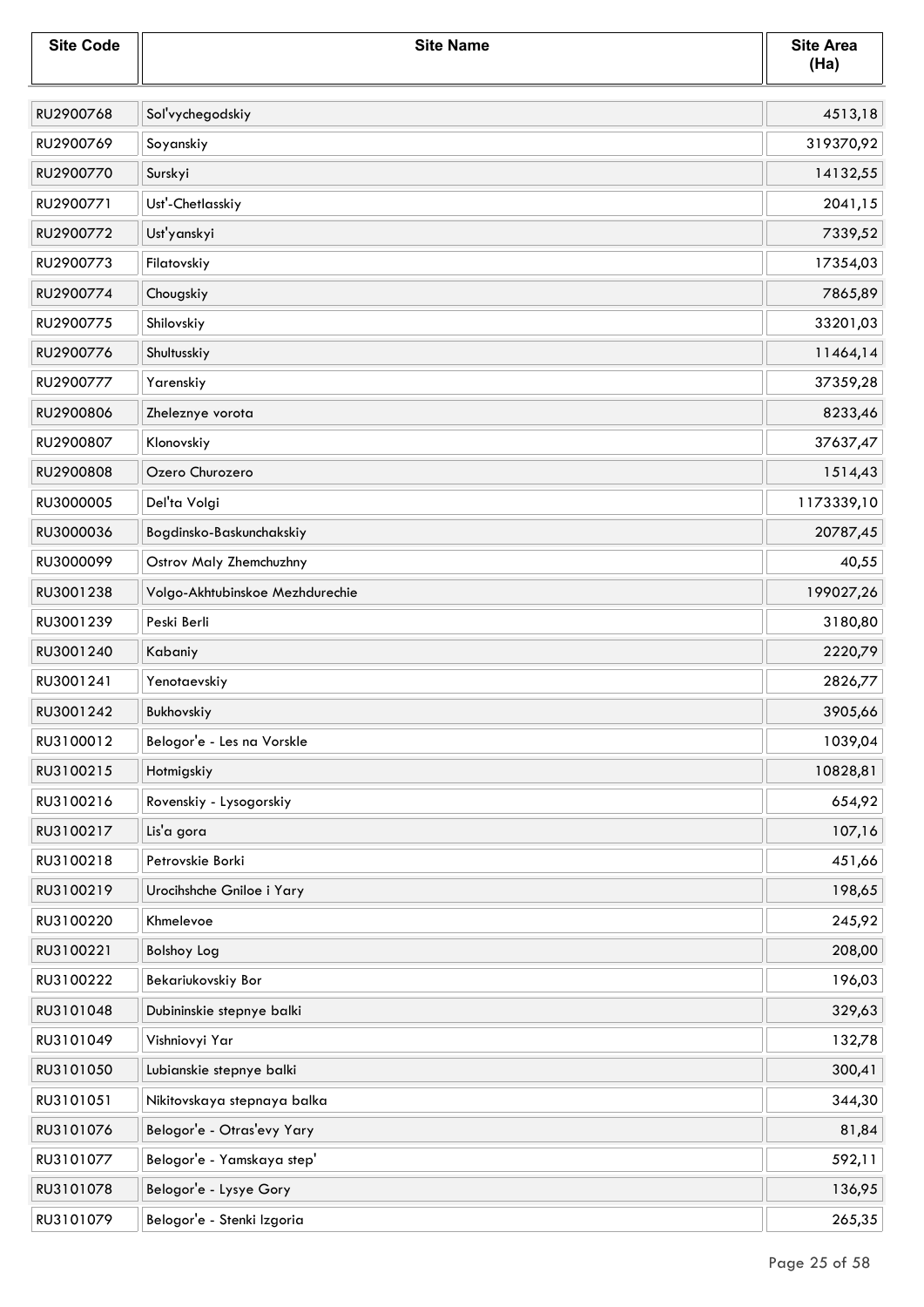| <b>Site Code</b> | <b>Site Name</b>                | <b>Site Area</b><br>(Ha) |
|------------------|---------------------------------|--------------------------|
| RU2900768        | Sol'vychegodskiy                | 4513,18                  |
| RU2900769        | Soyanskiy                       | 319370,92                |
| RU2900770        | Surskyi                         | 14132,55                 |
| RU2900771        | Ust'-Chetlasskiy                | 2041,15                  |
| RU2900772        | Ust'yanskyi                     | 7339,52                  |
| RU2900773        | Filatovskiy                     | 17354,03                 |
| RU2900774        | Chougskiy                       | 7865,89                  |
| RU2900775        | Shilovskiy                      | 33201,03                 |
| RU2900776        | Shultusskiy                     | 11464,14                 |
| RU2900777        | Yarenskiy                       | 37359,28                 |
| RU2900806        | Zheleznye vorota                | 8233,46                  |
| RU2900807        | Klonovskiy                      | 37637,47                 |
| RU2900808        | Ozero Churozero                 | 1514,43                  |
| RU3000005        | Del'ta Volgi                    | 1173339,10               |
| RU3000036        | Bogdinsko-Baskunchakskiy        | 20787,45                 |
| RU3000099        | Ostrov Maly Zhemchuzhny         | 40,55                    |
| RU3001238        | Volgo-Akhtubinskoe Mezhdurechie | 199027,26                |
| RU3001239        | Peski Berli                     | 3180,80                  |
| RU3001240        | Kabaniy                         | 2220,79                  |
| RU3001241        | Yenotaevskiy                    | 2826,77                  |
| RU3001242        | Bukhovskiy                      | 3905,66                  |
| RU3100012        | Belogor'e - Les na Vorskle      | 1039,04                  |
| RU3100215        | Hotmigskiy                      | 10828,81                 |
| RU3100216        | Rovenskiy - Lysogorskiy         | 654,92                   |
| RU3100217        | Lis'a gora                      | 107,16                   |
| RU3100218        | Petrovskie Borki                | 451,66                   |
| RU3100219        | Urocihshche Gniloe i Yary       | 198,65                   |
| RU3100220        | Khmelevoe                       | 245,92                   |
| RU3100221        | <b>Bolshoy Log</b>              | 208,00                   |
| RU3100222        | Bekariukovskiy Bor              | 196,03                   |
| RU3101048        | Dubininskie stepnye balki       | 329,63                   |
| RU3101049        | Vishniovyi Yar                  | 132,78                   |
| RU3101050        | Lubianskie stepnye balki        | 300,41                   |
| RU3101051        | Nikitovskaya stepnaya balka     | 344,30                   |
| RU3101076        | Belogor'e - Otras'evy Yary      | 81,84                    |
| RU3101077        | Belogor'e - Yamskaya step'      | 592,11                   |
| RU3101078        | Belogor'e - Lysye Gory          | 136,95                   |
| RU3101079        | Belogor'e - Stenki Izgoria      | 265,35                   |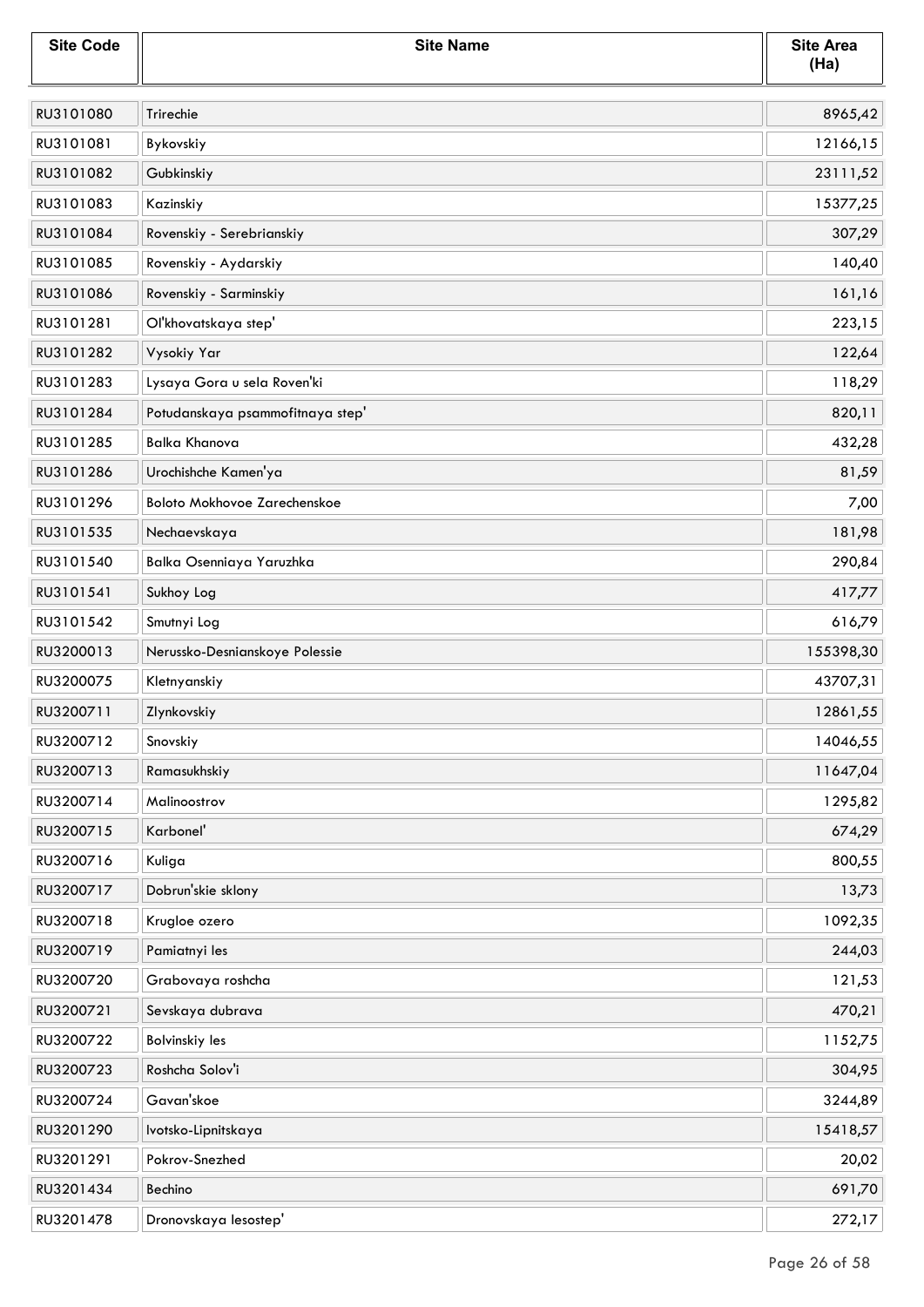| <b>Site Code</b> | <b>Site Name</b>                 | <b>Site Area</b><br>(Ha) |
|------------------|----------------------------------|--------------------------|
| RU3101080        | Trirechie                        | 8965,42                  |
| RU3101081        | Bykovskiy                        | 12166,15                 |
| RU3101082        | Gubkinskiy                       | 23111,52                 |
| RU3101083        | Kazinskiy                        | 15377,25                 |
| RU3101084        | Rovenskiy - Serebrianskiy        | 307,29                   |
| RU3101085        | Rovenskiy - Aydarskiy            | 140,40                   |
| RU3101086        | Rovenskiy - Sarminskiy           | 161,16                   |
| RU3101281        | Ol'khovatskaya step'             | 223,15                   |
| RU3101282        | Vysokiy Yar                      | 122,64                   |
| RU3101283        | Lysaya Gora u sela Roven'ki      | 118,29                   |
| RU3101284        | Potudanskaya psammofitnaya step' | 820,11                   |
| RU3101285        | <b>Balka Khanova</b>             | 432,28                   |
| RU3101286        | Urochishche Kamen'ya             | 81,59                    |
| RU3101296        | Boloto Mokhovoe Zarechenskoe     | 7,00                     |
| RU3101535        | Nechaevskaya                     | 181,98                   |
| RU3101540        | Balka Osenniaya Yaruzhka         | 290,84                   |
| RU3101541        | Sukhoy Log                       | 417,77                   |
| RU3101542        | Smutnyi Log                      | 616,79                   |
| RU3200013        | Nerussko-Desnianskoye Polessie   | 155398,30                |
| RU3200075        | Kletnyanskiy                     | 43707,31                 |
| RU3200711        | Zlynkovskiy                      | 12861,55                 |
| RU3200712        | Snovskiy                         | 14046,55                 |
| RU3200713        | Ramasukhskiy                     | 11647,04                 |
| RU3200714        | Malinoostrov                     | 1295,82                  |
| RU3200715        | Karbonel'                        | 674,29                   |
| RU3200716        | Kuliga                           | 800,55                   |
| RU3200717        | Dobrun'skie sklony               | 13,73                    |
| RU3200718        | Krugloe ozero                    | 1092,35                  |
| RU3200719        | Pamiatnyi les                    | 244,03                   |
| RU3200720        | Grabovaya roshcha                | 121,53                   |
| RU3200721        | Sevskaya dubrava                 | 470,21                   |
| RU3200722        | <b>Bolvinskiy les</b>            | 1152,75                  |
| RU3200723        | Roshcha Solov'i                  | 304,95                   |
| RU3200724        | Gavan'skoe                       | 3244,89                  |
| RU3201290        | Ivotsko-Lipnitskaya              | 15418,57                 |
| RU3201291        | Pokrov-Snezhed                   | 20,02                    |
| RU3201434        | Bechino                          | 691,70                   |
| RU3201478        | Dronovskaya lesostep'            | 272,17                   |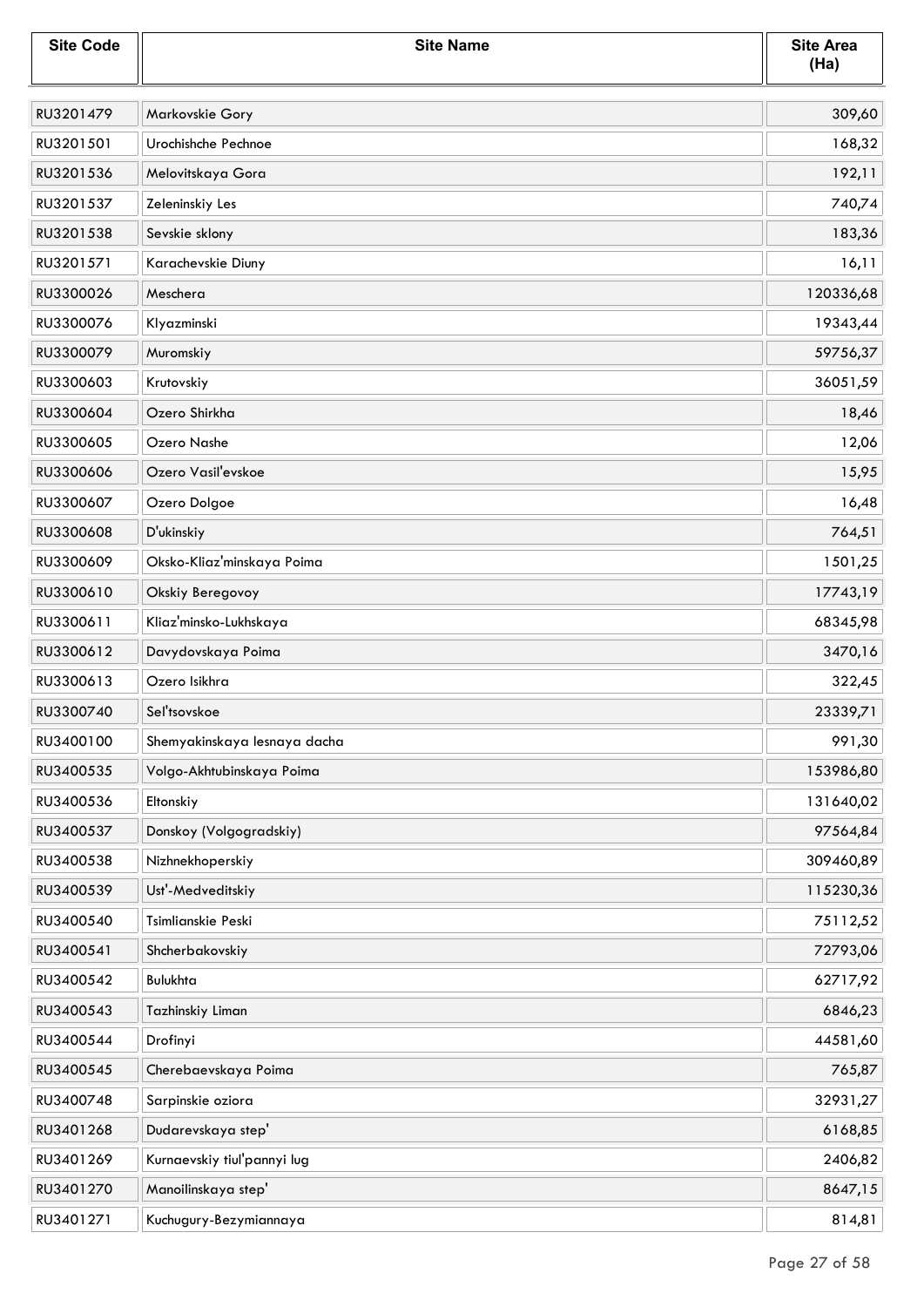| <b>Site Code</b> | <b>Site Name</b>             | <b>Site Area</b><br>(Ha) |
|------------------|------------------------------|--------------------------|
| RU3201479        | Markovskie Gory              | 309,60                   |
| RU3201501        | Urochishche Pechnoe          | 168,32                   |
| RU3201536        | Melovitskaya Gora            | 192,11                   |
| RU3201537        | Zeleninskiy Les              | 740,74                   |
| RU3201538        | Sevskie sklony               | 183,36                   |
| RU3201571        | Karachevskie Diuny           | 16,11                    |
| RU3300026        | Meschera                     | 120336,68                |
| RU3300076        | Klyazminski                  | 19343,44                 |
| RU3300079        | Muromskiy                    | 59756,37                 |
| RU3300603        | Krutovskiy                   | 36051,59                 |
| RU3300604        | Ozero Shirkha                | 18,46                    |
| RU3300605        | Ozero Nashe                  | 12,06                    |
| RU3300606        | Ozero Vasil'evskoe           | 15,95                    |
| RU3300607        | Ozero Dolgoe                 | 16,48                    |
| RU3300608        | D'ukinskiy                   | 764,51                   |
| RU3300609        | Oksko-Kliaz'minskaya Poima   | 1501,25                  |
| RU3300610        | Okskiy Beregovoy             | 17743,19                 |
| RU3300611        | Kliaz'minsko-Lukhskaya       | 68345,98                 |
| RU3300612        | Davydovskaya Poima           | 3470,16                  |
| RU3300613        | Ozero Isikhra                | 322,45                   |
| RU3300740        | Sel'tsovskoe                 | 23339,71                 |
| RU3400100        | Shemyakinskaya lesnaya dacha | 991,30                   |
| RU3400535        | Volgo-Akhtubinskaya Poima    | 153986,80                |
| RU3400536        | Eltonskiy                    | 131640,02                |
| RU3400537        | Donskoy (Volgogradskiy)      | 97564,84                 |
| RU3400538        | Nizhnekhoperskiy             | 309460,89                |
| RU3400539        | Ust'-Medveditskiy            | 115230,36                |
| RU3400540        | Tsimlianskie Peski           | 75112,52                 |
| RU3400541        | Shcherbakovskiy              | 72793,06                 |
| RU3400542        | Bulukhta                     | 62717,92                 |
| RU3400543        | Tazhinskiy Liman             | 6846,23                  |
| RU3400544        | Drofinyi                     | 44581,60                 |
| RU3400545        | Cherebaevskaya Poima         | 765,87                   |
| RU3400748        | Sarpinskie oziora            | 32931,27                 |
| RU3401268        | Dudarevskaya step'           | 6168,85                  |
| RU3401269        | Kurnaevskiy tiul'pannyi lug  | 2406,82                  |
| RU3401270        | Manoilinskaya step'          | 8647,15                  |
| RU3401271        | Kuchugury-Bezymiannaya       | 814,81                   |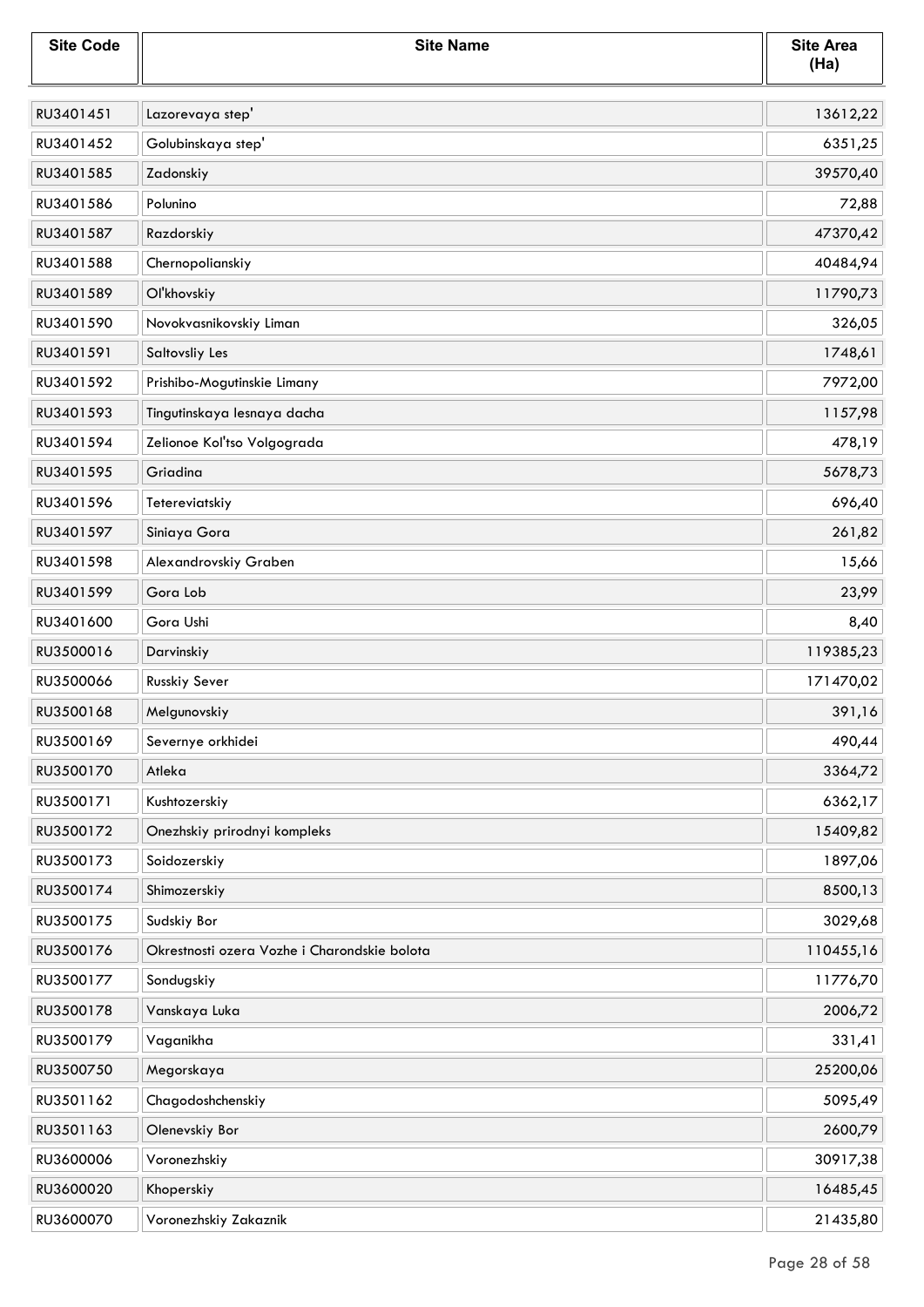| <b>Site Code</b> | <b>Site Name</b>                             | <b>Site Area</b><br>(Ha) |
|------------------|----------------------------------------------|--------------------------|
| RU3401451        | Lazorevaya step'                             | 13612,22                 |
| RU3401452        | Golubinskaya step'                           | 6351,25                  |
| RU3401585        | Zadonskiy                                    | 39570,40                 |
| RU3401586        | Polunino                                     | 72,88                    |
| RU3401587        | Razdorskiy                                   | 47370,42                 |
| RU3401588        | Chernopolianskiy                             | 40484,94                 |
| RU3401589        | Ol'khovskiy                                  | 11790,73                 |
| RU3401590        | Novokvasnikovskiy Liman                      | 326,05                   |
| RU3401591        | Saltovsliy Les                               | 1748,61                  |
| RU3401592        | Prishibo-Mogutinskie Limany                  | 7972,00                  |
| RU3401593        | Tingutinskaya lesnaya dacha                  | 1157,98                  |
| RU3401594        | Zelionoe Kol'tso Volgograda                  | 478,19                   |
| RU3401595        | Griadina                                     | 5678,73                  |
| RU3401596        | Tetereviatskiy                               | 696,40                   |
| RU3401597        | Siniaya Gora                                 | 261,82                   |
| RU3401598        | Alexandrovskiy Graben                        | 15,66                    |
| RU3401599        | Gora Lob                                     | 23,99                    |
| RU3401600        | Gora Ushi                                    | 8,40                     |
| RU3500016        | Darvinskiy                                   | 119385,23                |
| RU3500066        | Russkiy Sever                                | 171470,02                |
| RU3500168        | Melgunovskiy                                 | 391,16                   |
| RU3500169        | Severnye orkhidei                            | 490,44                   |
| RU3500170        | Atleka                                       | 3364,72                  |
| RU3500171        | Kushtozerskiy                                | 6362,17                  |
| RU3500172        | Onezhskiy prirodnyi kompleks                 | 15409,82                 |
| RU3500173        | Soidozerskiy                                 | 1897,06                  |
| RU3500174        | Shimozerskiy                                 | 8500,13                  |
| RU3500175        | Sudskiy Bor                                  | 3029,68                  |
| RU3500176        | Okrestnosti ozera Vozhe i Charondskie bolota | 110455,16                |
| RU3500177        | Sondugskiy                                   | 11776,70                 |
| RU3500178        | Vanskaya Luka                                | 2006,72                  |
| RU3500179        | Vaganikha                                    | 331,41                   |
| RU3500750        | Megorskaya                                   | 25200,06                 |
| RU3501162        | Chagodoshchenskiy                            | 5095,49                  |
| RU3501163        | Olenevskiy Bor                               | 2600,79                  |
| RU3600006        | Voronezhskiy                                 | 30917,38                 |
| RU3600020        | Khoperskiy                                   | 16485,45                 |
| RU3600070        | Voronezhskiy Zakaznik                        | 21435,80                 |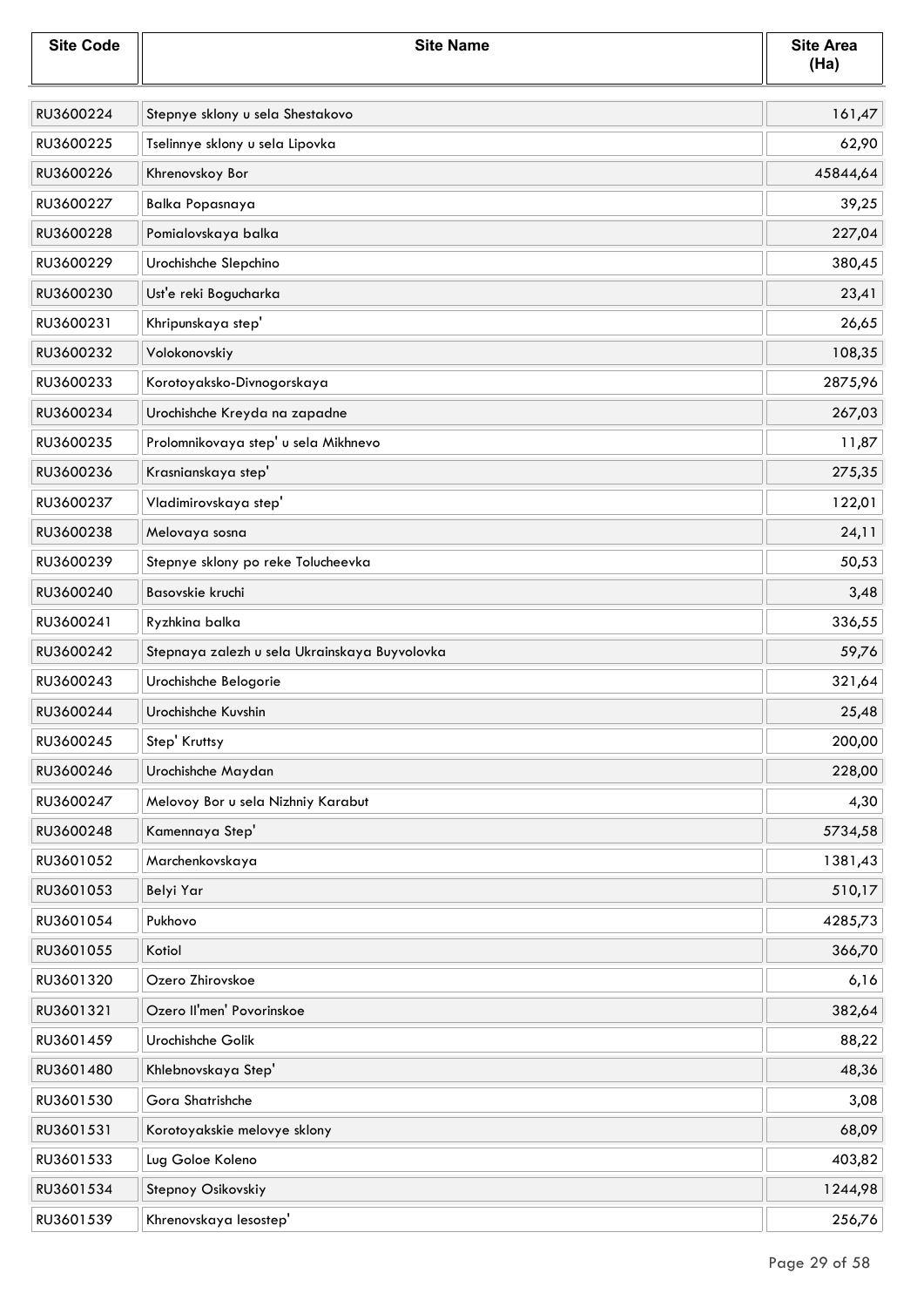| <b>Site Code</b> | <b>Site Name</b>                              | <b>Site Area</b><br>(Ha) |
|------------------|-----------------------------------------------|--------------------------|
| RU3600224        | Stepnye sklony u sela Shestakovo              | 161,47                   |
| RU3600225        | Tselinnye sklony u sela Lipovka               | 62,90                    |
| RU3600226        | Khrenovskoy Bor                               | 45844,64                 |
| RU3600227        | <b>Balka Popasnaya</b>                        | 39,25                    |
| RU3600228        | Pomialovskaya balka                           | 227,04                   |
| RU3600229        | Urochishche Slepchino                         | 380,45                   |
| RU3600230        | Ust'e reki Bogucharka                         | 23,41                    |
| RU3600231        | Khripunskaya step'                            | 26,65                    |
| RU3600232        | Volokonovskiy                                 | 108,35                   |
| RU3600233        | Korotoyaksko-Divnogorskaya                    | 2875,96                  |
| RU3600234        | Urochishche Kreyda na zapadne                 | 267,03                   |
| RU3600235        | Prolomnikovaya step' u sela Mikhnevo          | 11,87                    |
| RU3600236        | Krasnianskaya step'                           | 275,35                   |
| RU3600237        | Vladimirovskaya step'                         | 122,01                   |
| RU3600238        | Melovaya sosna                                | 24,11                    |
| RU3600239        | Stepnye sklony po reke Tolucheevka            | 50,53                    |
| RU3600240        | Basovskie kruchi                              | 3,48                     |
| RU3600241        | Ryzhkina balka                                | 336,55                   |
| RU3600242        | Stepnaya zalezh u sela Ukrainskaya Buyvolovka | 59,76                    |
| RU3600243        | Urochishche Belogorie                         | 321,64                   |
| RU3600244        | Urochishche Kuvshin                           | 25,48                    |
| RU3600245        | Step' Kruttsy                                 | 200,00                   |
| RU3600246        | Urochishche Maydan                            | 228,00                   |
| RU3600247        | Melovoy Bor u sela Nizhniy Karabut            | 4,30                     |
| RU3600248        | Kamennaya Step'                               | 5734,58                  |
| RU3601052        | Marchenkovskaya                               | 1381,43                  |
| RU3601053        | Belyi Yar                                     | 510,17                   |
| RU3601054        | Pukhovo                                       | 4285,73                  |
| RU3601055        | Kotiol                                        | 366,70                   |
| RU3601320        | Ozero Zhirovskoe                              | 6,16                     |
| RU3601321        | Ozero Il'men' Povorinskoe                     | 382,64                   |
| RU3601459        | Urochishche Golik                             | 88,22                    |
| RU3601480        | Khlebnovskaya Step'                           | 48,36                    |
| RU3601530        | Gora Shatrishche                              | 3,08                     |
| RU3601531        | Korotoyakskie melovye sklony                  | 68,09                    |
| RU3601533        | Lug Goloe Koleno                              | 403,82                   |
| RU3601534        | Stepnoy Osikovskiy                            | 1244,98                  |
| RU3601539        | Khrenovskaya lesostep'                        | 256,76                   |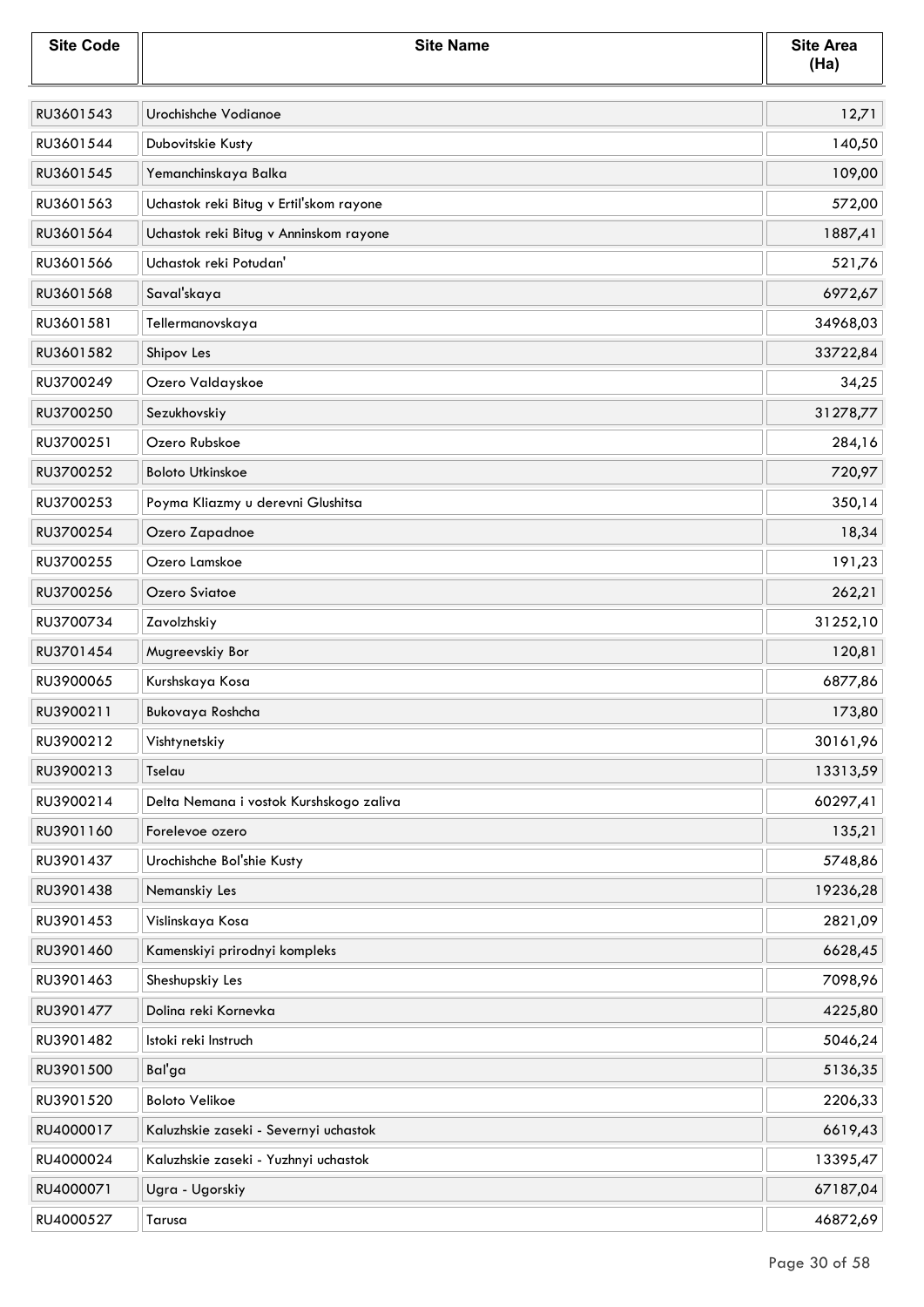| <b>Site Code</b> | <b>Site Name</b>                        | <b>Site Area</b><br>(Ha) |
|------------------|-----------------------------------------|--------------------------|
| RU3601543        | Urochishche Vodianoe                    | 12,71                    |
| RU3601544        | Dubovitskie Kusty                       | 140,50                   |
| RU3601545        | Yemanchinskaya Balka                    | 109,00                   |
| RU3601563        | Uchastok reki Bitug v Ertil'skom rayone | 572,00                   |
| RU3601564        | Uchastok reki Bitug v Anninskom rayone  | 1887,41                  |
| RU3601566        | Uchastok reki Potudan'                  | 521,76                   |
| RU3601568        | Saval'skaya                             | 6972,67                  |
| RU3601581        | Tellermanovskaya                        | 34968,03                 |
| RU3601582        | Shipov Les                              | 33722,84                 |
| RU3700249        | Ozero Valdayskoe                        | 34,25                    |
| RU3700250        | Sezukhovskiy                            | 31278,77                 |
| RU3700251        | Ozero Rubskoe                           | 284,16                   |
| RU3700252        | <b>Boloto Utkinskoe</b>                 | 720,97                   |
| RU3700253        | Poyma Kliazmy u derevni Glushitsa       | 350,14                   |
| RU3700254        | Ozero Zapadnoe                          | 18,34                    |
| RU3700255        | Ozero Lamskoe                           | 191,23                   |
| RU3700256        | Ozero Sviatoe                           | 262,21                   |
| RU3700734        | Zavolzhskiy                             | 31252,10                 |
| RU3701454        | Mugreevskiy Bor                         | 120,81                   |
| RU3900065        | Kurshskaya Kosa                         | 6877,86                  |
| RU3900211        | Bukovaya Roshcha                        | 173,80                   |
| RU3900212        | Vishtynetskiy                           | 30161,96                 |
| RU3900213        | Tselau                                  | 13313,59                 |
| RU3900214        | Delta Nemana i vostok Kurshskogo zaliva | 60297,41                 |
| RU3901160        | Forelevoe ozero                         | 135,21                   |
| RU3901437        | Urochishche Bol'shie Kusty              | 5748,86                  |
| RU3901438        | Nemanskiy Les                           | 19236,28                 |
| RU3901453        | Vislinskaya Kosa                        | 2821,09                  |
| RU3901460        | Kamenskiyi prirodnyi kompleks           | 6628,45                  |
| RU3901463        | Sheshupskiy Les                         | 7098,96                  |
| RU3901477        | Dolina reki Kornevka                    | 4225,80                  |
| RU3901482        | Istoki reki Instruch                    | 5046,24                  |
| RU3901500        | Bal'ga                                  | 5136,35                  |
| RU3901520        | <b>Boloto Velikoe</b>                   | 2206,33                  |
| RU4000017        | Kaluzhskie zaseki - Severnyi uchastok   | 6619,43                  |
| RU4000024        | Kaluzhskie zaseki - Yuzhnyi uchastok    | 13395,47                 |
| RU4000071        | Ugra - Ugorskiy                         | 67187,04                 |
| RU4000527        | Tarusa                                  | 46872,69                 |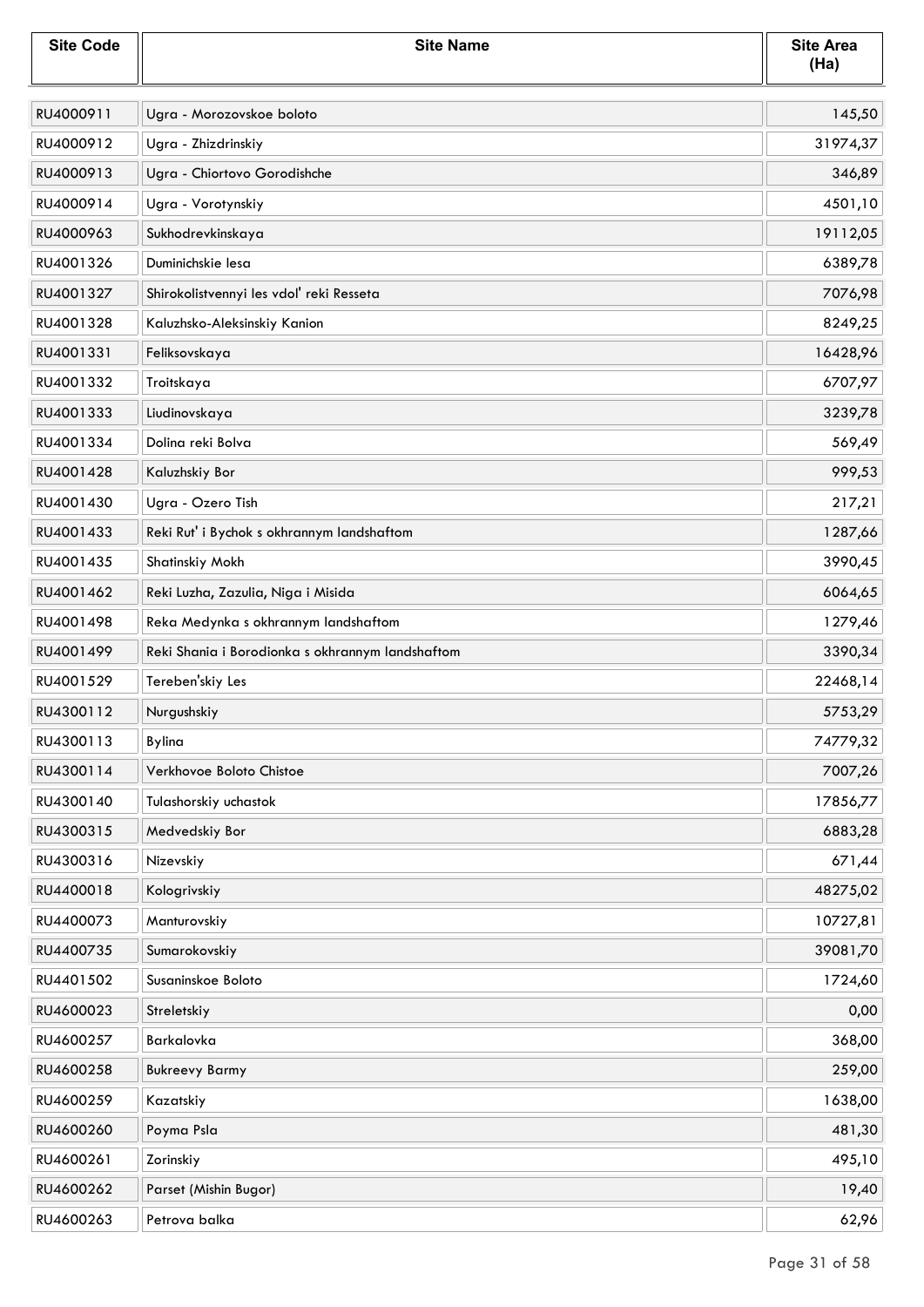| <b>Site Code</b> | <b>Site Name</b>                                 | <b>Site Area</b><br>(Ha) |
|------------------|--------------------------------------------------|--------------------------|
| RU4000911        | Ugra - Morozovskoe boloto                        | 145,50                   |
| RU4000912        | Ugra - Zhizdrinskiy                              | 31974,37                 |
| RU4000913        | Ugra - Chiortovo Gorodishche                     | 346,89                   |
| RU4000914        | Ugra - Vorotynskiy                               | 4501,10                  |
| RU4000963        | Sukhodrevkinskaya                                | 19112,05                 |
| RU4001326        | Duminichskie lesa                                | 6389,78                  |
| RU4001327        | Shirokolistvennyi les vdol' reki Resseta         | 7076,98                  |
| RU4001328        | Kaluzhsko-Aleksinskiy Kanion                     | 8249,25                  |
| RU4001331        | Feliksovskaya                                    | 16428,96                 |
| RU4001332        | Troitskaya                                       | 6707,97                  |
| RU4001333        | Liudinovskaya                                    | 3239,78                  |
| RU4001334        | Dolina reki Bolva                                | 569,49                   |
| RU4001428        | Kaluzhskiy Bor                                   | 999,53                   |
| RU4001430        | Ugra - Ozero Tish                                | 217,21                   |
| RU4001433        | Reki Rut' i Bychok s okhrannym landshaftom       | 1287,66                  |
| RU4001435        | Shatinskiy Mokh                                  | 3990,45                  |
| RU4001462        | Reki Luzha, Zazulia, Niga i Misida               | 6064,65                  |
| RU4001498        | Reka Medynka s okhrannym landshaftom             | 1279,46                  |
| RU4001499        | Reki Shania i Borodionka s okhrannym landshaftom | 3390,34                  |
| RU4001529        | Tereben'skiy Les                                 | 22468,14                 |
| RU4300112        | Nurgushskiy                                      | 5753,29                  |
| RU4300113        | Bylina                                           | 74779,32                 |
| RU4300114        | Verkhovoe Boloto Chistoe                         | 7007,26                  |
| RU4300140        | Tulashorskiy uchastok                            | 17856,77                 |
| RU4300315        | Medvedskiy Bor                                   | 6883,28                  |
| RU4300316        | Nizevskiy                                        | 671,44                   |
| RU4400018        | Kologrivskiy                                     | 48275,02                 |
| RU4400073        | Manturovskiy                                     | 10727,81                 |
| RU4400735        | Sumarokovskiy                                    | 39081,70                 |
| RU4401502        | Susaninskoe Boloto                               | 1724,60                  |
| RU4600023        | Streletskiy                                      | 0,00                     |
| RU4600257        | Barkalovka                                       | 368,00                   |
| RU4600258        | <b>Bukreevy Barmy</b>                            | 259,00                   |
| RU4600259        | Kazatskiy                                        | 1638,00                  |
| RU4600260        | Poyma Psla                                       | 481,30                   |
| RU4600261        | Zorinskiy                                        | 495,10                   |
| RU4600262        | Parset (Mishin Bugor)                            | 19,40                    |
| RU4600263        | Petrova balka                                    | 62,96                    |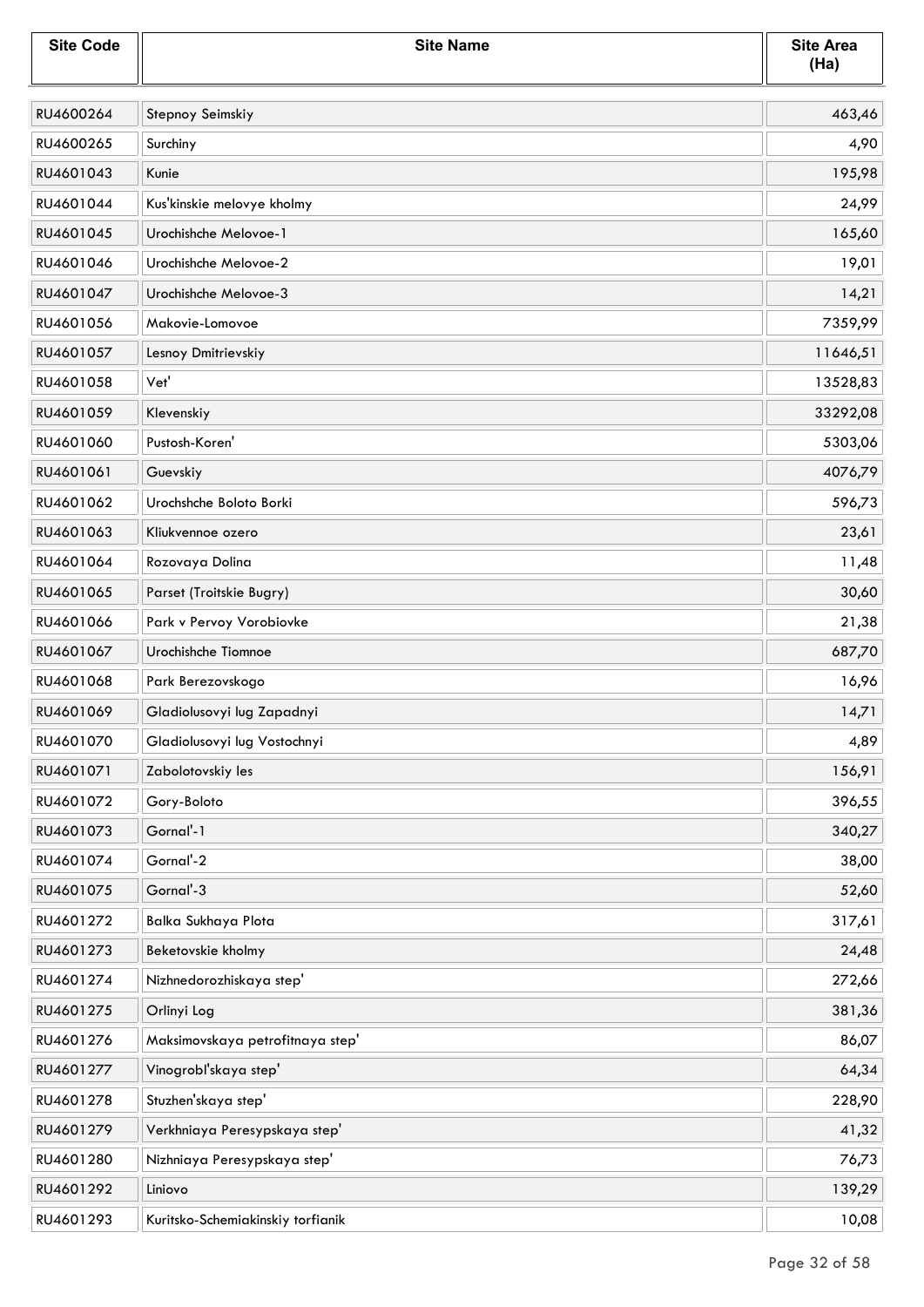| <b>Site Code</b> | <b>Site Name</b>                  | <b>Site Area</b><br>(Ha) |
|------------------|-----------------------------------|--------------------------|
| RU4600264        | Stepnoy Seimskiy                  | 463,46                   |
| RU4600265        | Surchiny                          | 4,90                     |
| RU4601043        | Kunie                             | 195,98                   |
| RU4601044        | Kus'kinskie melovye kholmy        | 24,99                    |
| RU4601045        | Urochishche Melovoe-1             | 165,60                   |
| RU4601046        | Urochishche Melovoe-2             | 19,01                    |
| RU4601047        | Urochishche Melovoe-3             | 14,21                    |
| RU4601056        | Makovie-Lomovoe                   | 7359,99                  |
| RU4601057        | Lesnoy Dmitrievskiy               | 11646,51                 |
| RU4601058        | Vet'                              | 13528,83                 |
| RU4601059        | Klevenskiy                        | 33292,08                 |
| RU4601060        | Pustosh-Koren'                    | 5303,06                  |
| RU4601061        | Guevskiy                          | 4076,79                  |
| RU4601062        | Urochshche Boloto Borki           | 596,73                   |
| RU4601063        | Kliukvennoe ozero                 | 23,61                    |
| RU4601064        | Rozovaya Dolina                   | 11,48                    |
| RU4601065        | Parset (Troitskie Bugry)          | 30,60                    |
| RU4601066        | Park v Pervoy Vorobiovke          | 21,38                    |
| RU4601067        | Urochishche Tiomnoe               | 687,70                   |
| RU4601068        | Park Berezovskogo                 | 16,96                    |
| RU4601069        | Gladiolusovyi lug Zapadnyi        | 14,71                    |
| RU4601070        | Gladiolusovyi lug Vostochnyi      | 4,89                     |
| RU4601071        | Zabolotovskiy les                 | 156,91                   |
| RU4601072        | Gory-Boloto                       | 396,55                   |
| RU4601073        | Gornal'-1                         | 340,27                   |
| RU4601074        | Gornal'-2                         | 38,00                    |
| RU4601075        | Gornal'-3                         | 52,60                    |
| RU4601272        | Balka Sukhaya Plota               | 317,61                   |
| RU4601273        | Beketovskie kholmy                | 24,48                    |
| RU4601274        | Nizhnedorozhiskaya step'          | 272,66                   |
| RU4601275        | Orlinyi Log                       | 381,36                   |
| RU4601276        | Maksimovskaya petrofitnaya step'  | 86,07                    |
| RU4601277        | Vinogrobl'skaya step'             | 64,34                    |
| RU4601278        | Stuzhen'skaya step'               | 228,90                   |
| RU4601279        | Verkhniaya Peresypskaya step'     | 41,32                    |
| RU4601280        | Nizhniaya Peresypskaya step'      | 76,73                    |
| RU4601292        | Liniovo                           | 139,29                   |
| RU4601293        | Kuritsko-Schemiakinskiy torfianik | 10,08                    |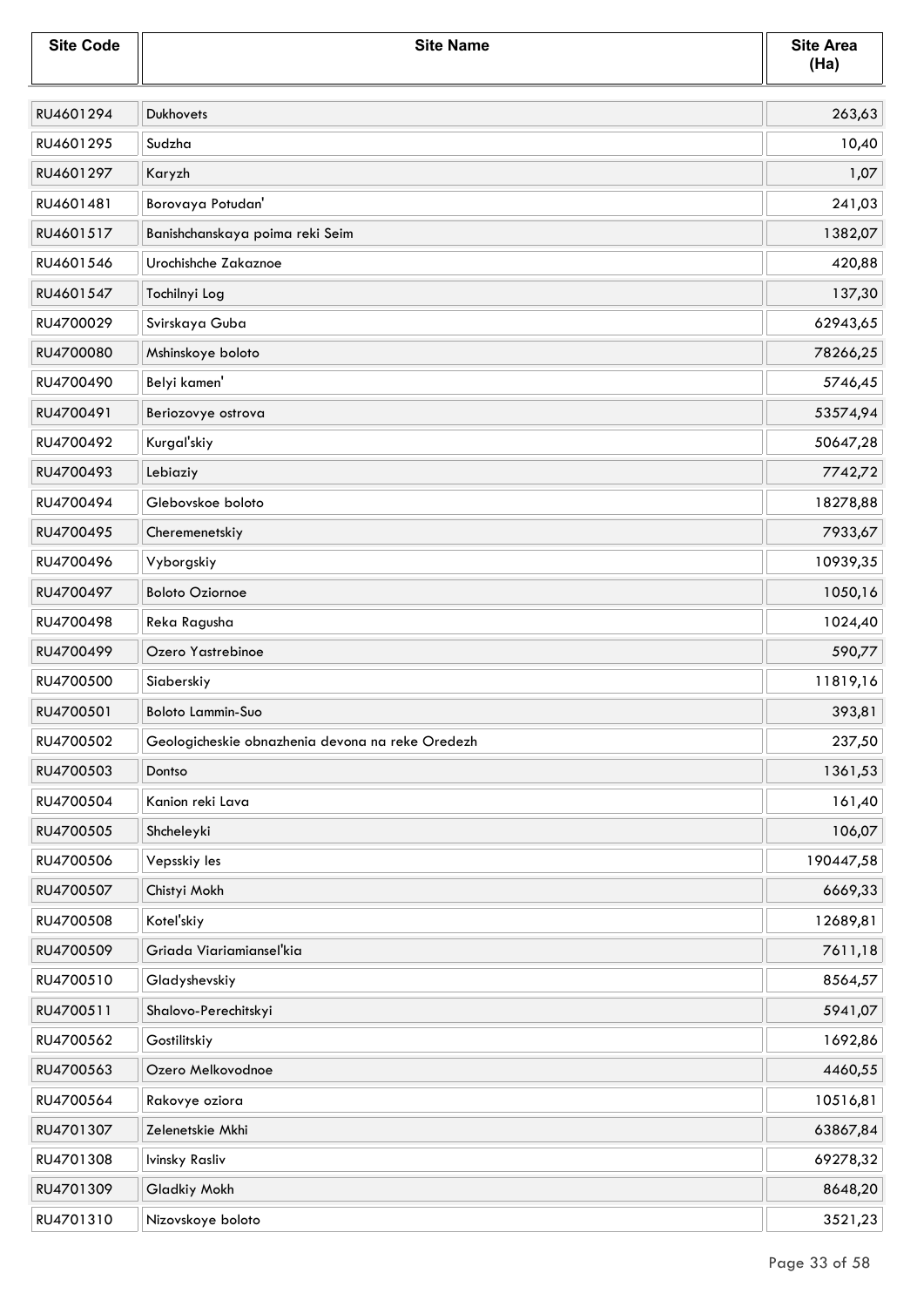| <b>Site Code</b> | <b>Site Name</b>                                 | <b>Site Area</b><br>(Ha) |
|------------------|--------------------------------------------------|--------------------------|
| RU4601294        | Dukhovets                                        | 263,63                   |
| RU4601295        | Sudzha                                           | 10,40                    |
| RU4601297        | Karyzh                                           | 1,07                     |
| RU4601481        | Borovaya Potudan'                                | 241,03                   |
| RU4601517        | Banishchanskaya poima reki Seim                  | 1382,07                  |
| RU4601546        | Urochishche Zakaznoe                             | 420,88                   |
| RU4601547        | Tochilnyi Log                                    | 137,30                   |
| RU4700029        | Svirskaya Guba                                   | 62943,65                 |
| RU4700080        | Mshinskoye boloto                                | 78266,25                 |
| RU4700490        | Belyi kamen'                                     | 5746,45                  |
| RU4700491        | Beriozovye ostrova                               | 53574,94                 |
| RU4700492        | Kurgal'skiy                                      | 50647,28                 |
| RU4700493        | Lebiaziy                                         | 7742,72                  |
| RU4700494        | Glebovskoe boloto                                | 18278,88                 |
| RU4700495        | Cheremenetskiy                                   | 7933,67                  |
| RU4700496        | Vyborgskiy                                       | 10939,35                 |
| RU4700497        | <b>Boloto Oziornoe</b>                           | 1050,16                  |
| RU4700498        | Reka Ragusha                                     | 1024,40                  |
| RU4700499        | Ozero Yastrebinoe                                | 590,77                   |
| RU4700500        | Siaberskiy                                       | 11819,16                 |
| RU4700501        | <b>Boloto Lammin-Suo</b>                         | 393,81                   |
| RU4700502        | Geologicheskie obnazhenia devona na reke Oredezh | 237,50                   |
| RU4700503        | Dontso                                           | 1361,53                  |
| RU4700504        | Kanion reki Lava                                 | 161,40                   |
| RU4700505        | Shcheleyki                                       | 106,07                   |
| RU4700506        | Vepsskiy les                                     | 190447,58                |
| RU4700507        | Chistyi Mokh                                     | 6669,33                  |
| RU4700508        | Kotel'skiy                                       | 12689,81                 |
| RU4700509        | Griada Viariamiansel'kia                         | 7611,18                  |
| RU4700510        | Gladyshevskiy                                    | 8564,57                  |
| RU4700511        | Shalovo-Perechitskyi                             | 5941,07                  |
| RU4700562        | Gostilitskiy                                     | 1692,86                  |
| RU4700563        | Ozero Melkovodnoe                                | 4460,55                  |
| RU4700564        | Rakovye oziora                                   | 10516,81                 |
| RU4701307        | Zelenetskie Mkhi                                 | 63867,84                 |
| RU4701308        | Ivinsky Rasliv                                   | 69278,32                 |
| RU4701309        | Gladkiy Mokh                                     | 8648,20                  |
| RU4701310        | Nizovskoye boloto                                | 3521,23                  |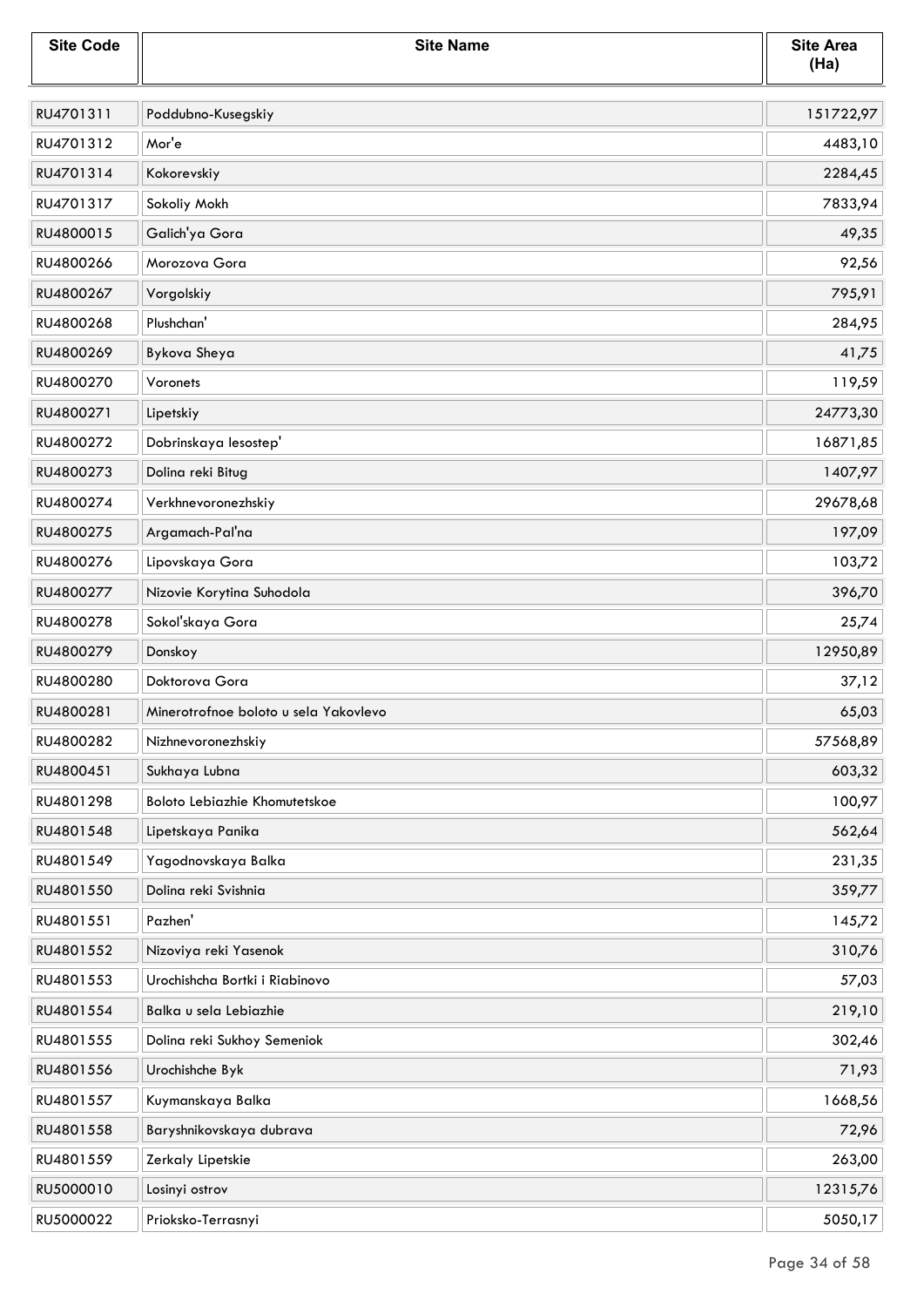| <b>Site Code</b> | <b>Site Name</b>                      | <b>Site Area</b><br>(Ha) |
|------------------|---------------------------------------|--------------------------|
| RU4701311        | Poddubno-Kusegskiy                    | 151722,97                |
| RU4701312        | Mor'e                                 | 4483,10                  |
| RU4701314        | Kokorevskiy                           | 2284,45                  |
| RU4701317        | Sokoliy Mokh                          | 7833,94                  |
| RU4800015        | Galich'ya Gora                        | 49,35                    |
| RU4800266        | Morozova Gora                         | 92,56                    |
| RU4800267        | Vorgolskiy                            | 795,91                   |
| RU4800268        | Plushchan'                            | 284,95                   |
| RU4800269        | Bykova Sheya                          | 41,75                    |
| RU4800270        | Voronets                              | 119,59                   |
| RU4800271        | Lipetskiy                             | 24773,30                 |
| RU4800272        | Dobrinskaya lesostep'                 | 16871,85                 |
| RU4800273        | Dolina reki Bitug                     | 1407,97                  |
| RU4800274        | Verkhnevoronezhskiy                   | 29678,68                 |
| RU4800275        | Argamach-Pal'na                       | 197,09                   |
| RU4800276        | Lipovskaya Gora                       | 103,72                   |
| RU4800277        | Nizovie Korytina Suhodola             | 396,70                   |
| RU4800278        | Sokoľskaya Gora                       | 25,74                    |
| RU4800279        | Donskoy                               | 12950,89                 |
| RU4800280        | Doktorova Gora                        | 37,12                    |
| RU4800281        | Minerotrofnoe boloto u sela Yakovlevo | 65,03                    |
| RU4800282        | Nizhnevoronezhskiy                    | 57568,89                 |
| RU4800451        | Sukhaya Lubna                         | 603,32                   |
| RU4801298        | <b>Boloto Lebiazhie Khomutetskoe</b>  | 100,97                   |
| RU4801548        | Lipetskaya Panika                     | 562,64                   |
| RU4801549        | Yagodnovskaya Balka                   | 231,35                   |
| RU4801550        | Dolina reki Svishnia                  | 359,77                   |
| RU4801551        | Pazhen'                               | 145,72                   |
| RU4801552        | Nizoviya reki Yasenok                 | 310,76                   |
| RU4801553        | Urochishcha Bortki i Riabinovo        | 57,03                    |
| RU4801554        | Balka u sela Lebiazhie                | 219,10                   |
| RU4801555        | Dolina reki Sukhoy Semeniok           | 302,46                   |
| RU4801556        | Urochishche Byk                       | 71,93                    |
| RU4801557        | Kuymanskaya Balka                     | 1668,56                  |
| RU4801558        | Baryshnikovskaya dubrava              | 72,96                    |
| RU4801559        | Zerkaly Lipetskie                     | 263,00                   |
| RU5000010        | Losinyi ostrov                        | 12315,76                 |
| RU5000022        | Prioksko-Terrasnyi                    | 5050,17                  |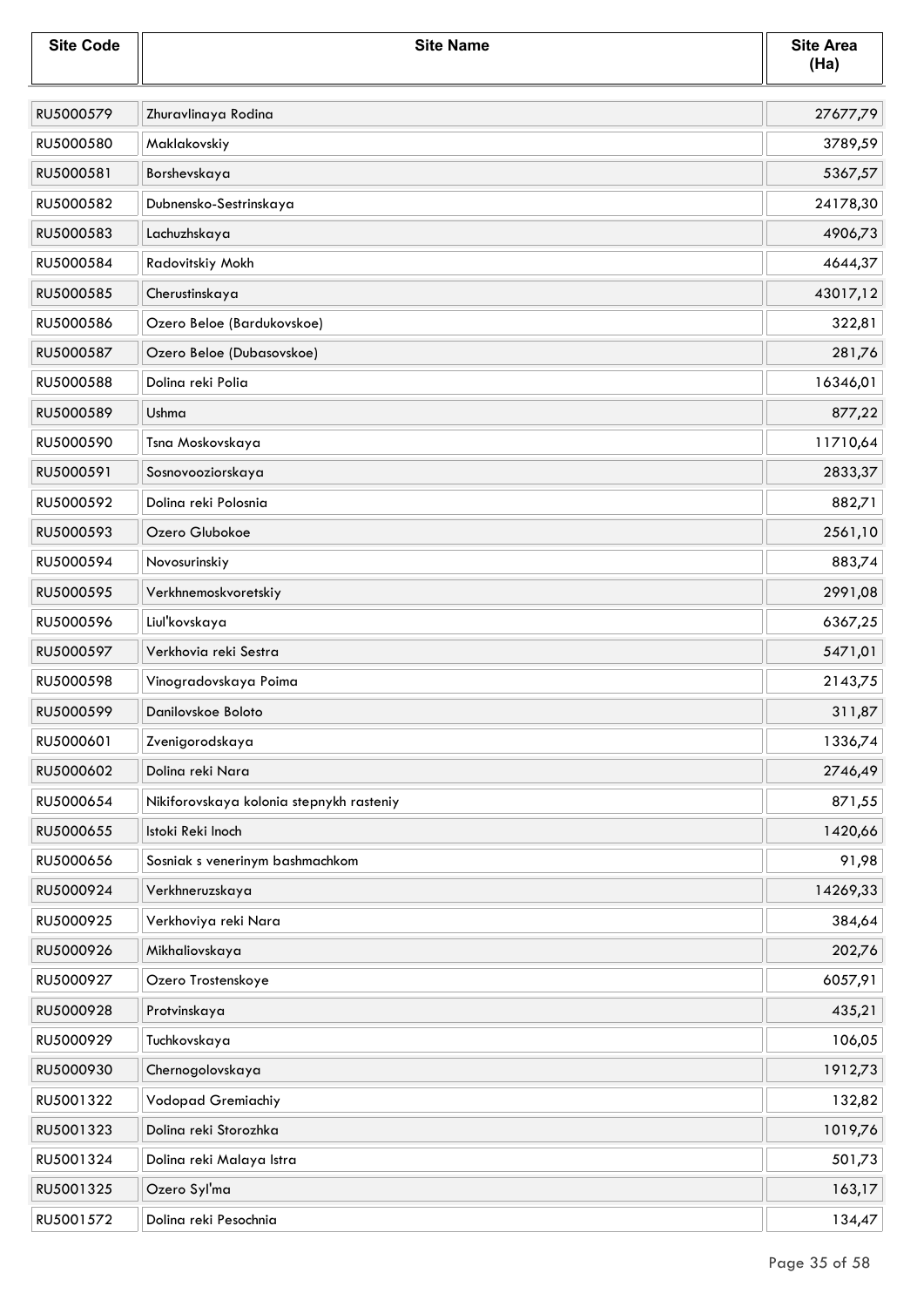| <b>Site Code</b> | <b>Site Name</b>                         | <b>Site Area</b><br>(Ha) |
|------------------|------------------------------------------|--------------------------|
| RU5000579        | Zhuravlinaya Rodina                      | 27677,79                 |
| RU5000580        | Maklakovskiy                             | 3789,59                  |
| RU5000581        | Borshevskaya                             | 5367,57                  |
| RU5000582        | Dubnensko-Sestrinskaya                   | 24178,30                 |
| RU5000583        | Lachuzhskaya                             | 4906,73                  |
| RU5000584        | Radovitskiy Mokh                         | 4644,37                  |
| RU5000585        | Cherustinskaya                           | 43017,12                 |
| RU5000586        | Ozero Beloe (Bardukovskoe)               | 322,81                   |
| RU5000587        | Ozero Beloe (Dubasovskoe)                | 281,76                   |
| RU5000588        | Dolina reki Polia                        | 16346,01                 |
| RU5000589        | Ushma                                    | 877,22                   |
| RU5000590        | Tsna Moskovskaya                         | 11710,64                 |
| RU5000591        | Sosnovooziorskaya                        | 2833,37                  |
| RU5000592        | Dolina reki Polosnia                     | 882,71                   |
| RU5000593        | Ozero Glubokoe                           | 2561,10                  |
| RU5000594        | Novosurinskiy                            | 883,74                   |
| RU5000595        | Verkhnemoskvoretskiy                     | 2991,08                  |
| RU5000596        | Liul'kovskaya                            | 6367,25                  |
| RU5000597        | Verkhovia reki Sestra                    | 5471,01                  |
| RU5000598        | Vinogradovskaya Poima                    | 2143,75                  |
| RU5000599        | Danilovskoe Boloto                       | 311,87                   |
| RU5000601        | Zvenigorodskaya                          | 1336,74                  |
| RU5000602        | Dolina reki Nara                         | 2746,49                  |
| RU5000654        | Nikiforovskaya kolonia stepnykh rasteniy | 871,55                   |
| RU5000655        | Istoki Reki Inoch                        | 1420,66                  |
| RU5000656        | Sosniak s venerinym bashmachkom          | 91,98                    |
| RU5000924        | Verkhneruzskaya                          | 14269,33                 |
| RU5000925        | Verkhoviya reki Nara                     | 384,64                   |
| RU5000926        | Mikhaliovskaya                           | 202,76                   |
| RU5000927        | Ozero Trostenskoye                       | 6057,91                  |
| RU5000928        | Protvinskaya                             | 435,21                   |
| RU5000929        | Tuchkovskaya                             | 106,05                   |
| RU5000930        | Chernogolovskaya                         | 1912,73                  |
| RU5001322        | Vodopad Gremiachiy                       | 132,82                   |
| RU5001323        | Dolina reki Storozhka                    | 1019,76                  |
| RU5001324        | Dolina reki Malaya Istra                 | 501,73                   |
| RU5001325        | Ozero Syl'ma                             | 163,17                   |
| RU5001572        | Dolina reki Pesochnia                    | 134,47                   |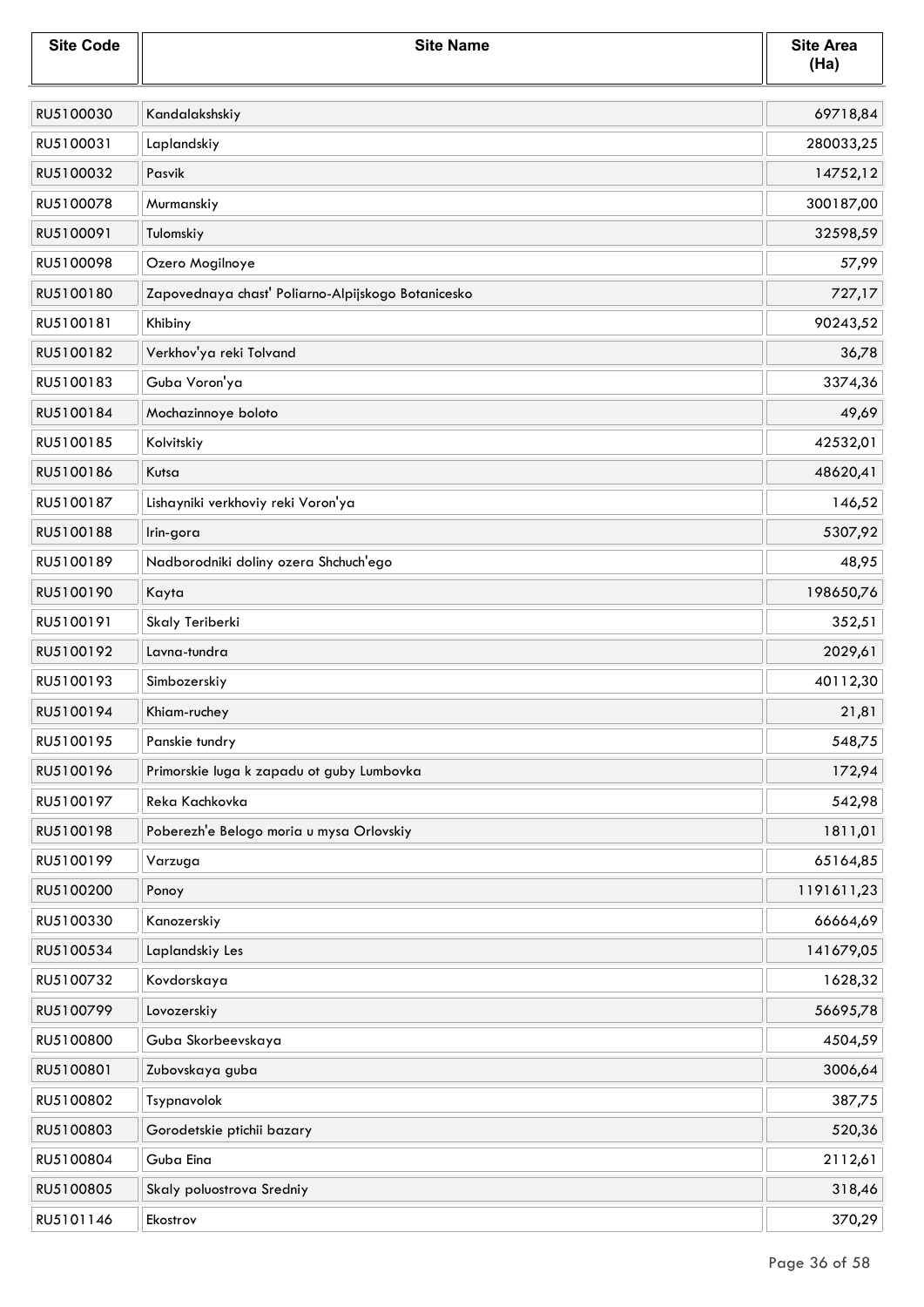| <b>Site Code</b> | <b>Site Name</b>                                   | <b>Site Area</b><br>(Ha) |
|------------------|----------------------------------------------------|--------------------------|
| RU5100030        | Kandalakshskiy                                     | 69718,84                 |
| RU5100031        | Laplandskiy                                        | 280033,25                |
| RU5100032        | Pasvik                                             | 14752,12                 |
| RU5100078        | Murmanskiy                                         | 300187,00                |
| RU5100091        | Tulomskiy                                          | 32598,59                 |
| RU5100098        | Ozero Mogilnoye                                    | 57,99                    |
| RU5100180        | Zapovednaya chast' Poliarno-Alpijskogo Botanicesko | 727,17                   |
| RU5100181        | Khibiny                                            | 90243,52                 |
| RU5100182        | Verkhov'ya reki Tolvand                            | 36,78                    |
| RU5100183        | Guba Voron'ya                                      | 3374,36                  |
| RU5100184        | Mochazinnoye boloto                                | 49,69                    |
| RU5100185        | Kolvitskiy                                         | 42532,01                 |
| RU5100186        | Kutsa                                              | 48620,41                 |
| RU5100187        | Lishayniki verkhoviy reki Voron'ya                 | 146,52                   |
| RU5100188        | Irin-gora                                          | 5307,92                  |
| RU5100189        | Nadborodniki doliny ozera Shchuch'ego              | 48,95                    |
| RU5100190        | Kayta                                              | 198650,76                |
| RU5100191        | Skaly Teriberki                                    | 352,51                   |
| RU5100192        | Lavna-tundra                                       | 2029,61                  |
| RU5100193        | Simbozerskiy                                       | 40112,30                 |
| RU5100194        | Khiam-ruchey                                       | 21,81                    |
| RU5100195        | Panskie tundry                                     | 548,75                   |
| RU5100196        | Primorskie luga k zapadu ot guby Lumbovka          | 172,94                   |
| RU5100197        | Reka Kachkovka                                     | 542,98                   |
| RU5100198        | Poberezh'e Belogo moria u mysa Orlovskiy           | 1811,01                  |
| RU5100199        | Varzuga                                            | 65164,85                 |
| RU5100200        | Ponoy                                              | 1191611,23               |
| RU5100330        | Kanozerskiy                                        | 66664,69                 |
| RU5100534        | Laplandskiy Les                                    | 141679,05                |
| RU5100732        | Kovdorskaya                                        | 1628,32                  |
| RU5100799        | Lovozerskiy                                        | 56695,78                 |
| RU5100800        | Guba Skorbeevskaya                                 | 4504,59                  |
| RU5100801        | Zubovskaya guba                                    | 3006,64                  |
| RU5100802        | Tsypnavolok                                        | 387,75                   |
| RU5100803        | Gorodetskie ptichii bazary                         | 520,36                   |
| RU5100804        | Guba Eina                                          | 2112,61                  |
| RU5100805        | Skaly poluostrova Sredniy                          | 318,46                   |
| RU5101146        | Ekostrov                                           | 370,29                   |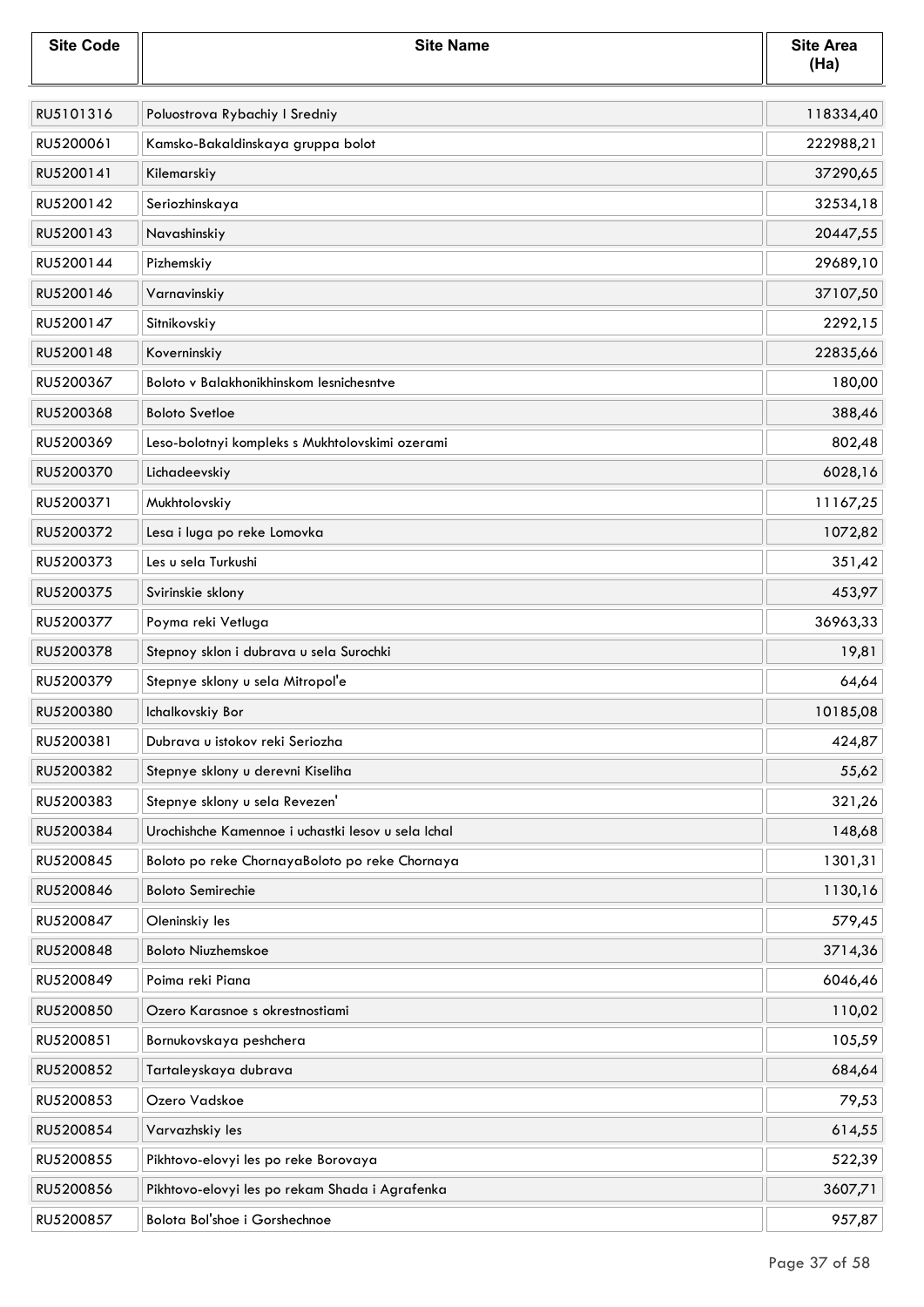| <b>Site Code</b> | <b>Site Name</b>                                   | <b>Site Area</b><br>(Ha) |
|------------------|----------------------------------------------------|--------------------------|
| RU5101316        | Poluostrova Rybachiy I Sredniy                     | 118334,40                |
| RU5200061        | Kamsko-Bakaldinskaya gruppa bolot                  | 222988,21                |
| RU5200141        | Kilemarskiy                                        | 37290,65                 |
| RU5200142        | Seriozhinskaya                                     | 32534,18                 |
| RU5200143        | Navashinskiy                                       | 20447,55                 |
| RU5200144        | Pizhemskiy                                         | 29689,10                 |
| RU5200146        | Varnavinskiy                                       | 37107,50                 |
| RU5200147        | Sitnikovskiy                                       | 2292,15                  |
| RU5200148        | Koverninskiy                                       | 22835,66                 |
| RU5200367        | Boloto v Balakhonikhinskom lesnichesntve           | 180,00                   |
| RU5200368        | <b>Boloto Svetloe</b>                              | 388,46                   |
| RU5200369        | Leso-bolotnyi kompleks s Mukhtolovskimi ozerami    | 802,48                   |
| RU5200370        | Lichadeevskiy                                      | 6028,16                  |
| RU5200371        | Mukhtolovskiy                                      | 11167,25                 |
| RU5200372        | Lesa i luga po reke Lomovka                        | 1072,82                  |
| RU5200373        | Les u sela Turkushi                                | 351,42                   |
| RU5200375        | Svirinskie sklony                                  | 453,97                   |
| RU5200377        | Poyma reki Vetluga                                 | 36963,33                 |
| RU5200378        | Stepnoy sklon i dubrava u sela Surochki            | 19,81                    |
| RU5200379        | Stepnye sklony u sela Mitropol'e                   | 64,64                    |
| RU5200380        | Ichalkovskiy Bor                                   | 10185,08                 |
| RU5200381        | Dubrava u istokov reki Seriozha                    | 424,87                   |
| RU5200382        | Stepnye sklony u derevni Kiseliha                  | 55,62                    |
| RU5200383        | Stepnye sklony u sela Revezen'                     | 321,26                   |
| RU5200384        | Urochishche Kamennoe i uchastki lesov u sela Ichal | 148,68                   |
| RU5200845        | Boloto po reke ChornayaBoloto po reke Chornaya     | 1301,31                  |
| RU5200846        | <b>Boloto Semirechie</b>                           | 1130,16                  |
| RU5200847        | Oleninskiy les                                     | 579,45                   |
| RU5200848        | <b>Boloto Niuzhemskoe</b>                          | 3714,36                  |
| RU5200849        | Poima reki Piana                                   | 6046,46                  |
| RU5200850        | Ozero Karasnoe s okrestnostiami                    | 110,02                   |
| RU5200851        | Bornukovskaya peshchera                            | 105,59                   |
| RU5200852        | Tartaleyskaya dubrava                              | 684,64                   |
| RU5200853        | Ozero Vadskoe                                      | 79,53                    |
| RU5200854        | Varvazhskiy les                                    | 614,55                   |
| RU5200855        | Pikhtovo-elovyi les po reke Borovaya               | 522,39                   |
| RU5200856        | Pikhtovo-elovyi les po rekam Shada i Agrafenka     | 3607,71                  |
| RU5200857        | Bolota Bol'shoe i Gorshechnoe                      | 957,87                   |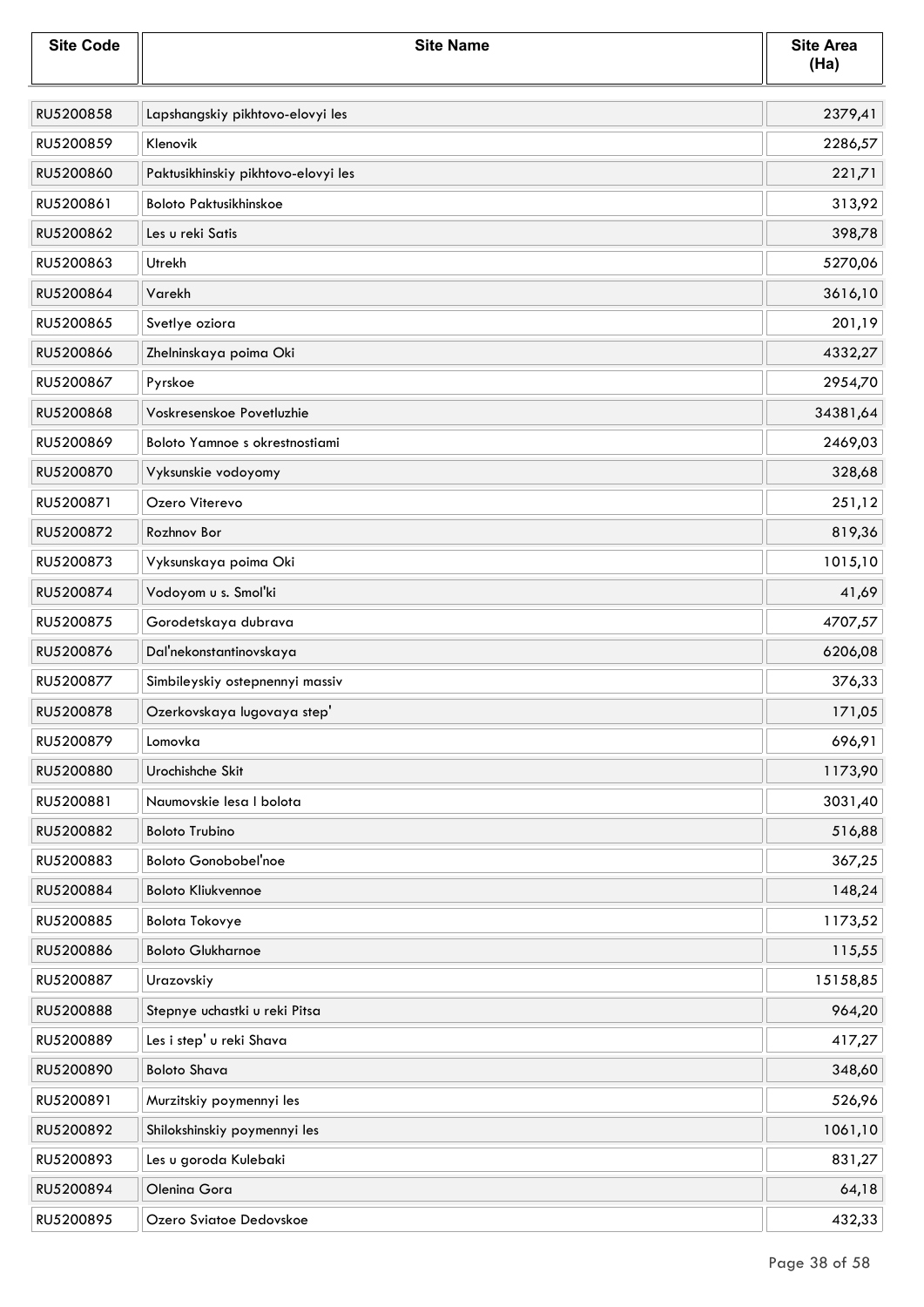| <b>Site Code</b> | <b>Site Name</b>                    | <b>Site Area</b><br>(Ha) |
|------------------|-------------------------------------|--------------------------|
| RU5200858        | Lapshangskiy pikhtovo-elovyi les    | 2379,41                  |
| RU5200859        | Klenovik                            | 2286,57                  |
| RU5200860        | Paktusikhinskiy pikhtovo-elovyi les | 221,71                   |
| RU5200861        | <b>Boloto Paktusikhinskoe</b>       | 313,92                   |
| RU5200862        | Les u reki Satis                    | 398,78                   |
| RU5200863        | Utrekh                              | 5270,06                  |
| RU5200864        | Varekh                              | 3616,10                  |
| RU5200865        | Svetlye oziora                      | 201,19                   |
| RU5200866        | Zhelninskaya poima Oki              | 4332,27                  |
| RU5200867        | Pyrskoe                             | 2954,70                  |
| RU5200868        | Voskresenskoe Povetluzhie           | 34381,64                 |
| RU5200869        | Boloto Yamnoe s okrestnostiami      | 2469,03                  |
| RU5200870        | Vyksunskie vodoyomy                 | 328,68                   |
| RU5200871        | Ozero Viterevo                      | 251,12                   |
| RU5200872        | Rozhnov Bor                         | 819,36                   |
| RU5200873        | Vyksunskaya poima Oki               | 1015,10                  |
| RU5200874        | Vodoyom u s. Smol'ki                | 41,69                    |
| RU5200875        | Gorodetskaya dubrava                | 4707,57                  |
| RU5200876        | Dal'nekonstantinovskaya             | 6206,08                  |
| RU5200877        | Simbileyskiy ostepnennyi massiv     | 376,33                   |
| RU5200878        | Ozerkovskaya lugovaya step'         | 171,05                   |
| RU5200879        | Lomovka                             | 696,91                   |
| RU5200880        | Urochishche Skit                    | 1173,90                  |
| RU5200881        | Naumovskie lesa I bolota            | 3031,40                  |
| RU5200882        | <b>Boloto Trubino</b>               | 516,88                   |
| RU5200883        | <b>Boloto Gonobobel'noe</b>         | 367,25                   |
| RU5200884        | <b>Boloto Kliukvennoe</b>           | 148,24                   |
| RU5200885        | <b>Bolota Tokovye</b>               | 1173,52                  |
| RU5200886        | <b>Boloto Glukharnoe</b>            | 115,55                   |
| RU5200887        | Urazovskiy                          | 15158,85                 |
| RU5200888        | Stepnye uchastki u reki Pitsa       | 964,20                   |
| RU5200889        | Les i step' u reki Shava            | 417,27                   |
| RU5200890        | <b>Boloto Shava</b>                 | 348,60                   |
| RU5200891        | Murzitskiy poymennyi les            | 526,96                   |
| RU5200892        | Shilokshinskiy poymennyi les        | 1061,10                  |
| RU5200893        | Les u goroda Kulebaki               | 831,27                   |
| RU5200894        | Olenina Gora                        | 64,18                    |
| RU5200895        | Ozero Sviatoe Dedovskoe             | 432,33                   |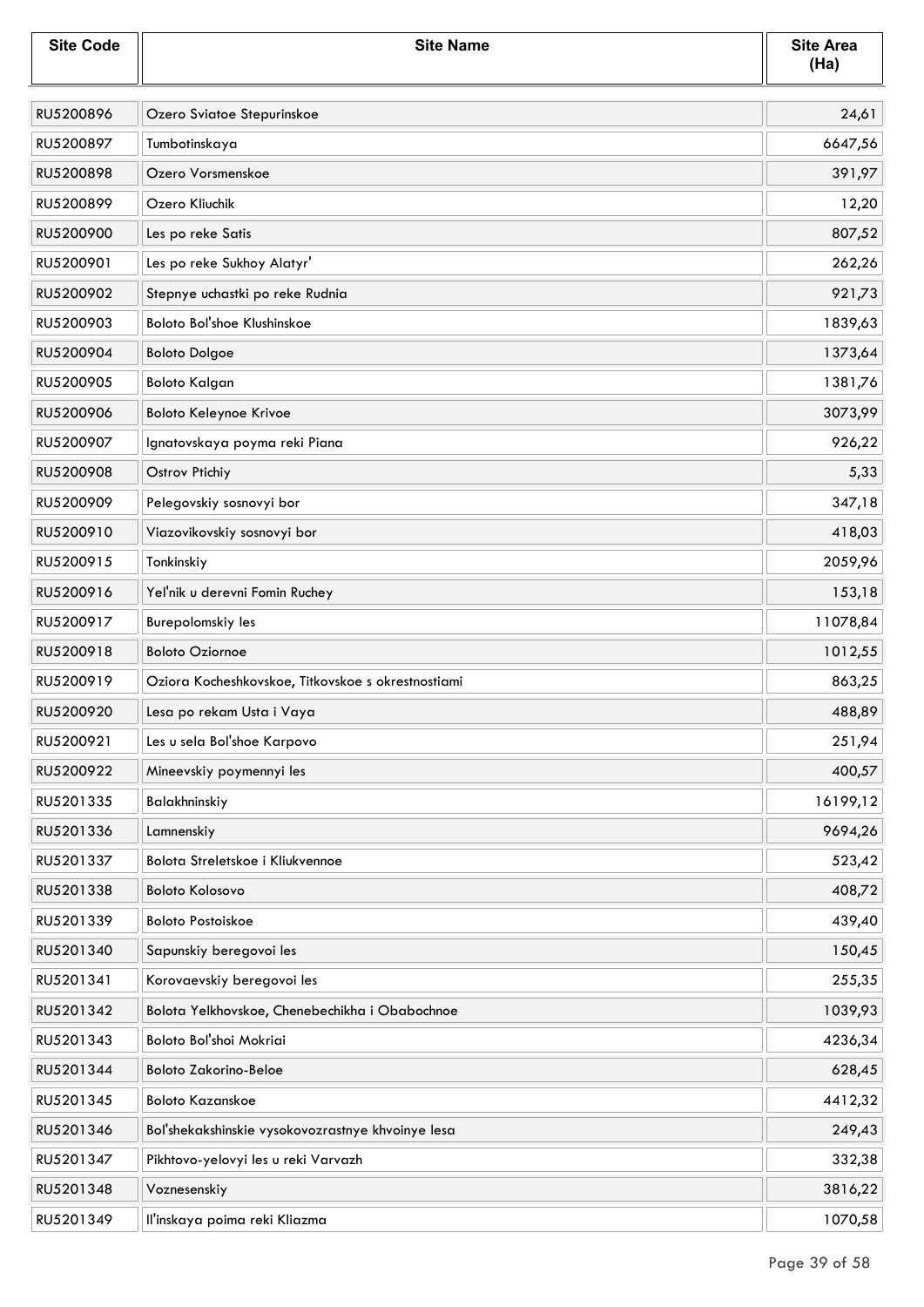| <b>Site Code</b> | <b>Site Name</b>                                   | <b>Site Area</b><br>(Ha) |
|------------------|----------------------------------------------------|--------------------------|
| RU5200896        | Ozero Sviatoe Stepurinskoe                         | 24,61                    |
| RU5200897        | Tumbotinskaya                                      | 6647,56                  |
| RU5200898        | Ozero Vorsmenskoe                                  | 391,97                   |
| RU5200899        | Ozero Kliuchik                                     | 12,20                    |
| RU5200900        | Les po reke Satis                                  | 807,52                   |
| RU5200901        | Les po reke Sukhoy Alatyr'                         | 262,26                   |
| RU5200902        | Stepnye uchastki po reke Rudnia                    | 921,73                   |
| RU5200903        | Boloto Bol'shoe Klushinskoe                        | 1839,63                  |
| RU5200904        | <b>Boloto Dolgoe</b>                               | 1373,64                  |
| RU5200905        | <b>Boloto Kalgan</b>                               | 1381,76                  |
| RU5200906        | Boloto Keleynoe Krivoe                             | 3073,99                  |
| RU5200907        | Ignatovskaya poyma reki Piana                      | 926,22                   |
| RU5200908        | Ostrov Ptichiy                                     | 5,33                     |
| RU5200909        | Pelegovskiy sosnovyi bor                           | 347,18                   |
| RU5200910        | Viazovikovskiy sosnovyi bor                        | 418,03                   |
| RU5200915        | Tonkinskiy                                         | 2059,96                  |
| RU5200916        | Yel'nik u derevni Fomin Ruchey                     | 153,18                   |
| RU5200917        | Burepolomskiy les                                  | 11078,84                 |
| RU5200918        | <b>Boloto Oziornoe</b>                             | 1012,55                  |
| RU5200919        | Oziora Kocheshkovskoe, Titkovskoe s okrestnostiami | 863,25                   |
| RU5200920        | Lesa po rekam Usta i Vaya                          | 488,89                   |
| RU5200921        | Les u sela Bol'shoe Karpovo                        | 251,94                   |
| RU5200922        | Mineevskiy poymennyi les                           | 400,57                   |
| RU5201335        | Balakhninskiy                                      | 16199,12                 |
| RU5201336        | Lamnenskiy                                         | 9694,26                  |
| RU5201337        | Bolota Streletskoe i Kliukvennoe                   | 523,42                   |
| RU5201338        | <b>Boloto Kolosovo</b>                             | 408,72                   |
| RU5201339        | <b>Boloto Postoiskoe</b>                           | 439,40                   |
| RU5201340        | Sapunskiy beregovoi les                            | 150,45                   |
| RU5201341        | Korovaevskiy beregovoi les                         | 255,35                   |
| RU5201342        | Bolota Yelkhovskoe, Chenebechikha i Obabochnoe     | 1039,93                  |
| RU5201343        | Boloto Bol'shoi Mokriai                            | 4236,34                  |
| RU5201344        | <b>Boloto Zakorino-Beloe</b>                       | 628,45                   |
| RU5201345        | <b>Boloto Kazanskoe</b>                            | 4412,32                  |
| RU5201346        | Bol'shekakshinskie vysokovozrastnye khvoinye lesa  | 249,43                   |
| RU5201347        | Pikhtovo-yelovyi les u reki Varvazh                | 332,38                   |
| RU5201348        | Voznesenskiy                                       | 3816,22                  |
| RU5201349        | Il'inskaya poima reki Kliazma                      | 1070,58                  |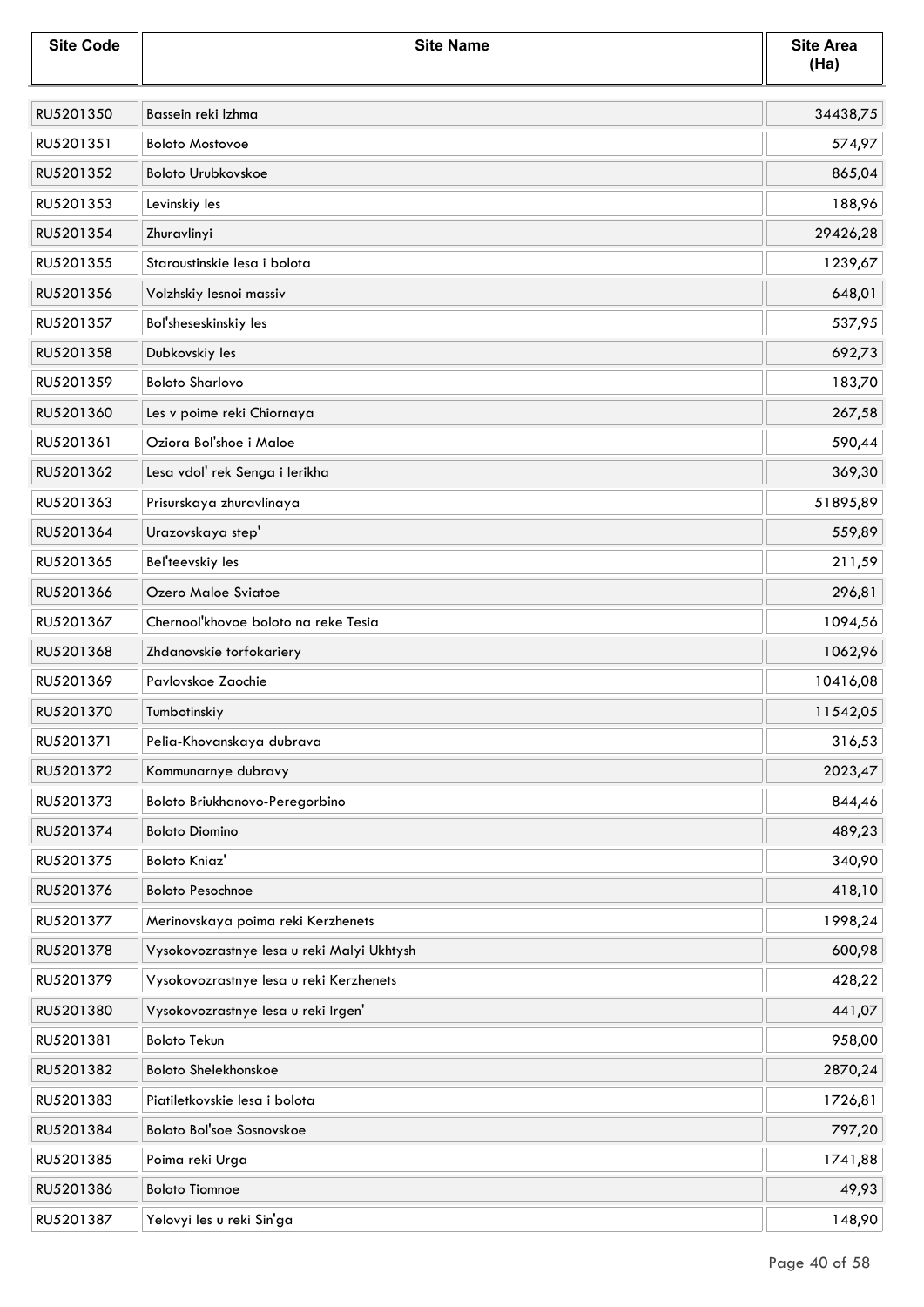| <b>Site Code</b> | <b>Site Name</b>                           | <b>Site Area</b><br>(Ha) |
|------------------|--------------------------------------------|--------------------------|
| RU5201350        | Bassein reki Izhma                         | 34438,75                 |
| RU5201351        | <b>Boloto Mostovoe</b>                     | 574,97                   |
| RU5201352        | <b>Boloto Urubkovskoe</b>                  | 865,04                   |
| RU5201353        | Levinskiy les                              | 188,96                   |
| RU5201354        | Zhuravlinyi                                | 29426,28                 |
| RU5201355        | Staroustinskie lesa i bolota               | 1239,67                  |
| RU5201356        | Volzhskiy lesnoi massiv                    | 648,01                   |
| RU5201357        | Bol'sheseskinskiy les                      | 537,95                   |
| RU5201358        | Dubkovskiy les                             | 692,73                   |
| RU5201359        | <b>Boloto Sharlovo</b>                     | 183,70                   |
| RU5201360        | Les v poime reki Chiornaya                 | 267,58                   |
| RU5201361        | Oziora Bol'shoe i Maloe                    | 590,44                   |
| RU5201362        | Lesa vdol' rek Senga i lerikha             | 369,30                   |
| RU5201363        | Prisurskaya zhuravlinaya                   | 51895,89                 |
| RU5201364        | Urazovskaya step'                          | 559,89                   |
| RU5201365        | Bel'teevskiy les                           | 211,59                   |
| RU5201366        | Ozero Maloe Sviatoe                        | 296,81                   |
| RU5201367        | Chernool'khovoe boloto na reke Tesia       | 1094,56                  |
| RU5201368        | Zhdanovskie torfokariery                   | 1062,96                  |
| RU5201369        | Pavlovskoe Zaochie                         | 10416,08                 |
| RU5201370        | Tumbotinskiy                               | 11542,05                 |
| RU5201371        | Pelia-Khovanskaya dubrava                  | 316,53                   |
| RU5201372        | Kommunarnye dubravy                        | 2023,47                  |
| RU5201373        | Boloto Briukhanovo-Peregorbino             | 844,46                   |
| RU5201374        | <b>Boloto Diomino</b>                      | 489,23                   |
| RU5201375        | <b>Boloto Kniaz'</b>                       | 340,90                   |
| RU5201376        | <b>Boloto Pesochnoe</b>                    | 418,10                   |
| RU5201377        | Merinovskaya poima reki Kerzhenets         | 1998,24                  |
| RU5201378        | Vysokovozrastnye lesa u reki Malyi Ukhtysh | 600,98                   |
| RU5201379        | Vysokovozrastnye lesa u reki Kerzhenets    | 428,22                   |
| RU5201380        | Vysokovozrastnye lesa u reki Irgen'        | 441,07                   |
| RU5201381        | <b>Boloto Tekun</b>                        | 958,00                   |
| RU5201382        | <b>Boloto Shelekhonskoe</b>                | 2870,24                  |
| RU5201383        | Piatiletkovskie lesa i bolota              | 1726,81                  |
| RU5201384        | Boloto Bol'soe Sosnovskoe                  | 797,20                   |
| RU5201385        | Poima reki Urga                            | 1741,88                  |
| RU5201386        | <b>Boloto Tiomnoe</b>                      | 49,93                    |
| RU5201387        | Yelovyi les u reki Sin'ga                  | 148,90                   |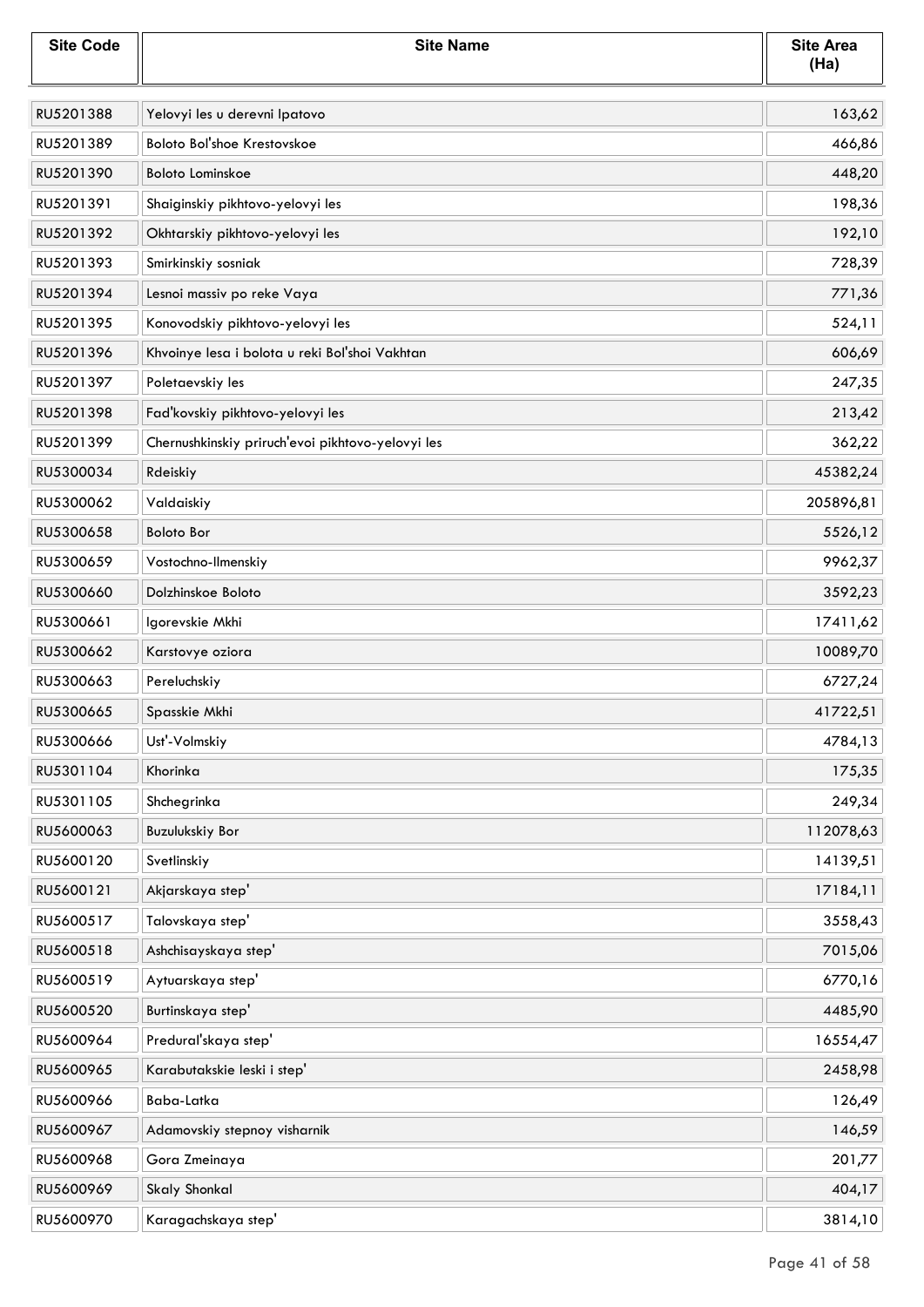| <b>Site Code</b> | <b>Site Name</b>                                  | <b>Site Area</b><br>(Ha) |
|------------------|---------------------------------------------------|--------------------------|
| RU5201388        | Yelovyi les u derevni Ipatovo                     | 163,62                   |
| RU5201389        | Boloto Bol'shoe Krestovskoe                       | 466,86                   |
| RU5201390        | <b>Boloto Lominskoe</b>                           | 448,20                   |
| RU5201391        | Shaiginskiy pikhtovo-yelovyi les                  | 198,36                   |
| RU5201392        | Okhtarskiy pikhtovo-yelovyi les                   | 192,10                   |
| RU5201393        | Smirkinskiy sosniak                               | 728,39                   |
| RU5201394        | Lesnoi massiv po reke Vaya                        | 771,36                   |
| RU5201395        | Konovodskiy pikhtovo-yelovyi les                  | 524,11                   |
| RU5201396        | Khvoinye lesa i bolota u reki Bol'shoi Vakhtan    | 606,69                   |
| RU5201397        | Poletaevskiy les                                  | 247,35                   |
| RU5201398        | Fad'kovskiy pikhtovo-yelovyi les                  | 213,42                   |
| RU5201399        | Chernushkinskiy priruch'evoi pikhtovo-yelovyi les | 362,22                   |
| RU5300034        | Rdeiskiy                                          | 45382,24                 |
| RU5300062        | Valdaiskiy                                        | 205896,81                |
| RU5300658        | <b>Boloto Bor</b>                                 | 5526,12                  |
| RU5300659        | Vostochno-Ilmenskiy                               | 9962,37                  |
| RU5300660        | Dolzhinskoe Boloto                                | 3592,23                  |
| RU5300661        | Igorevskie Mkhi                                   | 17411,62                 |
| RU5300662        | Karstovye oziora                                  | 10089,70                 |
| RU5300663        | Pereluchskiy                                      | 6727,24                  |
| RU5300665        | Spasskie Mkhi                                     | 41722,51                 |
| RU5300666        | Ust'-Volmskiy                                     | 4784,13                  |
| RU5301104        | Khorinka                                          | 175,35                   |
| RU5301105        | Shchegrinka                                       | 249,34                   |
| RU5600063        | Buzulukskiy Bor                                   | 112078,63                |
| RU5600120        | Svetlinskiy                                       | 14139,51                 |
| RU5600121        | Akjarskaya step'                                  | 17184,11                 |
| RU5600517        | Talovskaya step'                                  | 3558,43                  |
| RU5600518        | Ashchisayskaya step'                              | 7015,06                  |
| RU5600519        | Aytuarskaya step'                                 | 6770,16                  |
| RU5600520        | Burtinskaya step'                                 | 4485,90                  |
| RU5600964        | Predural'skaya step'                              | 16554,47                 |
| RU5600965        | Karabutakskie leski i step'                       | 2458,98                  |
| RU5600966        | Baba-Latka                                        | 126,49                   |
| RU5600967        | Adamovskiy stepnoy visharnik                      | 146,59                   |
| RU5600968        | Gora Zmeinaya                                     | 201,77                   |
| RU5600969        | <b>Skaly Shonkal</b>                              | 404,17                   |
| RU5600970        | Karagachskaya step'                               | 3814,10                  |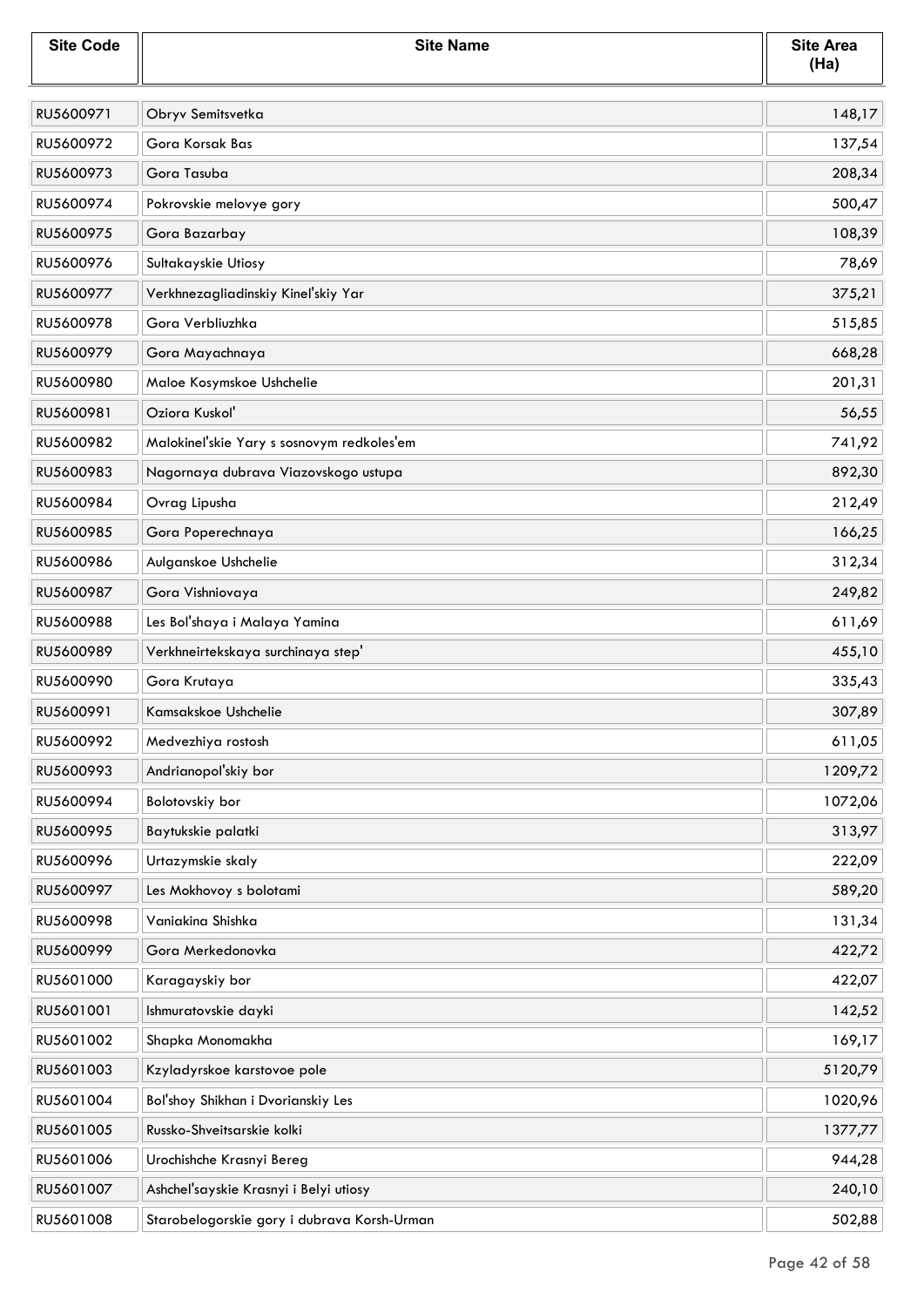| <b>Site Code</b> | <b>Site Name</b>                            | <b>Site Area</b><br>(Ha) |
|------------------|---------------------------------------------|--------------------------|
| RU5600971        | Obryv Semitsvetka                           | 148,17                   |
| RU5600972        | Gora Korsak Bas                             | 137,54                   |
| RU5600973        | Gora Tasuba                                 | 208,34                   |
| RU5600974        | Pokrovskie melovye gory                     | 500,47                   |
| RU5600975        | Gora Bazarbay                               | 108,39                   |
| RU5600976        | Sultakayskie Utiosy                         | 78,69                    |
| RU5600977        | Verkhnezagliadinskiy Kinel'skiy Yar         | 375,21                   |
| RU5600978        | Gora Verbliuzhka                            | 515,85                   |
| RU5600979        | Gora Mayachnaya                             | 668,28                   |
| RU5600980        | Maloe Kosymskoe Ushchelie                   | 201,31                   |
| RU5600981        | Oziora Kuskoľ                               | 56,55                    |
| RU5600982        | Malokinel'skie Yary s sosnovym redkoles'em  | 741,92                   |
| RU5600983        | Nagornaya dubrava Viazovskogo ustupa        | 892,30                   |
| RU5600984        | Ovrag Lipusha                               | 212,49                   |
| RU5600985        | Gora Poperechnaya                           | 166,25                   |
| RU5600986        | Aulganskoe Ushchelie                        | 312,34                   |
| RU5600987        | Gora Vishniovaya                            | 249,82                   |
| RU5600988        | Les Bol'shaya i Malaya Yamina               | 611,69                   |
| RU5600989        | Verkhneirtekskaya surchinaya step'          | 455,10                   |
| RU5600990        | Gora Krutaya                                | 335,43                   |
| RU5600991        | Kamsakskoe Ushchelie                        | 307,89                   |
| RU5600992        | Medvezhiya rostosh                          | 611,05                   |
| RU5600993        | Andrianopol'skiy bor                        | 1209,72                  |
| RU5600994        | Bolotovskiy bor                             | 1072,06                  |
| RU5600995        | Baytukskie palatki                          | 313,97                   |
| RU5600996        | Urtazymskie skaly                           | 222,09                   |
| RU5600997        | Les Mokhovoy s bolotami                     | 589,20                   |
| RU5600998        | Vaniakina Shishka                           | 131,34                   |
| RU5600999        | Gora Merkedonovka                           | 422,72                   |
| RU5601000        | Karagayskiy bor                             | 422,07                   |
| RU5601001        | Ishmuratovskie dayki                        | 142,52                   |
| RU5601002        | Shapka Monomakha                            | 169,17                   |
| RU5601003        | Kzyladyrskoe karstovoe pole                 | 5120,79                  |
| RU5601004        | Bol'shoy Shikhan i Dvorianskiy Les          | 1020,96                  |
| RU5601005        | Russko-Shveitsarskie kolki                  | 1377,77                  |
| RU5601006        | Urochishche Krasnyi Bereg                   | 944,28                   |
| RU5601007        | Ashchel'sayskie Krasnyi i Belyi utiosy      | 240,10                   |
| RU5601008        | Starobelogorskie gory i dubrava Korsh-Urman | 502,88                   |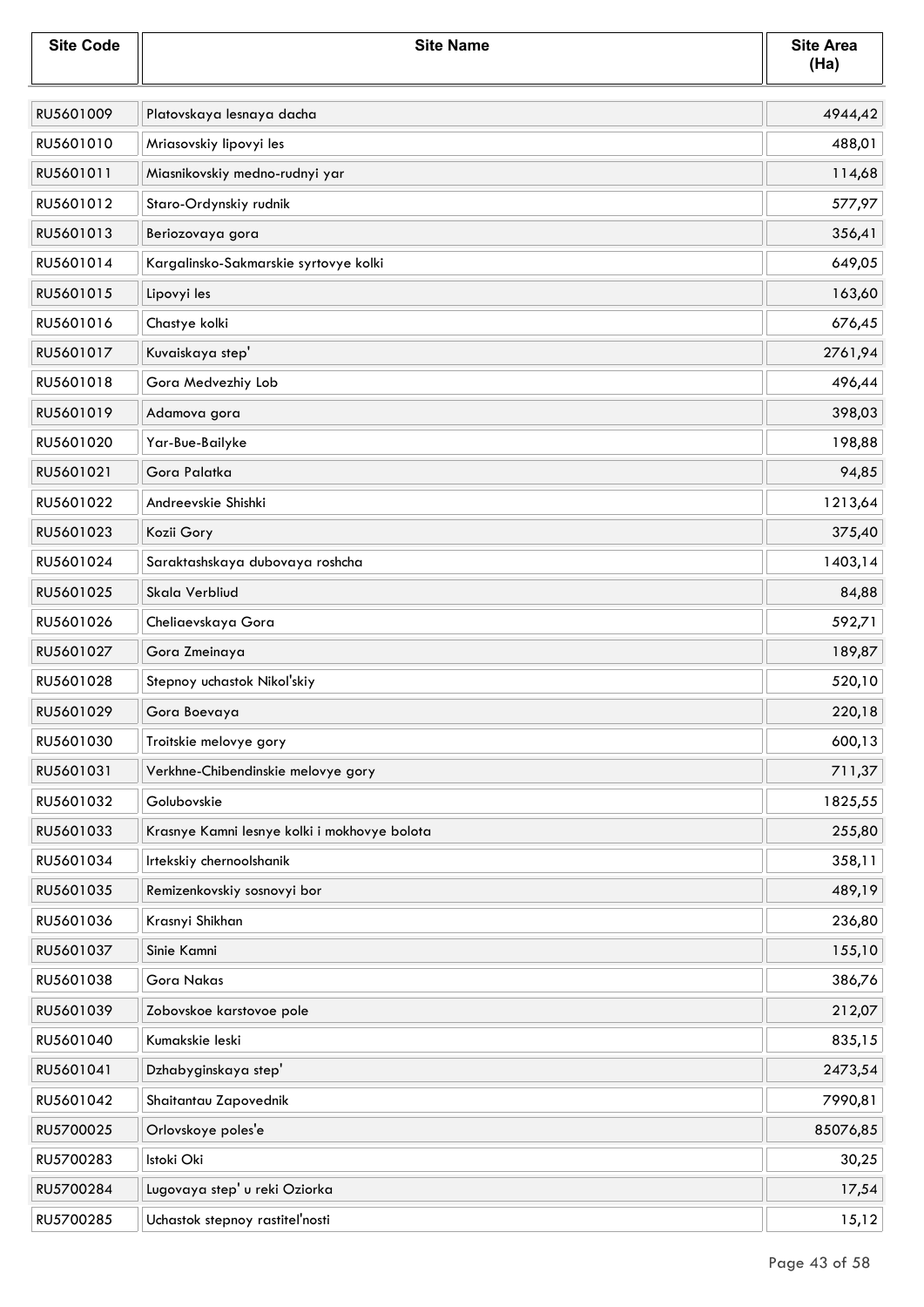| <b>Site Code</b> | <b>Site Name</b>                             | <b>Site Area</b><br>(Ha) |
|------------------|----------------------------------------------|--------------------------|
| RU5601009        | Platovskaya lesnaya dacha                    | 4944,42                  |
| RU5601010        | Mriasovskiy lipovyi les                      | 488,01                   |
| RU5601011        | Miasnikovskiy medno-rudnyi yar               | 114,68                   |
| RU5601012        | Staro-Ordynskiy rudnik                       | 577,97                   |
| RU5601013        | Beriozovaya gora                             | 356,41                   |
| RU5601014        | Kargalinsko-Sakmarskie syrtovye kolki        | 649,05                   |
| RU5601015        | Lipovyi les                                  | 163,60                   |
| RU5601016        | Chastye kolki                                | 676,45                   |
| RU5601017        | Kuvaiskaya step'                             | 2761,94                  |
| RU5601018        | Gora Medvezhiy Lob                           | 496,44                   |
| RU5601019        | Adamova gora                                 | 398,03                   |
| RU5601020        | Yar-Bue-Bailyke                              | 198,88                   |
| RU5601021        | Gora Palatka                                 | 94,85                    |
| RU5601022        | Andreevskie Shishki                          | 1213,64                  |
| RU5601023        | Kozii Gory                                   | 375,40                   |
| RU5601024        | Saraktashskaya dubovaya roshcha              | 1403,14                  |
| RU5601025        | Skala Verbliud                               | 84,88                    |
| RU5601026        | Cheliaevskaya Gora                           | 592,71                   |
| RU5601027        | Gora Zmeinaya                                | 189,87                   |
| RU5601028        | Stepnoy uchastok Nikol'skiy                  | 520,10                   |
| RU5601029        | Gora Boevaya                                 | 220,18                   |
| RU5601030        | Troitskie melovye gory                       | 600,13                   |
| RU5601031        | Verkhne-Chibendinskie melovye gory           | 711,37                   |
| RU5601032        | Golubovskie                                  | 1825,55                  |
| RU5601033        | Krasnye Kamni lesnye kolki i mokhovye bolota | 255,80                   |
| RU5601034        | Irtekskiy chernoolshanik                     | 358,11                   |
| RU5601035        | Remizenkovskiy sosnovyi bor                  | 489,19                   |
| RU5601036        | Krasnyi Shikhan                              | 236,80                   |
| RU5601037        | Sinie Kamni                                  | 155,10                   |
| RU5601038        | <b>Gora Nakas</b>                            | 386,76                   |
| RU5601039        | Zobovskoe karstovoe pole                     | 212,07                   |
| RU5601040        | Kumakskie leski                              | 835,15                   |
| RU5601041        | Dzhabyginskaya step'                         | 2473,54                  |
| RU5601042        | Shaitantau Zapovednik                        | 7990,81                  |
| RU5700025        | Orlovskoye poles'e                           | 85076,85                 |
| RU5700283        | Istoki Oki                                   | 30,25                    |
| RU5700284        | Lugovaya step' u reki Oziorka                | 17,54                    |
| RU5700285        | Uchastok stepnoy rastiteľnosti               | 15,12                    |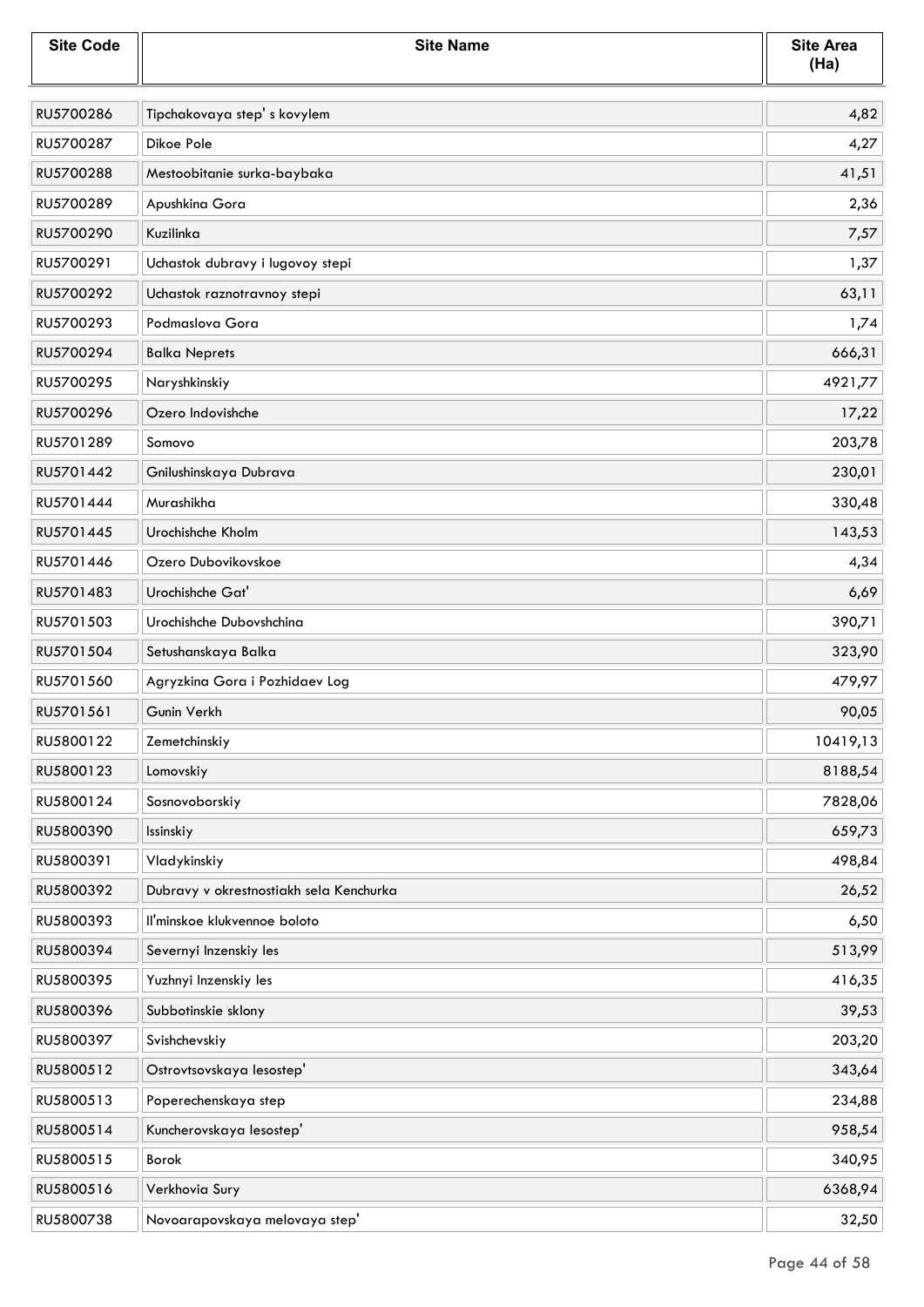| <b>Site Code</b> | <b>Site Name</b>                        | <b>Site Area</b><br>(Ha) |
|------------------|-----------------------------------------|--------------------------|
| RU5700286        | Tipchakovaya step's kovylem             | 4,82                     |
| RU5700287        | Dikoe Pole                              | 4,27                     |
| RU5700288        | Mestoobitanie surka-baybaka             | 41,51                    |
| RU5700289        | Apushkina Gora                          | 2,36                     |
| RU5700290        | Kuzilinka                               | 7,57                     |
| RU5700291        | Uchastok dubravy i lugovoy stepi        | 1,37                     |
| RU5700292        | Uchastok raznotravnoy stepi             | 63,11                    |
| RU5700293        | Podmaslova Gora                         | 1,74                     |
| RU5700294        | <b>Balka Neprets</b>                    | 666,31                   |
| RU5700295        | Naryshkinskiy                           | 4921,77                  |
| RU5700296        | Ozero Indovishche                       | 17,22                    |
| RU5701289        | Somovo                                  | 203,78                   |
| RU5701442        | Gnilushinskaya Dubrava                  | 230,01                   |
| RU5701444        | Murashikha                              | 330,48                   |
| RU5701445        | Urochishche Kholm                       | 143,53                   |
| RU5701446        | Ozero Dubovikovskoe                     | 4,34                     |
| RU5701483        | Urochishche Gat'                        | 6,69                     |
| RU5701503        | Urochishche Dubovshchina                | 390,71                   |
| RU5701504        | Setushanskaya Balka                     | 323,90                   |
| RU5701560        | Agryzkina Gora i Pozhidaev Log          | 479,97                   |
| RU5701561        | Gunin Verkh                             | 90,05                    |
| RU5800122        | Zemetchinskiy                           | 10419,13                 |
| RU5800123        | Lomovskiy                               | 8188,54                  |
| RU5800124        | Sosnovoborskiy                          | 7828,06                  |
| RU5800390        | Issinskiy                               | 659,73                   |
| RU5800391        | Vladykinskiy                            | 498,84                   |
| RU5800392        | Dubravy v okrestnostiakh sela Kenchurka | 26,52                    |
| RU5800393        | Il'minskoe klukvennoe boloto            | 6,50                     |
| RU5800394        | Severnyi Inzenskiy les                  | 513,99                   |
| RU5800395        | Yuzhnyi Inzenskiy les                   | 416,35                   |
| RU5800396        | Subbotinskie sklony                     | 39,53                    |
| RU5800397        | Svishchevskiy                           | 203,20                   |
| RU5800512        | Ostrovtsovskaya lesostep'               | 343,64                   |
| RU5800513        | Poperechenskaya step                    | 234,88                   |
| RU5800514        | Kuncherovskaya lesostep'                | 958,54                   |
| RU5800515        | Borok                                   | 340,95                   |
| RU5800516        | Verkhovia Sury                          | 6368,94                  |
| RU5800738        | Novoarapovskaya melovaya step'          | 32,50                    |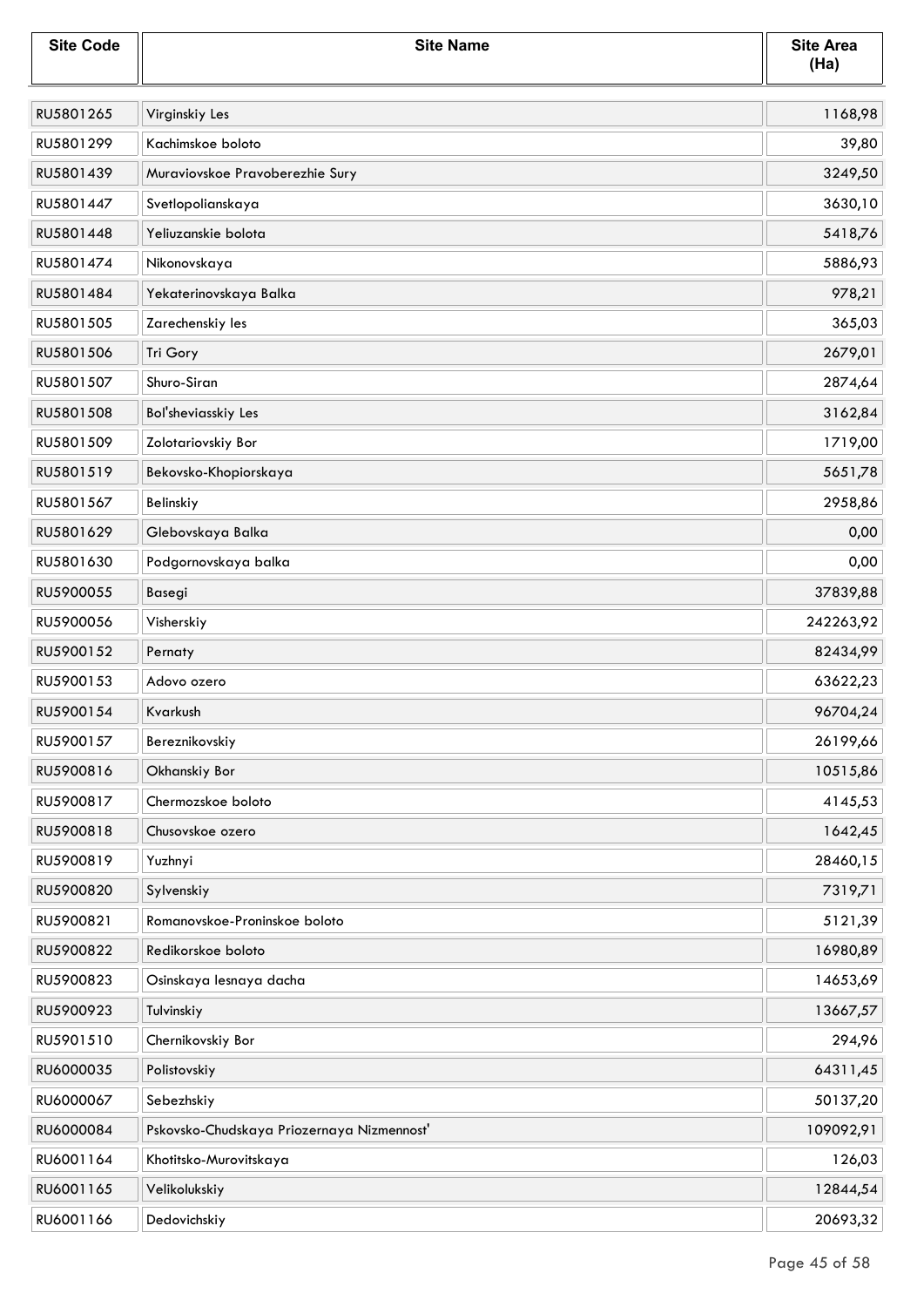| <b>Site Code</b> | <b>Site Name</b>                           | <b>Site Area</b><br>(Ha) |
|------------------|--------------------------------------------|--------------------------|
| RU5801265        | Virginskiy Les                             | 1168,98                  |
| RU5801299        | Kachimskoe boloto                          | 39,80                    |
| RU5801439        | Muraviovskoe Pravoberezhie Sury            | 3249,50                  |
| RU5801447        | Svetlopolianskaya                          | 3630,10                  |
| RU5801448        | Yeliuzanskie bolota                        | 5418,76                  |
| RU5801474        | Nikonovskaya                               | 5886,93                  |
| RU5801484        | Yekaterinovskaya Balka                     | 978,21                   |
| RU5801505        | Zarechenskiy les                           | 365,03                   |
| RU5801506        | Tri Gory                                   | 2679,01                  |
| RU5801507        | Shuro-Siran                                | 2874,64                  |
| RU5801508        | Bol'sheviasskiy Les                        | 3162,84                  |
| RU5801509        | Zolotariovskiy Bor                         | 1719,00                  |
| RU5801519        | Bekovsko-Khopiorskaya                      | 5651,78                  |
| RU5801567        | Belinskiy                                  | 2958,86                  |
| RU5801629        | Glebovskaya Balka                          | 0,00                     |
| RU5801630        | Podgornovskaya balka                       | 0,00                     |
| RU5900055        | Basegi                                     | 37839,88                 |
| RU5900056        | Visherskiy                                 | 242263,92                |
| RU5900152        | Pernaty                                    | 82434,99                 |
| RU5900153        | Adovo ozero                                | 63622,23                 |
| RU5900154        | Kvarkush                                   | 96704,24                 |
| RU5900157        | Bereznikovskiy                             | 26199,66                 |
| RU5900816        | Okhanskiy Bor                              | 10515,86                 |
| RU5900817        | Chermozskoe boloto                         | 4145,53                  |
| RU5900818        | Chusovskoe ozero                           | 1642,45                  |
| RU5900819        | Yuzhnyi                                    | 28460,15                 |
| RU5900820        | Sylvenskiy                                 | 7319,71                  |
| RU5900821        | Romanovskoe-Proninskoe boloto              | 5121,39                  |
| RU5900822        | Redikorskoe boloto                         | 16980,89                 |
| RU5900823        | Osinskaya lesnaya dacha                    | 14653,69                 |
| RU5900923        | Tulvinskiy                                 | 13667,57                 |
| RU5901510        | Chernikovskiy Bor                          | 294,96                   |
| RU6000035        | Polistovskiy                               | 64311,45                 |
| RU6000067        | Sebezhskiy                                 | 50137,20                 |
| RU6000084        | Pskovsko-Chudskaya Priozernaya Nizmennost' | 109092,91                |
| RU6001164        | Khotitsko-Murovitskaya                     | 126,03                   |
| RU6001165        | Velikolukskiy                              | 12844,54                 |
| RU6001166        | Dedovichskiy                               | 20693,32                 |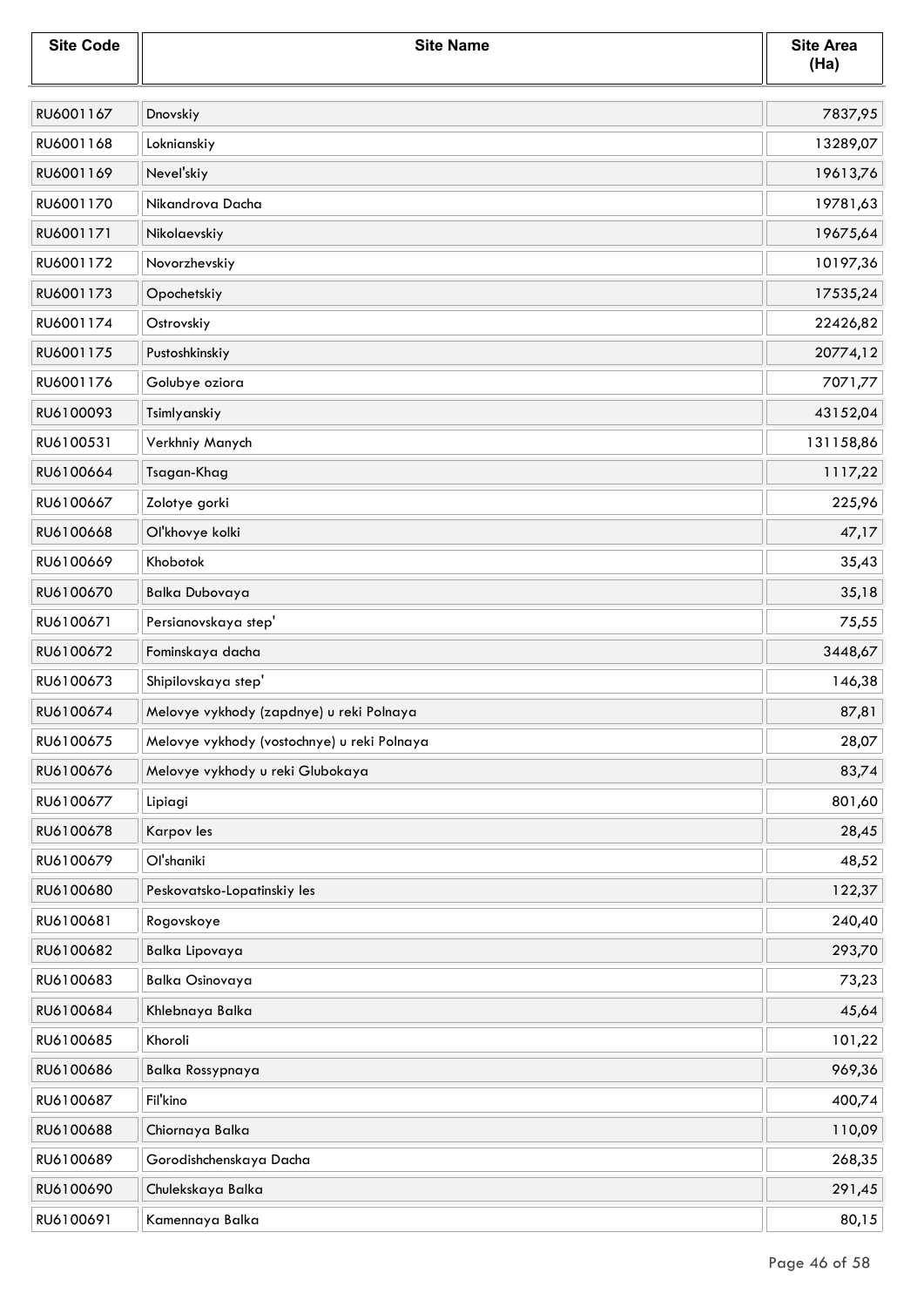| <b>Site Code</b> | <b>Site Name</b>                            | <b>Site Area</b><br>(Ha) |
|------------------|---------------------------------------------|--------------------------|
| RU6001167        | Dnovskiy                                    | 7837,95                  |
| RU6001168        | Loknianskiy                                 | 13289,07                 |
| RU6001169        | Nevel'skiy                                  | 19613,76                 |
| RU6001170        | Nikandrova Dacha                            | 19781,63                 |
| RU6001171        | Nikolaevskiy                                | 19675,64                 |
| RU6001172        | Novorzhevskiy                               | 10197,36                 |
| RU6001173        | Opochetskiy                                 | 17535,24                 |
| RU6001174        | Ostrovskiy                                  | 22426,82                 |
| RU6001175        | Pustoshkinskiy                              | 20774,12                 |
| RU6001176        | Golubye oziora                              | 7071,77                  |
| RU6100093        | Tsimlyanskiy                                | 43152,04                 |
| RU6100531        | Verkhniy Manych                             | 131158,86                |
| RU6100664        | Tsagan-Khag                                 | 1117,22                  |
| RU6100667        | Zolotye gorki                               | 225,96                   |
| RU6100668        | Ol'khovye kolki                             | 47,17                    |
| RU6100669        | Khobotok                                    | 35,43                    |
| RU6100670        | <b>Balka Dubovaya</b>                       | 35,18                    |
| RU6100671        | Persianovskaya step'                        | 75,55                    |
| RU6100672        | Fominskaya dacha                            | 3448,67                  |
| RU6100673        | Shipilovskaya step'                         | 146,38                   |
| RU6100674        | Melovye vykhody (zapdnye) u reki Polnaya    | 87,81                    |
| RU6100675        | Melovye vykhody (vostochnye) u reki Polnaya | 28,07                    |
| RU6100676        | Melovye vykhody u reki Glubokaya            | 83,74                    |
| RU6100677        | Lipiagi                                     | 801,60                   |
| RU6100678        | Karpov les                                  | 28,45                    |
| RU6100679        | Ol'shaniki                                  | 48,52                    |
| RU6100680        | Peskovatsko-Lopatinskiy les                 | 122,37                   |
| RU6100681        | Rogovskoye                                  | 240,40                   |
| RU6100682        | Balka Lipovaya                              | 293,70                   |
| RU6100683        | <b>Balka Osinovaya</b>                      | 73,23                    |
| RU6100684        | Khlebnaya Balka                             | 45,64                    |
| RU6100685        | Khoroli                                     | 101,22                   |
| RU6100686        | <b>Balka Rossypnaya</b>                     | 969,36                   |
| RU6100687        | Fil'kino                                    | 400,74                   |
| RU6100688        | Chiornaya Balka                             | 110,09                   |
| RU6100689        | Gorodishchenskaya Dacha                     | 268,35                   |
| RU6100690        | Chulekskaya Balka                           | 291,45                   |
| RU6100691        | Kamennaya Balka                             | 80,15                    |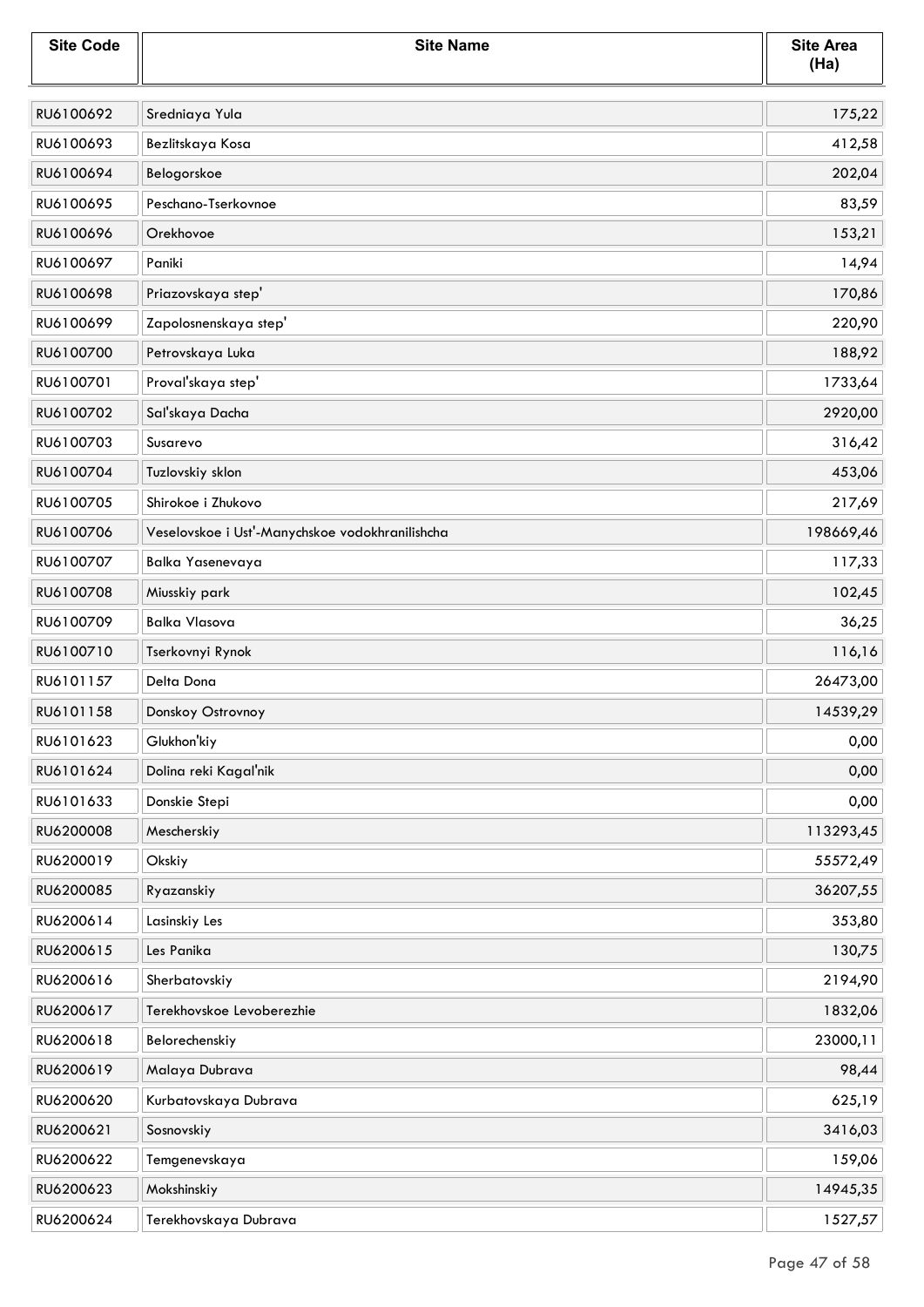| <b>Site Code</b> | <b>Site Name</b>                                | <b>Site Area</b><br>(Ha) |
|------------------|-------------------------------------------------|--------------------------|
| RU6100692        | Sredniaya Yula                                  | 175,22                   |
| RU6100693        | Bezlitskaya Kosa                                | 412,58                   |
| RU6100694        | Belogorskoe                                     | 202,04                   |
| RU6100695        | Peschano-Tserkovnoe                             | 83,59                    |
| RU6100696        | Orekhovoe                                       | 153,21                   |
| RU6100697        | Paniki                                          | 14,94                    |
| RU6100698        | Priazovskaya step'                              | 170,86                   |
| RU6100699        | Zapolosnenskaya step'                           | 220,90                   |
| RU6100700        | Petrovskaya Luka                                | 188,92                   |
| RU6100701        | Proval'skaya step'                              | 1733,64                  |
| RU6100702        | Sal'skaya Dacha                                 | 2920,00                  |
| RU6100703        | Susarevo                                        | 316,42                   |
| RU6100704        | Tuzlovskiy sklon                                | 453,06                   |
| RU6100705        | Shirokoe i Zhukovo                              | 217,69                   |
| RU6100706        | Veselovskoe i Ust'-Manychskoe vodokhranilishcha | 198669,46                |
| RU6100707        | Balka Yasenevaya                                | 117,33                   |
| RU6100708        | Miusskiy park                                   | 102,45                   |
| RU6100709        | <b>Balka Vlasova</b>                            | 36,25                    |
| RU6100710        | Tserkovnyi Rynok                                | 116,16                   |
| RU6101157        | Delta Dona                                      | 26473,00                 |
| RU6101158        | Donskoy Ostrovnoy                               | 14539,29                 |
| RU6101623        | Glukhon'kiy                                     | 0,00                     |
| RU6101624        | Dolina reki Kagal'nik                           | 0,00                     |
| RU6101633        | Donskie Stepi                                   | 0,00                     |
| RU6200008        | Mescherskiy                                     | 113293,45                |
| RU6200019        | Okskiy                                          | 55572,49                 |
| RU6200085        | Ryazanskiy                                      | 36207,55                 |
| RU6200614        | Lasinskiy Les                                   | 353,80                   |
| RU6200615        | Les Panika                                      | 130,75                   |
| RU6200616        | Sherbatovskiy                                   | 2194,90                  |
| RU6200617        | Terekhovskoe Levoberezhie                       | 1832,06                  |
| RU6200618        | Belorechenskiy                                  | 23000,11                 |
| RU6200619        | Malaya Dubrava                                  | 98,44                    |
| RU6200620        | Kurbatovskaya Dubrava                           | 625,19                   |
| RU6200621        | Sosnovskiy                                      | 3416,03                  |
| RU6200622        | Temgenevskaya                                   | 159,06                   |
| RU6200623        | Mokshinskiy                                     | 14945,35                 |
| RU6200624        | Terekhovskaya Dubrava                           | 1527,57                  |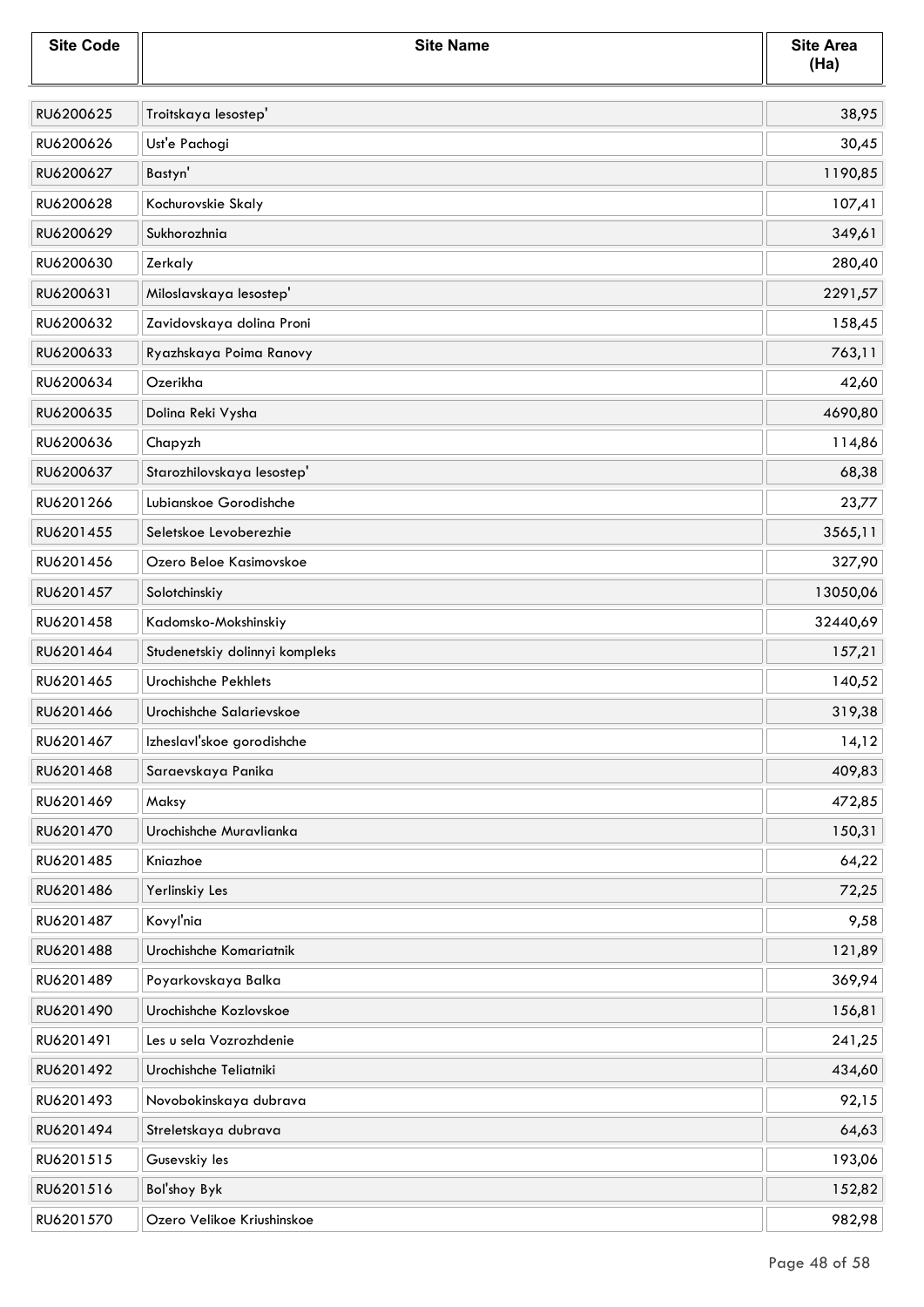| <b>Site Code</b> | <b>Site Name</b>               | <b>Site Area</b><br>(Ha) |
|------------------|--------------------------------|--------------------------|
| RU6200625        | Troitskaya lesostep'           | 38,95                    |
| RU6200626        | Ust'e Pachogi                  | 30,45                    |
| RU6200627        | Bastyn'                        | 1190,85                  |
| RU6200628        | Kochurovskie Skaly             | 107,41                   |
| RU6200629        | Sukhorozhnia                   | 349,61                   |
| RU6200630        | Zerkaly                        | 280,40                   |
| RU6200631        | Miloslavskaya lesostep'        | 2291,57                  |
| RU6200632        | Zavidovskaya dolina Proni      | 158,45                   |
| RU6200633        | Ryazhskaya Poima Ranovy        | 763,11                   |
| RU6200634        | Ozerikha                       | 42,60                    |
| RU6200635        | Dolina Reki Vysha              | 4690,80                  |
| RU6200636        | Chapyzh                        | 114,86                   |
| RU6200637        | Starozhilovskaya lesostep'     | 68,38                    |
| RU6201266        | Lubianskoe Gorodishche         | 23,77                    |
| RU6201455        | Seletskoe Levoberezhie         | 3565,11                  |
| RU6201456        | Ozero Beloe Kasimovskoe        | 327,90                   |
| RU6201457        | Solotchinskiy                  | 13050,06                 |
| RU6201458        | Kadomsko-Mokshinskiy           | 32440,69                 |
| RU6201464        | Studenetskiy dolinnyi kompleks | 157,21                   |
| RU6201465        | Urochishche Pekhlets           | 140,52                   |
| RU6201466        | Urochishche Salarievskoe       | 319,38                   |
| RU6201467        | Izheslavl'skoe gorodishche     | 14,12                    |
| RU6201468        | Saraevskaya Panika             | 409,83                   |
| RU6201469        | Maksy                          | 472,85                   |
| RU6201470        | Urochishche Muravlianka        | 150,31                   |
| RU6201485        | Kniazhoe                       | 64,22                    |
| RU6201486        | Yerlinskiy Les                 | 72,25                    |
| RU6201487        | Kovyľnia                       | 9,58                     |
| RU6201488        | Urochishche Komariatnik        | 121,89                   |
| RU6201489        | Poyarkovskaya Balka            | 369,94                   |
| RU6201490        | Urochishche Kozlovskoe         | 156,81                   |
| RU6201491        | Les u sela Vozrozhdenie        | 241,25                   |
| RU6201492        | Urochishche Teliatniki         | 434,60                   |
| RU6201493        | Novobokinskaya dubrava         | 92,15                    |
| RU6201494        | Streletskaya dubrava           | 64,63                    |
| RU6201515        | Gusevskiy les                  | 193,06                   |
| RU6201516        | Bol'shoy Byk                   | 152,82                   |
| RU6201570        | Ozero Velikoe Kriushinskoe     | 982,98                   |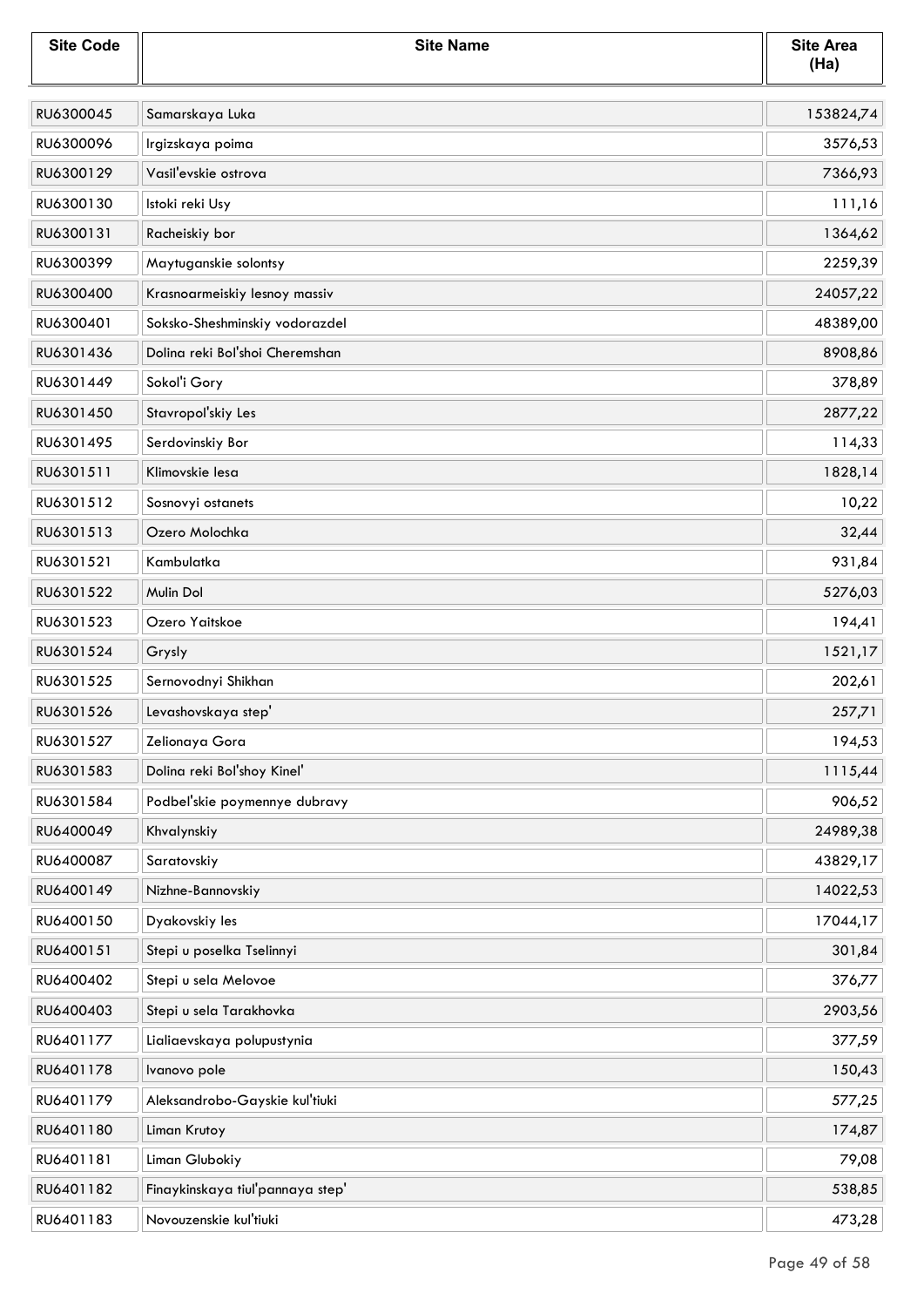| <b>Site Code</b> | <b>Site Name</b>                 | <b>Site Area</b><br>(Ha) |
|------------------|----------------------------------|--------------------------|
| RU6300045        | Samarskaya Luka                  | 153824,74                |
| RU6300096        | Irgizskaya poima                 | 3576,53                  |
| RU6300129        | Vasil'evskie ostrova             | 7366,93                  |
| RU6300130        | Istoki reki Usy                  | 111,16                   |
| RU6300131        | Racheiskiy bor                   | 1364,62                  |
| RU6300399        | Maytuganskie solontsy            | 2259,39                  |
| RU6300400        | Krasnoarmeiskiy lesnoy massiv    | 24057,22                 |
| RU6300401        | Soksko-Sheshminskiy vodorazdel   | 48389,00                 |
| RU6301436        | Dolina reki Bol'shoi Cheremshan  | 8908,86                  |
| RU6301449        | Sokol'i Gory                     | 378,89                   |
| RU6301450        | Stavropol'skiy Les               | 2877,22                  |
| RU6301495        | Serdovinskiy Bor                 | 114,33                   |
| RU6301511        | Klimovskie lesa                  | 1828,14                  |
| RU6301512        | Sosnovyi ostanets                | 10,22                    |
| RU6301513        | Ozero Molochka                   | 32,44                    |
| RU6301521        | Kambulatka                       | 931,84                   |
| RU6301522        | Mulin Dol                        | 5276,03                  |
| RU6301523        | Ozero Yaitskoe                   | 194,41                   |
| RU6301524        | Grysly                           | 1521,17                  |
| RU6301525        | Sernovodnyi Shikhan              | 202,61                   |
| RU6301526        | Levashovskaya step'              | 257,71                   |
| RU6301527        | Zelionaya Gora                   | 194,53                   |
| RU6301583        | Dolina reki Bol'shoy Kinel'      | 1115,44                  |
| RU6301584        | Podbel'skie poymennye dubravy    | 906,52                   |
| RU6400049        | Khvalynskiy                      | 24989,38                 |
| RU6400087        | Saratovskiy                      | 43829,17                 |
| RU6400149        | Nizhne-Bannovskiy                | 14022,53                 |
| RU6400150        | Dyakovskiy les                   | 17044,17                 |
| RU6400151        | Stepi u poselka Tselinnyi        | 301,84                   |
| RU6400402        | Stepi u sela Melovoe             | 376,77                   |
| RU6400403        | Stepi u sela Tarakhovka          | 2903,56                  |
| RU6401177        | Lialiaevskaya polupustynia       | 377,59                   |
| RU6401178        | Ivanovo pole                     | 150,43                   |
| RU6401179        | Aleksandrobo-Gayskie kul'tiuki   | 577,25                   |
| RU6401180        | Liman Krutoy                     | 174,87                   |
| RU6401181        | Liman Glubokiy                   | 79,08                    |
| RU6401182        | Finaykinskaya tiul'pannaya step' | 538,85                   |
| RU6401183        | Novouzenskie kul'tiuki           | 473,28                   |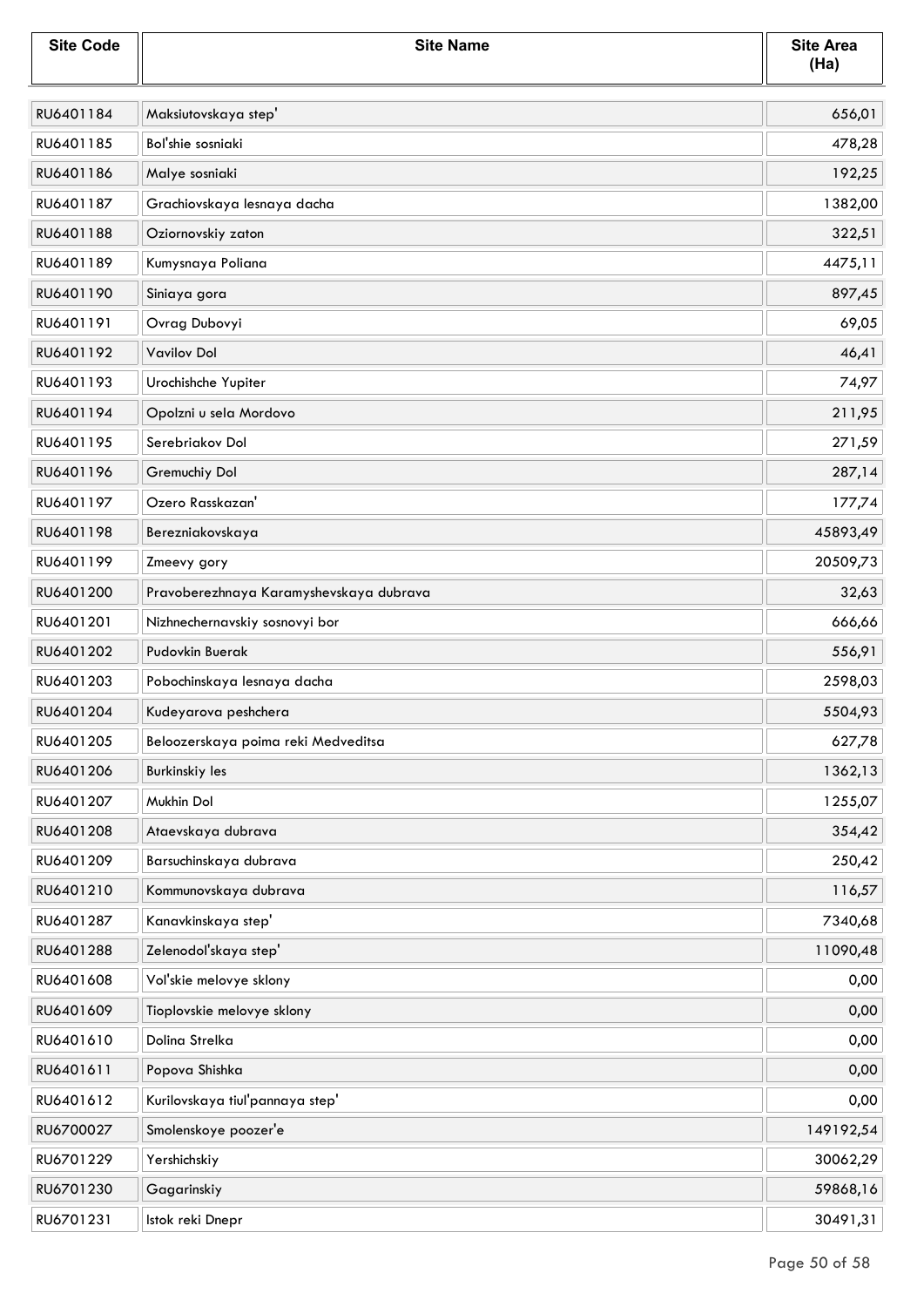| <b>Site Code</b> | <b>Site Name</b>                        | <b>Site Area</b><br>(Ha) |
|------------------|-----------------------------------------|--------------------------|
| RU6401184        | Maksiutovskaya step'                    | 656,01                   |
| RU6401185        | Bol'shie sosniaki                       | 478,28                   |
| RU6401186        | Malye sosniaki                          | 192,25                   |
| RU6401187        | Grachiovskaya lesnaya dacha             | 1382,00                  |
| RU6401188        | Oziornovskiy zaton                      | 322,51                   |
| RU6401189        | Kumysnaya Poliana                       | 4475,11                  |
| RU6401190        | Siniaya gora                            | 897,45                   |
| RU6401191        | Ovrag Dubovyi                           | 69,05                    |
| RU6401192        | <b>Vavilov Dol</b>                      | 46,41                    |
| RU6401193        | Urochishche Yupiter                     | 74,97                    |
| RU6401194        | Opolzni u sela Mordovo                  | 211,95                   |
| RU6401195        | Serebriakov Dol                         | 271,59                   |
| RU6401196        | Gremuchiy Dol                           | 287,14                   |
| RU6401197        | Ozero Rasskazan'                        | 177,74                   |
| RU6401198        | Berezniakovskaya                        | 45893,49                 |
| RU6401199        | Zmeevy gory                             | 20509,73                 |
| RU6401200        | Pravoberezhnaya Karamyshevskaya dubrava | 32,63                    |
| RU6401201        | Nizhnechernavskiy sosnovyi bor          | 666,66                   |
| RU6401202        | Pudovkin Buerak                         | 556,91                   |
| RU6401203        | Pobochinskaya lesnaya dacha             | 2598,03                  |
| RU6401204        | Kudeyarova peshchera                    | 5504,93                  |
| RU6401205        | Beloozerskaya poima reki Medveditsa     | 627,78                   |
| RU6401206        | Burkinskiy les                          | 1362,13                  |
| RU6401207        | Mukhin Dol                              | 1255,07                  |
| RU6401208        | Ataevskaya dubrava                      | 354,42                   |
| RU6401209        | Barsuchinskaya dubrava                  | 250,42                   |
| RU6401210        | Kommunovskaya dubrava                   | 116,57                   |
| RU6401287        | Kanavkinskaya step'                     | 7340,68                  |
| RU6401288        | Zelenodoľskaya step'                    | 11090,48                 |
| RU6401608        | Vol'skie melovye sklony                 | 0,00                     |
| RU6401609        | Tioplovskie melovye sklony              | 0,00                     |
| RU6401610        | Dolina Strelka                          | 0,00                     |
| RU6401611        | Popova Shishka                          | 0,00                     |
| RU6401612        | Kurilovskaya tiul'pannaya step'         | 0,00                     |
| RU6700027        | Smolenskoye poozer'e                    | 149192,54                |
| RU6701229        | Yershichskiy                            | 30062,29                 |
| RU6701230        | Gagarinskiy                             | 59868,16                 |
| RU6701231        | Istok reki Dnepr                        | 30491,31                 |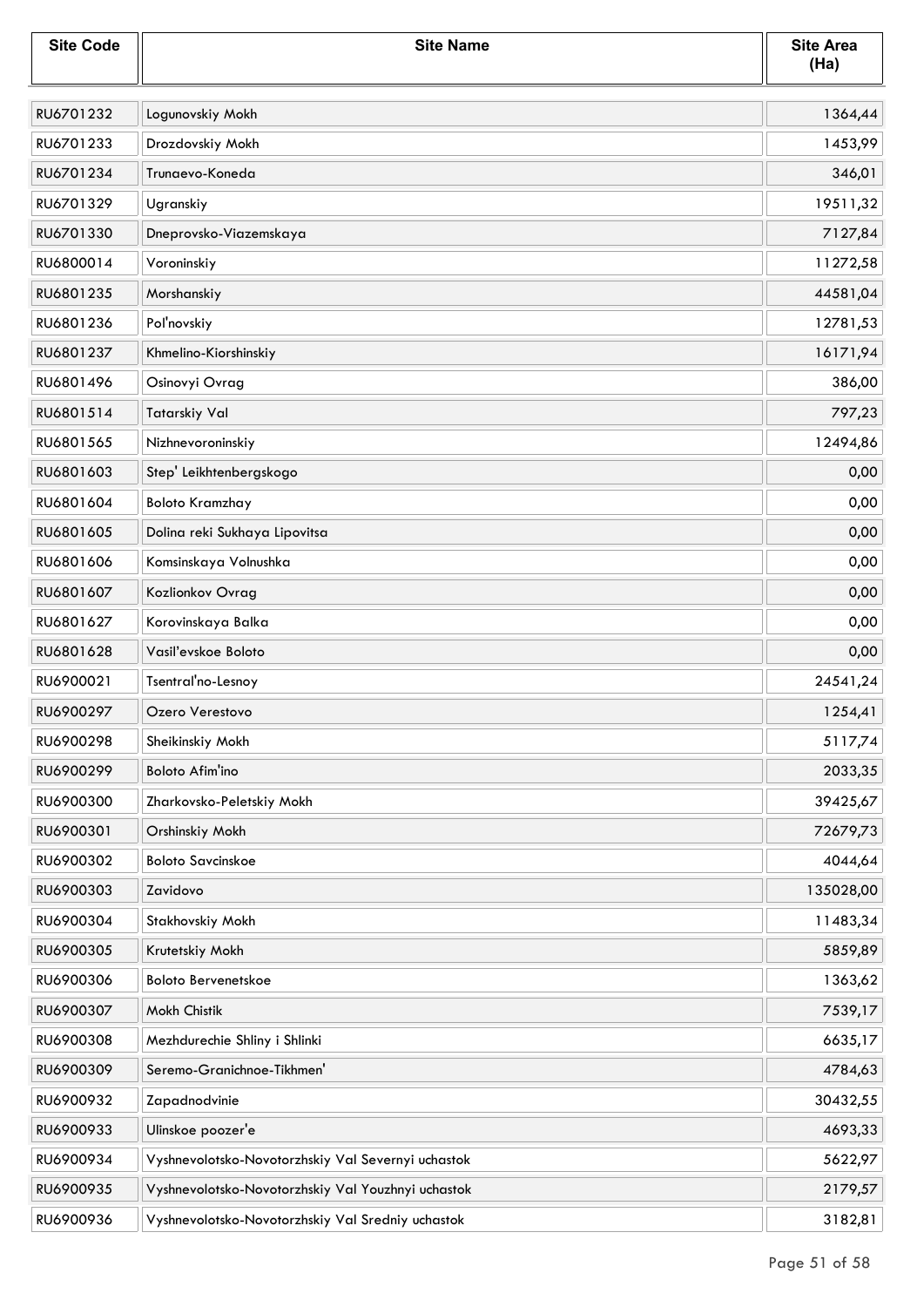| <b>Site Code</b> | <b>Site Name</b>                                   | <b>Site Area</b><br>(Ha) |
|------------------|----------------------------------------------------|--------------------------|
| RU6701232        | Logunovskiy Mokh                                   | 1364,44                  |
| RU6701233        | Drozdovskiy Mokh                                   | 1453,99                  |
| RU6701234        | Trunaevo-Koneda                                    | 346,01                   |
| RU6701329        | Ugranskiy                                          | 19511,32                 |
| RU6701330        | Dneprovsko-Viazemskaya                             | 7127,84                  |
| RU6800014        | Voroninskiy                                        | 11272,58                 |
| RU6801235        | Morshanskiy                                        | 44581,04                 |
| RU6801236        | Poľnovskiy                                         | 12781,53                 |
| RU6801237        | Khmelino-Kiorshinskiy                              | 16171,94                 |
| RU6801496        | Osinovyi Ovrag                                     | 386,00                   |
| RU6801514        | Tatarskiy Val                                      | 797,23                   |
| RU6801565        | Nizhnevoroninskiy                                  | 12494,86                 |
| RU6801603        | Step' Leikhtenbergskogo                            | 0,00                     |
| RU6801604        | <b>Boloto Kramzhay</b>                             | 0,00                     |
| RU6801605        | Dolina reki Sukhaya Lipovitsa                      | 0,00                     |
| RU6801606        | Komsinskaya Volnushka                              | 0,00                     |
| RU6801607        | Kozlionkov Ovrag                                   | 0,00                     |
| RU6801627        | Korovinskaya Balka                                 | 0,00                     |
| RU6801628        | Vasil'evskoe Boloto                                | 0,00                     |
| RU6900021        | Tsentral'no-Lesnoy                                 | 24541,24                 |
| RU6900297        | Ozero Verestovo                                    | 1254,41                  |
| RU6900298        | Sheikinskiy Mokh                                   | 5117,74                  |
| RU6900299        | Boloto Afim'ino                                    | 2033,35                  |
| RU6900300        | Zharkovsko-Peletskiy Mokh                          | 39425,67                 |
| RU6900301        | Orshinskiy Mokh                                    | 72679,73                 |
| RU6900302        | <b>Boloto Savcinskoe</b>                           | 4044,64                  |
| RU6900303        | Zavidovo                                           | 135028,00                |
| RU6900304        | Stakhovskiy Mokh                                   | 11483,34                 |
| RU6900305        | Krutetskiy Mokh                                    | 5859,89                  |
| RU6900306        | Boloto Bervenetskoe                                | 1363,62                  |
| RU6900307        | Mokh Chistik                                       | 7539,17                  |
| RU6900308        | Mezhdurechie Shliny i Shlinki                      | 6635,17                  |
| RU6900309        | Seremo-Granichnoe-Tikhmen'                         | 4784,63                  |
| RU6900932        | Zapadnodvinie                                      | 30432,55                 |
| RU6900933        | Ulinskoe poozer'e                                  | 4693,33                  |
| RU6900934        | Vyshnevolotsko-Novotorzhskiy Val Severnyi uchastok | 5622,97                  |
| RU6900935        | Vyshnevolotsko-Novotorzhskiy Val Youzhnyi uchastok | 2179,57                  |
| RU6900936        | Vyshnevolotsko-Novotorzhskiy Val Sredniy uchastok  | 3182,81                  |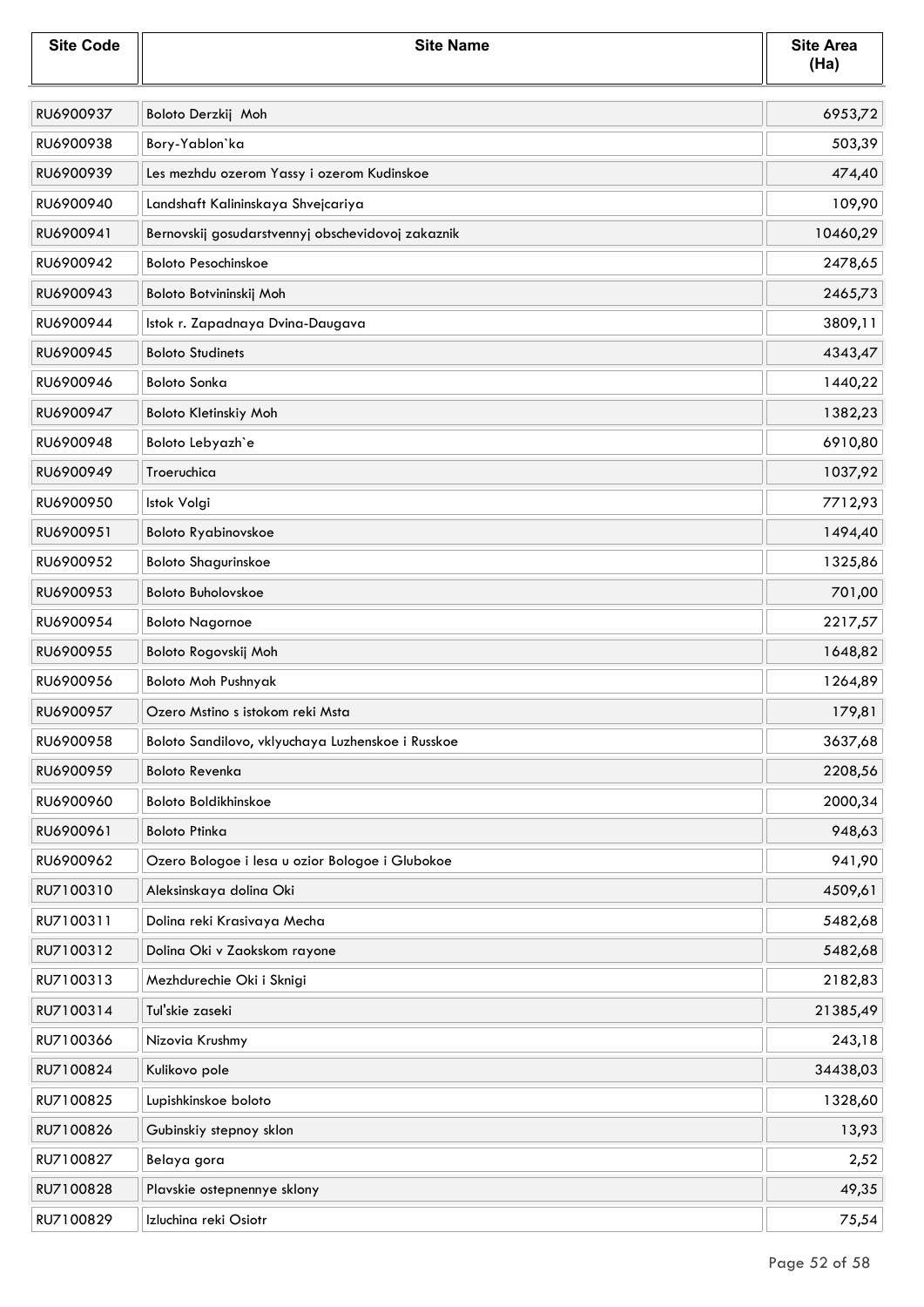| <b>Site Code</b> | <b>Site Name</b>                                  | <b>Site Area</b><br>(Ha) |
|------------------|---------------------------------------------------|--------------------------|
| RU6900937        | Boloto Derzkij Moh                                | 6953,72                  |
| RU6900938        | Bory-Yablon'ka                                    | 503,39                   |
| RU6900939        | Les mezhdu ozerom Yassy i ozerom Kudinskoe        | 474,40                   |
| RU6900940        | Landshaft Kalininskaya Shvejcariya                | 109,90                   |
| RU6900941        | Bernovskij gosudarstvennyj obschevidovoj zakaznik | 10460,29                 |
| RU6900942        | <b>Boloto Pesochinskoe</b>                        | 2478,65                  |
| RU6900943        | Boloto Botvininskij Moh                           | 2465,73                  |
| RU6900944        | Istok r. Zapadnaya Dvina-Daugava                  | 3809,11                  |
| RU6900945        | <b>Boloto Studinets</b>                           | 4343,47                  |
| RU6900946        | <b>Boloto Sonka</b>                               | 1440,22                  |
| RU6900947        | Boloto Kletinskiy Moh                             | 1382,23                  |
| RU6900948        | Boloto Lebyazh'e                                  | 6910,80                  |
| RU6900949        | Troeruchica                                       | 1037,92                  |
| RU6900950        | Istok Volgi                                       | 7712,93                  |
| RU6900951        | <b>Boloto Ryabinovskoe</b>                        | 1494,40                  |
| RU6900952        | <b>Boloto Shagurinskoe</b>                        | 1325,86                  |
| RU6900953        | <b>Boloto Buholovskoe</b>                         | 701,00                   |
| RU6900954        | <b>Boloto Nagornoe</b>                            | 2217,57                  |
| RU6900955        | Boloto Rogovskij Moh                              | 1648,82                  |
| RU6900956        | <b>Boloto Moh Pushnyak</b>                        | 1264,89                  |
| RU6900957        | Ozero Mstino s istokom reki Msta                  | 179,81                   |
| RU6900958        | Boloto Sandilovo, vklyuchaya Luzhenskoe i Russkoe | 3637,68                  |
| RU6900959        | <b>Boloto Revenka</b>                             | 2208,56                  |
| RU6900960        | Boloto Boldikhinskoe                              | 2000,34                  |
| RU6900961        | <b>Boloto Ptinka</b>                              | 948,63                   |
| RU6900962        | Ozero Bologoe i lesa u ozior Bologoe i Glubokoe   | 941,90                   |
| RU7100310        | Aleksinskaya dolina Oki                           | 4509,61                  |
| RU7100311        | Dolina reki Krasivaya Mecha                       | 5482,68                  |
| RU7100312        | Dolina Oki v Zaokskom rayone                      | 5482,68                  |
| RU7100313        | Mezhdurechie Oki i Sknigi                         | 2182,83                  |
| RU7100314        | Tul'skie zaseki                                   | 21385,49                 |
| RU7100366        | Nizovia Krushmy                                   | 243,18                   |
| RU7100824        | Kulikovo pole                                     | 34438,03                 |
| RU7100825        | Lupishkinskoe boloto                              | 1328,60                  |
| RU7100826        | Gubinskiy stepnoy sklon                           | 13,93                    |
| RU7100827        | Belaya gora                                       | 2,52                     |
| RU7100828        | Plavskie ostepnennye sklony                       | 49,35                    |
| RU7100829        | Izluchina reki Osiotr                             | 75,54                    |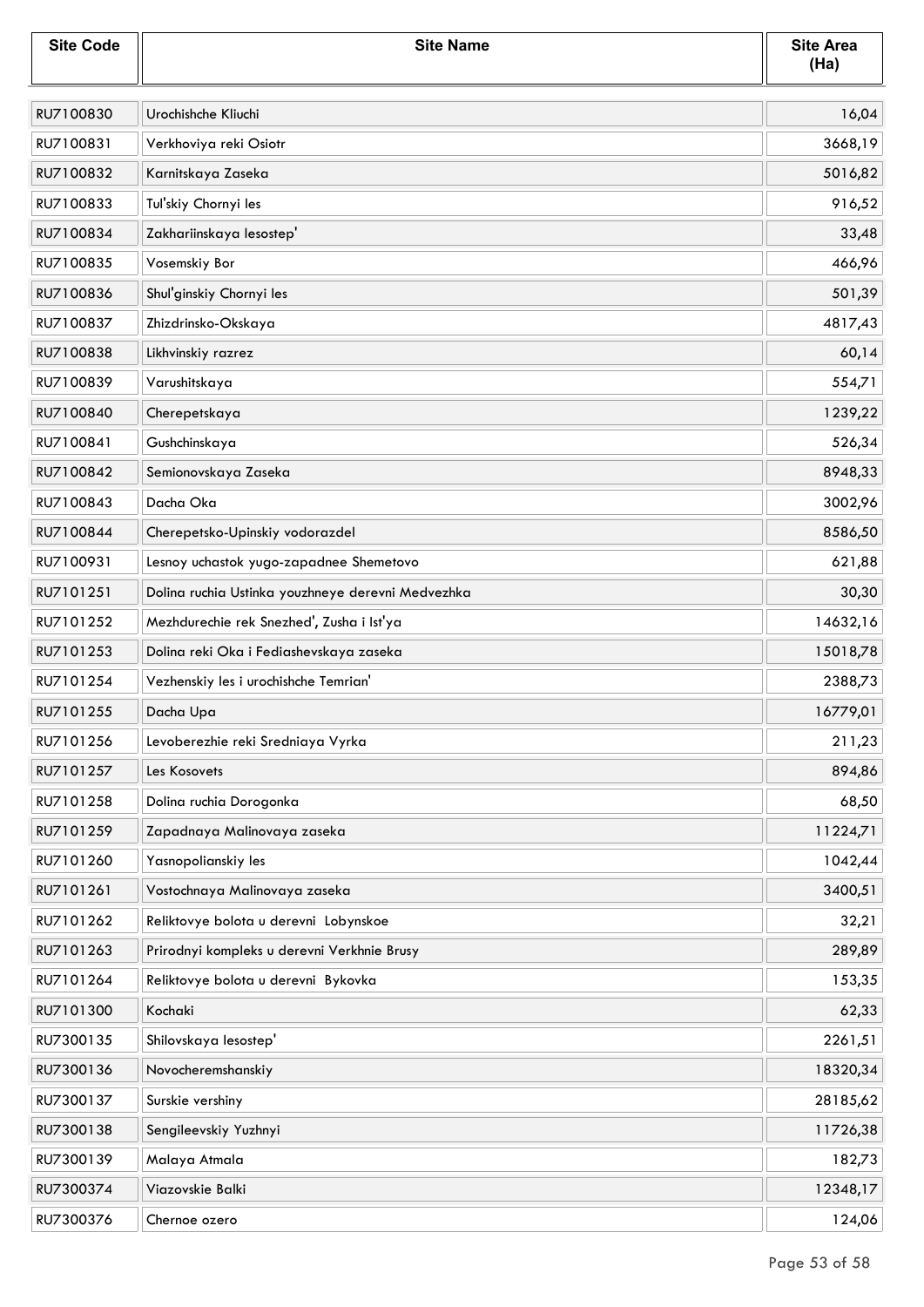| <b>Site Code</b> | <b>Site Name</b>                                  | <b>Site Area</b><br>(Ha) |
|------------------|---------------------------------------------------|--------------------------|
| RU7100830        | Urochishche Kliuchi                               | 16,04                    |
| RU7100831        | Verkhoviya reki Osiotr                            | 3668,19                  |
| RU7100832        | Karnitskaya Zaseka                                | 5016,82                  |
| RU7100833        | Tul'skiy Chornyi les                              | 916,52                   |
| RU7100834        | Zakhariinskaya lesostep'                          | 33,48                    |
| RU7100835        | Vosemskiy Bor                                     | 466,96                   |
| RU7100836        | Shul'ginskiy Chornyi les                          | 501,39                   |
| RU7100837        | Zhizdrinsko-Okskaya                               | 4817,43                  |
| RU7100838        | Likhvinskiy razrez                                | 60,14                    |
| RU7100839        | Varushitskaya                                     | 554,71                   |
| RU7100840        | Cherepetskaya                                     | 1239,22                  |
| RU7100841        | Gushchinskaya                                     | 526,34                   |
| RU7100842        | Semionovskaya Zaseka                              | 8948,33                  |
| RU7100843        | Dacha Oka                                         | 3002,96                  |
| RU7100844        | Cherepetsko-Upinskiy vodorazdel                   | 8586,50                  |
| RU7100931        | Lesnoy uchastok yugo-zapadnee Shemetovo           | 621,88                   |
| RU7101251        | Dolina ruchia Ustinka youzhneye derevni Medvezhka | 30,30                    |
| RU7101252        | Mezhdurechie rek Snezhed', Zusha i Ist'ya         | 14632,16                 |
| RU7101253        | Dolina reki Oka i Fediashevskaya zaseka           | 15018,78                 |
| RU7101254        | Vezhenskiy les i urochishche Temrian'             | 2388,73                  |
| RU7101255        | Dacha Upa                                         | 16779,01                 |
| RU7101256        | Levoberezhie reki Sredniaya Vyrka                 | 211,23                   |
| RU7101257        | Les Kosovets                                      | 894,86                   |
| RU7101258        | Dolina ruchia Dorogonka                           | 68,50                    |
| RU7101259        | Zapadnaya Malinovaya zaseka                       | 11224,71                 |
| RU7101260        | Yasnopolianskiy les                               | 1042,44                  |
| RU7101261        | Vostochnaya Malinovaya zaseka                     | 3400,51                  |
| RU7101262        | Reliktovye bolota u derevni Lobynskoe             | 32,21                    |
| RU7101263        | Prirodnyi kompleks u derevni Verkhnie Brusy       | 289,89                   |
| RU7101264        | Reliktovye bolota u derevni Bykovka               | 153,35                   |
| RU7101300        | Kochaki                                           | 62,33                    |
| RU7300135        | Shilovskaya lesostep'                             | 2261,51                  |
| RU7300136        | Novocheremshanskiy                                | 18320,34                 |
| RU7300137        | Surskie vershiny                                  | 28185,62                 |
| RU7300138        | Sengileevskiy Yuzhnyi                             | 11726,38                 |
| RU7300139        | Malaya Atmala                                     | 182,73                   |
| RU7300374        | Viazovskie Balki                                  | 12348,17                 |
| RU7300376        | Chernoe ozero                                     | 124,06                   |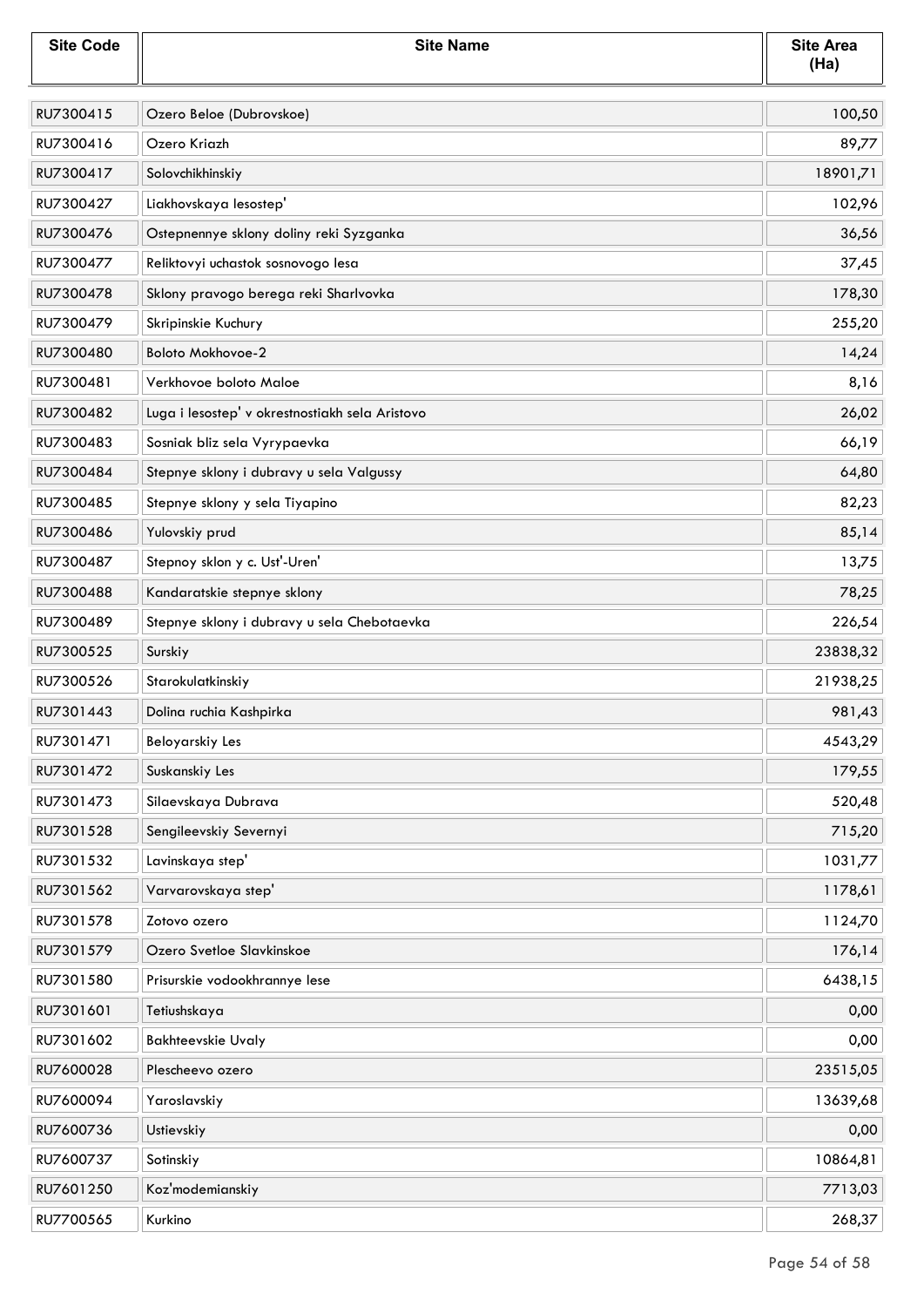| <b>Site Code</b> | <b>Site Name</b>                                | <b>Site Area</b><br>(Ha) |
|------------------|-------------------------------------------------|--------------------------|
| RU7300415        | Ozero Beloe (Dubrovskoe)                        | 100,50                   |
| RU7300416        | Ozero Kriazh                                    | 89,77                    |
| RU7300417        | Solovchikhinskiy                                | 18901,71                 |
| RU7300427        | Liakhovskaya lesostep'                          | 102,96                   |
| RU7300476        | Ostepnennye sklony doliny reki Syzganka         | 36,56                    |
| RU7300477        | Reliktovyi uchastok sosnovogo lesa              | 37,45                    |
| RU7300478        | Sklony pravogo berega reki Sharlvovka           | 178,30                   |
| RU7300479        | Skripinskie Kuchury                             | 255,20                   |
| RU7300480        | Boloto Mokhovoe-2                               | 14,24                    |
| RU7300481        | Verkhovoe boloto Maloe                          | 8,16                     |
| RU7300482        | Luga i lesostep' v okrestnostiakh sela Aristovo | 26,02                    |
| RU7300483        | Sosniak bliz sela Vyrypaevka                    | 66,19                    |
| RU7300484        | Stepnye sklony i dubravy u sela Valgussy        | 64,80                    |
| RU7300485        | Stepnye sklony y sela Tiyapino                  | 82,23                    |
| RU7300486        | Yulovskiy prud                                  | 85,14                    |
| RU7300487        | Stepnoy sklon y c. Ust'-Uren'                   | 13,75                    |
| RU7300488        | Kandaratskie stepnye sklony                     | 78,25                    |
| RU7300489        | Stepnye sklony i dubravy u sela Chebotaevka     | 226,54                   |
| RU7300525        | Surskiy                                         | 23838,32                 |
| RU7300526        | Starokulatkinskiy                               | 21938,25                 |
| RU7301443        | Dolina ruchia Kashpirka                         | 981,43                   |
| RU7301471        | Beloyarskiy Les                                 | 4543,29                  |
| RU7301472        | Suskanskiy Les                                  | 179,55                   |
| RU7301473        | Silaevskaya Dubrava                             | 520,48                   |
| RU7301528        | Sengileevskiy Severnyi                          | 715,20                   |
| RU7301532        | Lavinskaya step'                                | 1031,77                  |
| RU7301562        | Varvarovskaya step'                             | 1178,61                  |
| RU7301578        | Zotovo ozero                                    | 1124,70                  |
| RU7301579        | Ozero Svetloe Slavkinskoe                       | 176,14                   |
| RU7301580        | Prisurskie vodookhrannye lese                   | 6438,15                  |
| RU7301601        | Tetiushskaya                                    | 0,00                     |
| RU7301602        | <b>Bakhteevskie Uvaly</b>                       | 0,00                     |
| RU7600028        | Plescheevo ozero                                | 23515,05                 |
| RU7600094        | Yaroslavskiy                                    | 13639,68                 |
| RU7600736        | Ustievskiy                                      | 0,00                     |
| RU7600737        | Sotinskiy                                       | 10864,81                 |
| RU7601250        | Koz'modemianskiy                                | 7713,03                  |
| RU7700565        | Kurkino                                         | 268,37                   |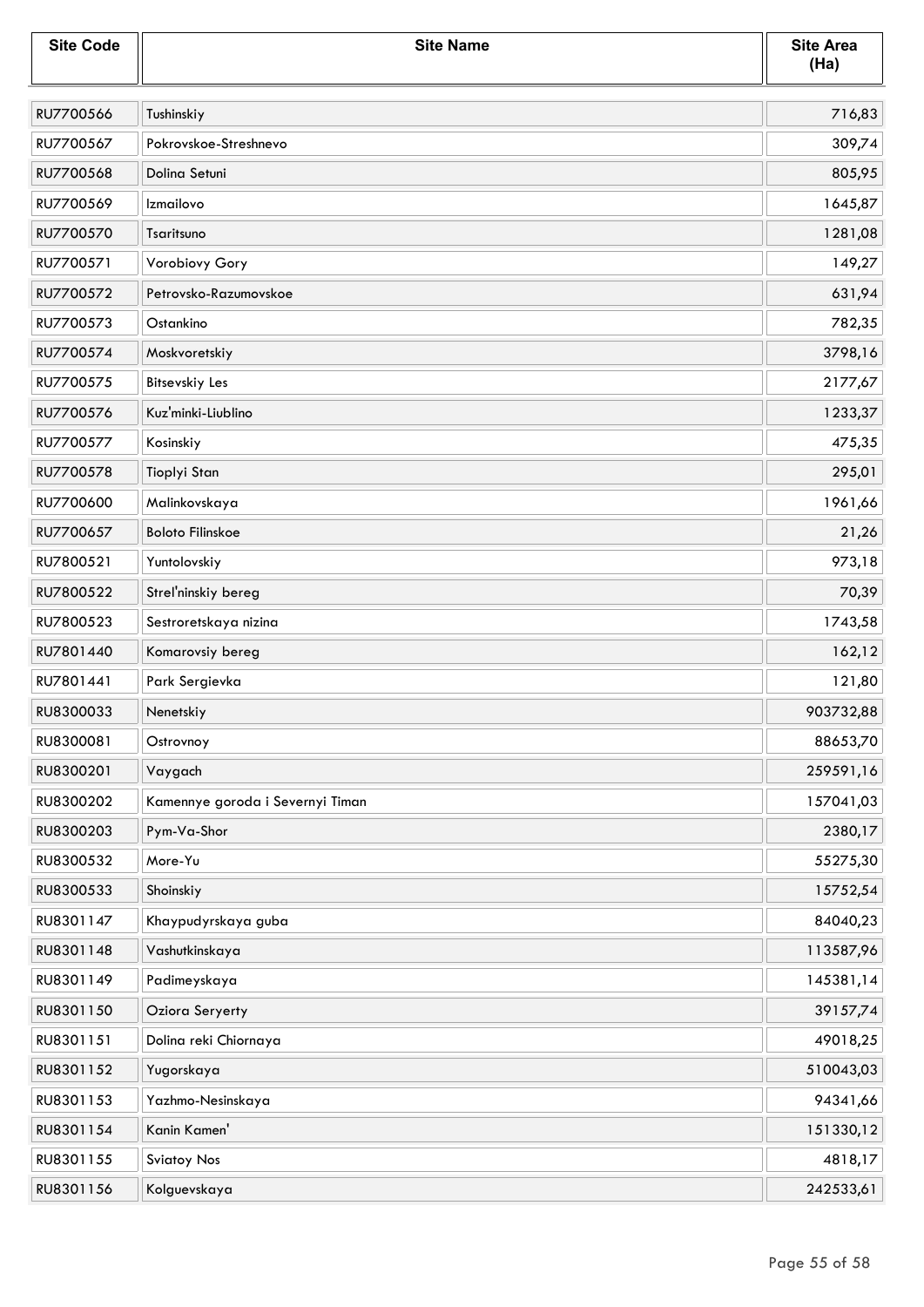| <b>Site Code</b> | <b>Site Name</b>                 | <b>Site Area</b><br>(Ha) |
|------------------|----------------------------------|--------------------------|
| RU7700566        | Tushinskiy                       | 716,83                   |
| RU7700567        | Pokrovskoe-Streshnevo            | 309,74                   |
| RU7700568        | Dolina Setuni                    | 805,95                   |
| RU7700569        | Izmailovo                        | 1645,87                  |
| RU7700570        | Tsaritsuno                       | 1281,08                  |
| RU7700571        | Vorobiovy Gory                   | 149,27                   |
| RU7700572        | Petrovsko-Razumovskoe            | 631,94                   |
| RU7700573        | Ostankino                        | 782,35                   |
| RU7700574        | Moskvoretskiy                    | 3798,16                  |
| RU7700575        | <b>Bitsevskiy Les</b>            | 2177,67                  |
| RU7700576        | Kuz'minki-Liublino               | 1233,37                  |
| RU7700577        | Kosinskiy                        | 475,35                   |
| RU7700578        | Tioplyi Stan                     | 295,01                   |
| RU7700600        | Malinkovskaya                    | 1961,66                  |
| RU7700657        | <b>Boloto Filinskoe</b>          | 21,26                    |
| RU7800521        | Yuntolovskiy                     | 973,18                   |
| RU7800522        | Strel'ninskiy bereg              | 70,39                    |
| RU7800523        | Sestroretskaya nizina            | 1743,58                  |
| RU7801440        | Komarovsiy bereg                 | 162,12                   |
| RU7801441        | Park Sergievka                   | 121,80                   |
| RU8300033        | Nenetskiy                        | 903732,88                |
| RU8300081        | Ostrovnoy                        | 88653,70                 |
| RU8300201        | Vaygach                          | 259591,16                |
| RU8300202        | Kamennye goroda i Severnyi Timan | 157041,03                |
| RU8300203        | Pym-Va-Shor                      | 2380,17                  |
| RU8300532        | More-Yu                          | 55275,30                 |
| RU8300533        | Shoinskiy                        | 15752,54                 |
| RU8301147        | Khaypudyrskaya guba              | 84040,23                 |
| RU8301148        | Vashutkinskaya                   | 113587,96                |
| RU8301149        | Padimeyskaya                     | 145381,14                |
| RU8301150        | Oziora Seryerty                  | 39157,74                 |
| RU8301151        | Dolina reki Chiornaya            | 49018,25                 |
| RU8301152        | Yugorskaya                       | 510043,03                |
| RU8301153        | Yazhmo-Nesinskaya                | 94341,66                 |
| RU8301154        | Kanin Kamen'                     | 151330,12                |
| RU8301155        | <b>Sviatoy Nos</b>               | 4818,17                  |
| RU8301156        | Kolguevskaya                     | 242533,61                |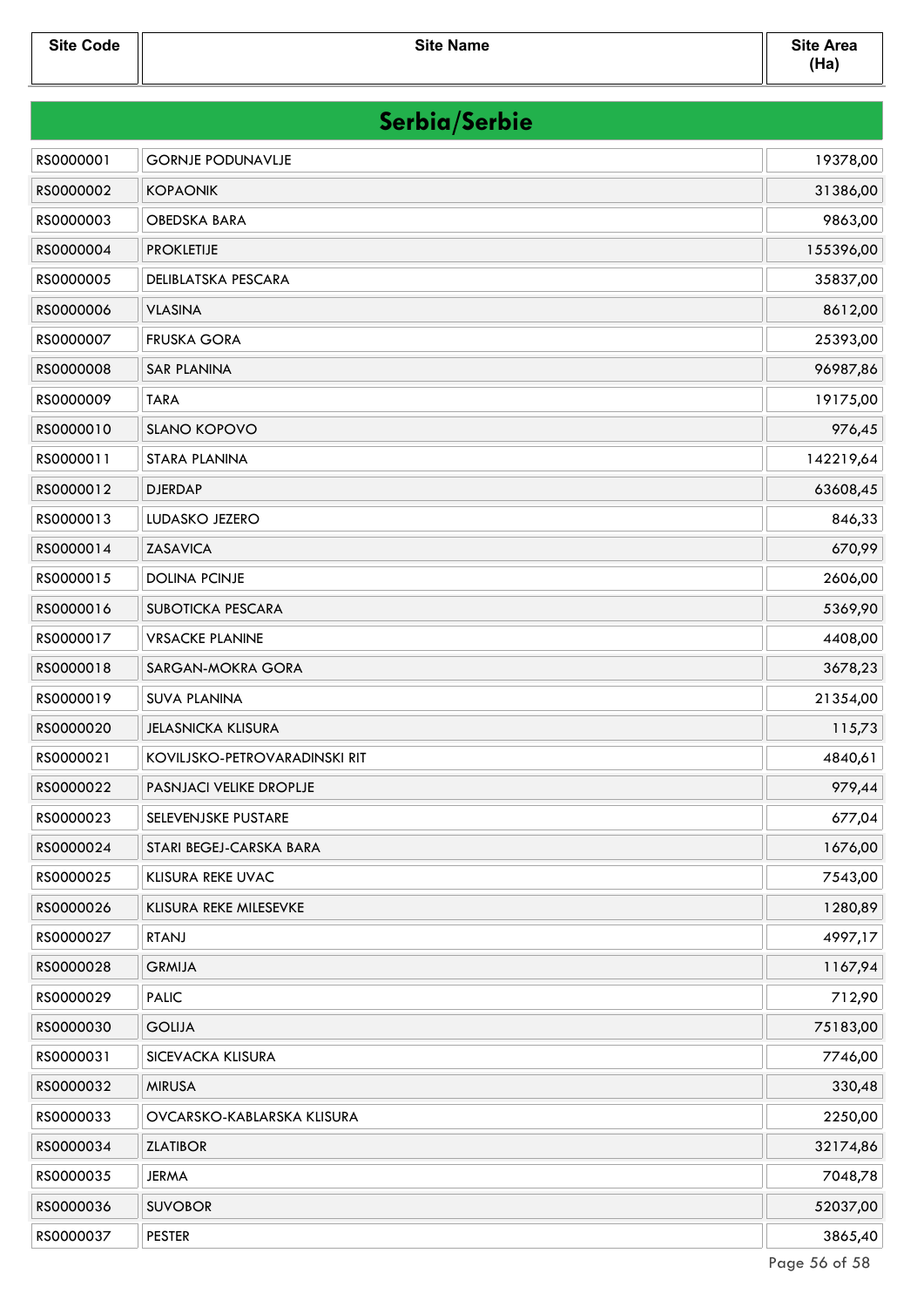| Serbia/Serbie |                               |           |
|---------------|-------------------------------|-----------|
| RS0000001     | <b>GORNJE PODUNAVLJE</b>      | 19378,00  |
| RS0000002     | <b>KOPAONIK</b>               | 31386,00  |
| RS0000003     | <b>OBEDSKA BARA</b>           | 9863,00   |
| RS0000004     | <b>PROKLETIJE</b>             | 155396,00 |
| RS0000005     | DELIBLATSKA PESCARA           | 35837,00  |
| RS0000006     | <b>VLASINA</b>                | 8612,00   |
| RS0000007     | <b>FRUSKA GORA</b>            | 25393,00  |
| RS0000008     | <b>SAR PLANINA</b>            | 96987,86  |
| RS0000009     | <b>TARA</b>                   | 19175,00  |
| RS0000010     | SLANO KOPOVO                  | 976,45    |
| RS0000011     | <b>STARA PLANINA</b>          | 142219,64 |
| RS0000012     | <b>DJERDAP</b>                | 63608,45  |
| RS0000013     | LUDASKO JEZERO                | 846,33    |
| RS0000014     | <b>ZASAVICA</b>               | 670,99    |
| RS0000015     | <b>DOLINA PCINJE</b>          | 2606,00   |
| RS0000016     | SUBOTICKA PESCARA             | 5369,90   |
| RS0000017     | <b>VRSACKE PLANINE</b>        | 4408,00   |
| RS0000018     | SARGAN-MOKRA GORA             | 3678,23   |
| RS0000019     | <b>SUVA PLANINA</b>           | 21354,00  |
| RS0000020     | <b>JELASNICKA KLISURA</b>     | 115,73    |
| RS0000021     | KOVILJSKO-PETROVARADINSKI RIT | 4840,61   |
| RS0000022     | PASNJACI VELIKE DROPLJE       | 979,44    |
| RS0000023     | SELEVENJSKE PUSTARE           | 677,04    |
| RS0000024     | STARI BEGEJ-CARSKA BARA       | 1676,00   |
| RS0000025     | KLISURA REKE UVAC             | 7543,00   |
| RS0000026     | KLISURA REKE MILESEVKE        | 1280,89   |
| RS0000027     | <b>RTANJ</b>                  | 4997,17   |
| RS0000028     | <b>GRMIJA</b>                 | 1167,94   |
| RS0000029     | <b>PALIC</b>                  | 712,90    |
| RS0000030     | <b>GOLIJA</b>                 | 75183,00  |
| RS0000031     | SICEVACKA KLISURA             | 7746,00   |
| RS0000032     | <b>MIRUSA</b>                 | 330,48    |
| RS0000033     | OVCARSKO-KABLARSKA KLISURA    | 2250,00   |
| RS0000034     | <b>ZLATIBOR</b>               | 32174,86  |
| RS0000035     | <b>JERMA</b>                  | 7048,78   |
| RS0000036     | <b>SUVOBOR</b>                | 52037,00  |
| RS0000037     | <b>PESTER</b>                 | 3865,40   |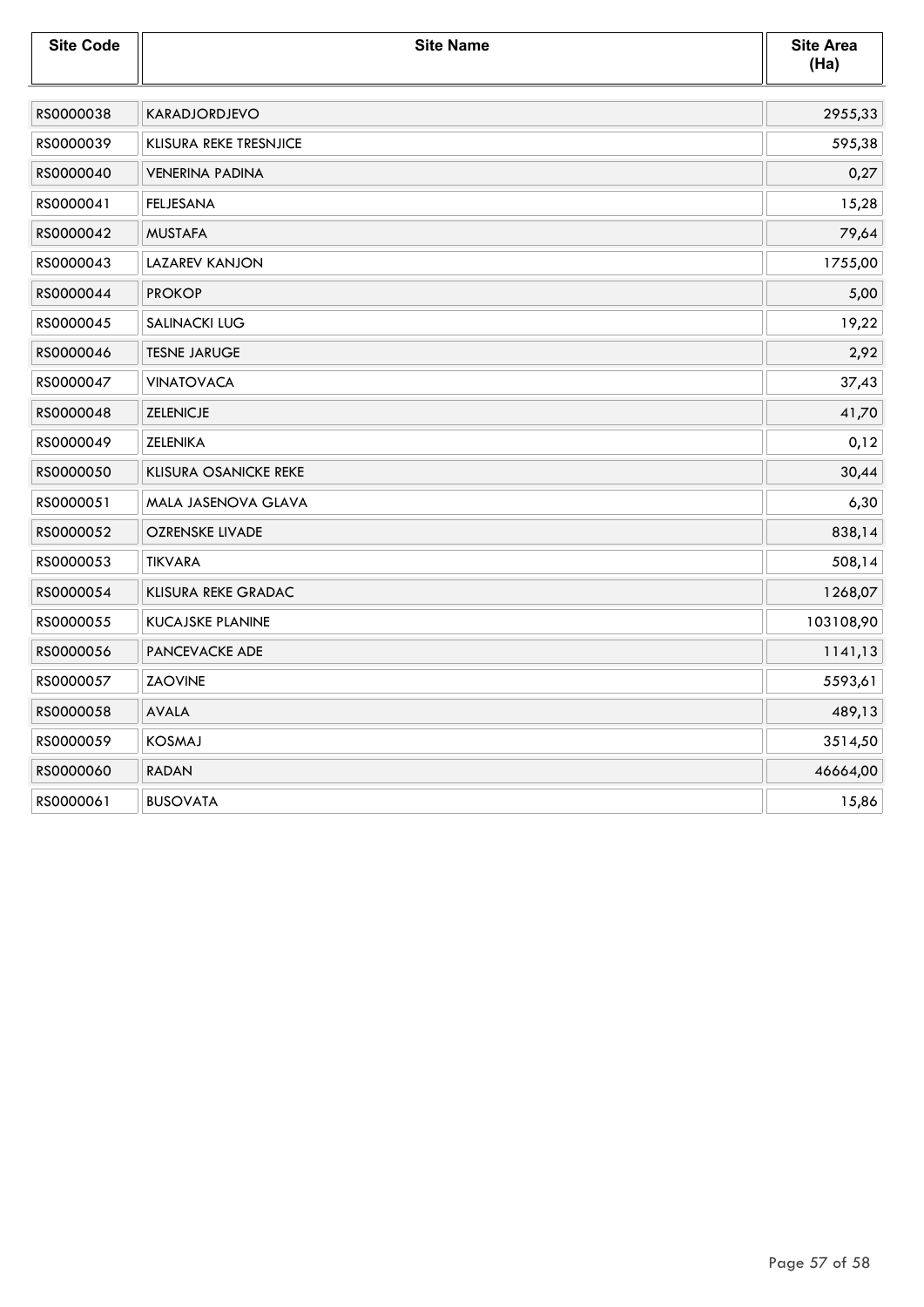| <b>Site Code</b> | <b>Site Name</b>             | <b>Site Area</b><br>(Ha) |
|------------------|------------------------------|--------------------------|
| RS0000038        | <b>KARADJORDJEVO</b>         | 2955,33                  |
| RS0000039        | KLISURA REKE TRESNJICE       | 595,38                   |
| RS0000040        | <b>VENERINA PADINA</b>       | 0,27                     |
| RS0000041        | <b>FELJESANA</b>             | 15,28                    |
| RS0000042        | <b>MUSTAFA</b>               | 79,64                    |
| RS0000043        | LAZAREV KANJON               | 1755,00                  |
| RS0000044        | <b>PROKOP</b>                | 5,00                     |
| RS0000045        | <b>SALINACKI LUG</b>         | 19,22                    |
| RS0000046        | <b>TESNE JARUGE</b>          | 2,92                     |
| RS0000047        | <b>VINATOVACA</b>            | 37,43                    |
| RS0000048        | <b>ZELENICJE</b>             | 41,70                    |
| RS0000049        | <b>ZELENIKA</b>              | 0,12                     |
| RS0000050        | <b>KLISURA OSANICKE REKE</b> | 30,44                    |
| RS0000051        | MALA JASENOVA GLAVA          | 6,30                     |
| RS0000052        | <b>OZRENSKE LIVADE</b>       | 838,14                   |
| RS0000053        | <b>TIKVARA</b>               | 508,14                   |
| RS0000054        | <b>KLISURA REKE GRADAC</b>   | 1268,07                  |
| RS0000055        | KUCAJSKE PLANINE             | 103108,90                |
| RS0000056        | PANCEVACKE ADE               | 1141,13                  |
| RS0000057        | <b>ZAOVINE</b>               | 5593,61                  |
| RS0000058        | <b>AVALA</b>                 | 489,13                   |
| RS0000059        | <b>KOSMAJ</b>                | 3514,50                  |
| RS0000060        | <b>RADAN</b>                 | 46664,00                 |
| RS0000061        | <b>BUSOVATA</b>              | 15,86                    |